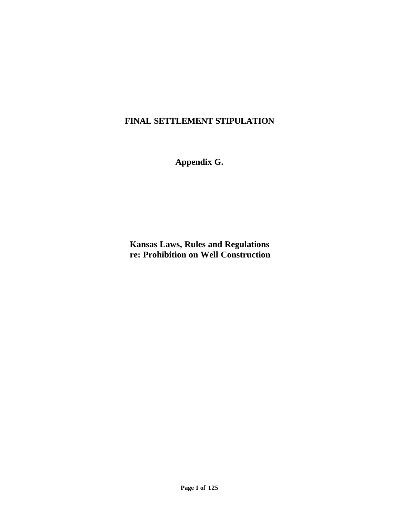## **FINAL SETTLEMENT STIPULATION**

**Appendix G.**

**Kansas Laws, Rules and Regulations re: Prohibition on Well Construction**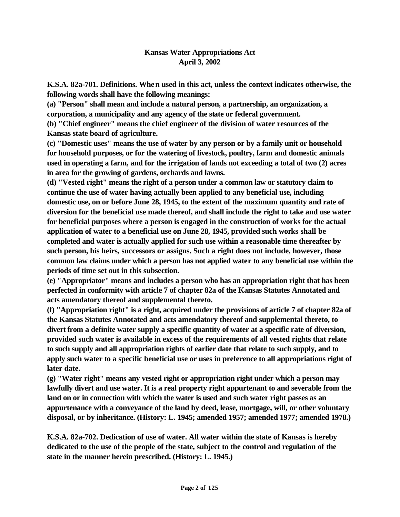## **Kansas Water Appropriations Act April 3, 2002**

**K.S.A. 82a-701. Definitions. When used in this act, unless the context indicates otherwise, the following words shall have the following meanings:** 

**(a) "Person" shall mean and include a natural person, a partnership, an organization, a corporation, a municipality and any agency of the state or federal government.** 

**(b) "Chief engineer" means the chief engineer of the division of water resources of the Kansas state board of agriculture.** 

**(c) "Domestic uses" means the use of water by any person or by a family unit or household for household purposes, or for the watering of livestock, poultry, farm and domestic animals used in operating a farm, and for the irrigation of lands not exceeding a total of two (2) acres in area for the growing of gardens, orchards and lawns.** 

**(d) "Vested right" means the right of a person under a common law or statutory claim to continue the use of water having actually been applied to any beneficial use, including domestic use, on or before June 28, 1945, to the extent of the maximum quantity and rate of diversion for the beneficial use made thereof, and shall include the right to take and use water for beneficial purposes where a person is engaged in the construction of works for the actual application of water to a beneficial use on June 28, 1945, provided such works shall be completed and water is actually applied for such use within a reasonable time thereafter by such person, his heirs, successors or assigns. Such a right does not include, however, those common law claims under which a person has not applied water to any beneficial use within the periods of time set out in this subsection.** 

**(e) "Appropriator" means and includes a person who has an appropriation right that has been perfected in conformity with article 7 of chapter 82a of the Kansas Statutes Annotated and acts amendatory thereof and supplemental thereto.** 

**(f) "Appropriation right" is a right, acquired under the provisions of article 7 of chapter 82a of the Kansas Statutes Annotated and acts amendatory thereof and supplemental thereto, to divert from a definite water supply a specific quantity of water at a specific rate of diversion, provided such water is available in excess of the requirements of all vested rights that relate to such supply and all appropriation rights of earlier date that relate to such supply, and to apply such water to a specific beneficial use or uses in preference to all appropriations right of later date.** 

**(g) "Water right" means any vested right or appropriation right under which a person may lawfully divert and use water. It is a real property right appurtenant to and severable from the land on or in connection with which the water is used and such water right passes as an appurtenance with a conveyance of the land by deed, lease, mortgage, will, or other voluntary disposal, or by inheritance. (History: L. 1945; amended 1957; amended 1977; amended 1978.)**

**K.S.A. 82a-702. Dedication of use of water. All water within the state of Kansas is hereby dedicated to the use of the people of the state, subject to the control and regulation of the state in the manner herein prescribed. (History: L. 1945.)**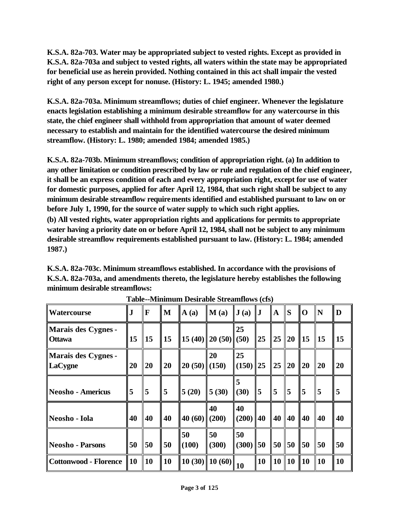**K.S.A. 82a-703. Water may be appropriated subject to vested rights. Except as provided in K.S.A. 82a-703a and subject to vested rights, all waters within the state may be appropriated for beneficial use as herein provided. Nothing contained in this act shall impair the vested right of any person except for nonuse. (History: L. 1945; amended 1980.)**

**K.S.A. 82a-703a. Minimum streamflows; duties of chief engineer. Whenever the legislature enacts legislation establishing a minimum desirable streamflow for any watercourse in this state, the chief engineer shall withhold from appropriation that amount of water deemed necessary to establish and maintain for the identified watercourse the desired minimum streamflow. (History: L. 1980; amended 1984; amended 1985.)** 

**K.S.A. 82a-703b. Minimum streamflows; condition of appropriation right. (a) In addition to any other limitation or condition prescribed by law or rule and regulation of the chief engineer, it shall be an express condition of each and every appropriation right, except for use of water for domestic purposes, applied for after April 12, 1984, that such right shall be subject to any minimum desirable streamflow requirements identified and established pursuant to law on or before July 1, 1990, for the source of water supply to which such right applies.**

**(b) All vested rights, water appropriation rights and applications for permits to appropriate water having a priority date on or before April 12, 1984, shall not be subject to any minimum desirable streamflow requirements established pursuant to law. (History: L. 1984; amended 1987.)**

**K.S.A. 82a-703c. Minimum streamflows established. In accordance with the provisions of K.S.A. 82a-703a, and amendments thereto, the legislature hereby establishes the following minimum desirable streamflows:** 

| <b>Watercourse</b>                   | $\bf J$    | F              | M              | $\mathbf{A}(\mathbf{a})$ | M(a)                                          | J(a)             | $\mathbf{J}$   | $\mathbf{A}$   | S              | O              | N          | D         |
|--------------------------------------|------------|----------------|----------------|--------------------------|-----------------------------------------------|------------------|----------------|----------------|----------------|----------------|------------|-----------|
| Marais des Cygnes -<br><b>Ottawa</b> | 15         | $\vert$ 15     | $\parallel$ 15 |                          | $\ 15(40)\ 20(50)\ $ (50)                     | 25               | $\vert$ 25     | 25             | $\vert$ 20     | $\parallel$ 15 | $\vert$ 15 | <b>15</b> |
| Marais des Cygnes -<br>$\ $ LaCygne  | 20         | <b>20</b>      | 20             | $20(50)$ (150)           | 20                                            | 25<br>$(150)$ 25 |                | 25             | <b>20</b>      | <b>20</b>      | <b>20</b>  | <b>20</b> |
| Neosho - Americus                    | 5          | $\overline{5}$ | 5              | 5(20)                    | 5(30)                                         | 5<br>(30)        | $\overline{5}$ | $\overline{5}$ | 5              | 5              | 5          | 5         |
| Neosho - Iola                        | 40         | <b>40</b>      | 40             | 40 (60) $(200)$          | 40                                            | 40<br>$(200)$ 40 |                | 40             | 40             | 40             | 40         | 40        |
| Neosho - Parsons                     | 50         | 50             | 50             | 50<br>(100)              | 50<br>(300)                                   | 50<br>$(300)$ 50 |                | 50             | 50             | 50             | 50         | 50        |
| Cottonwood - Florence                | $\vert$ 10 | $\vert$ 10     | $\parallel$ 10 |                          | $\sqrt{10}$ (30) $\sqrt{10}$ (60) $\sqrt{10}$ |                  | <b>10</b>      | <b>10</b>      | $\parallel$ 10 | <b>10</b>      | <b>10</b>  | <b>10</b> |

**Table--Minimum Desirable Streamflows (cfs)**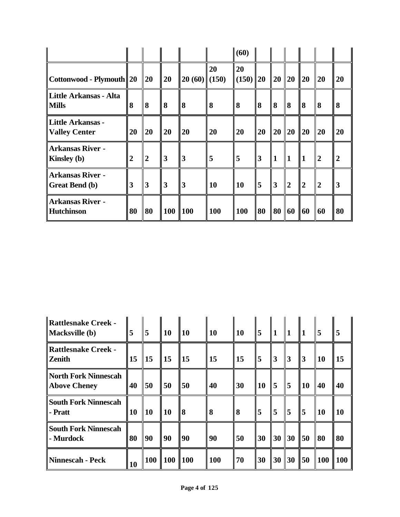|                                           |                         |                |     |                |           | $\vert$ (60)       |                 |                |                |                |                |                  |
|-------------------------------------------|-------------------------|----------------|-----|----------------|-----------|--------------------|-----------------|----------------|----------------|----------------|----------------|------------------|
| $\ $ Cottonwood - Plymouth $\ 20\ $       |                         | 20             | 20  | $20(60)$ (150) | 20        | 20<br>$(150)$   20 |                 | 20             | 20             | <b>20</b>      | <b>20</b>      | 20               |
| Little Arkansas - Alta<br><b>Mills</b>    | 8                       | 8              | 8   | 8              | 8         | 8                  | 8               | 8              | 8              | <b>8</b>       | 8              | 8                |
| Little Arkansas -<br>Valley Center        | 20                      | 20             | 20  | 20             | 20        | 20                 | 20              | 20             | 20             | <b>20</b>      | <b>20</b>      | 20               |
| Arkansas River -<br><b>Kinsley</b> (b)    | $\overline{2}$          | $\overline{2}$ | 3   | 3              | 5         | 5                  | $\vert 3 \vert$ | 1              | $\mathbf{1}$   | 1              | $\overline{2}$ | $\boldsymbol{2}$ |
| Arkansas River -<br><b>Great Bend (b)</b> | $\overline{\mathbf{3}}$ | $\overline{3}$ | 3   | 3              | <b>10</b> | <b>10</b>          | 5               | $\overline{3}$ | $\overline{2}$ | $\overline{2}$ | $\overline{2}$ | 3                |
| Arkansas River -<br><b>Hutchinson</b>     | 80                      | 80             | 100 | <b>100</b>     | 100       | <b>100</b>         | 80              | 80             | 60             | 60             | 60             | 80               |

| <b>Rattlesnake Creek -</b><br><b>Macksville</b> (b) | 5         | 5          | 10         | 10              | <b>10</b>  | <b>10</b>  | 5  | 1         | $\vert$ 1 |                | 5          | 5               |
|-----------------------------------------------------|-----------|------------|------------|-----------------|------------|------------|----|-----------|-----------|----------------|------------|-----------------|
| <b>Rattlesnake Creek -</b><br><b>Zenith</b>         | 15        | $\vert$ 15 | $\vert$ 15 | $\vert$ 15      | <b>15</b>  | $\vert$ 15 | 5  | $\vert$ 3 | 3         | $\vert 3$      | <b>10</b>  | 15              |
| <b>North Fork Ninnescah</b><br><b>Above Cheney</b>  | 40        | 50         | 50         | 50              | 40         | 30         | 10 | 5         | 5         | $\parallel$ 10 | 40         | 40              |
| <b>South Fork Ninnescah</b><br>- Pratt              | 10        | <b>10</b>  | <b>10</b>  | 8               | 8          | <b>8</b>   | 5  | 5         | 5         | $\overline{5}$ | <b>10</b>  | <b>10</b>       |
| <b>South Fork Ninnescah</b><br>- Murdock            | 80        | 90         | 90         | 90              | 90         | 50         | 30 | 30        | 30        | $\vert$ 50     | 80         | 80              |
| <b>Ninnescah - Peck</b>                             | <b>10</b> | <b>100</b> | <b>100</b> | $\parallel$ 100 | <b>100</b> | 70         | 30 | 30        | 30        | 150            | <b>100</b> | $\parallel$ 100 |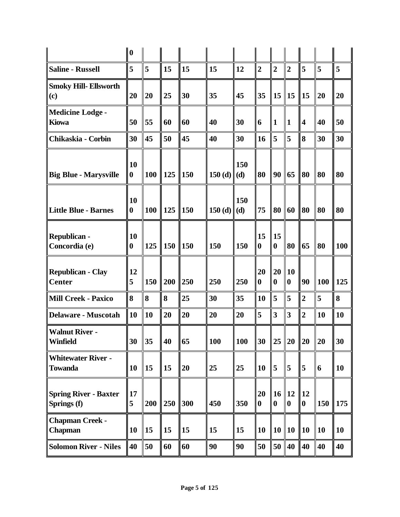|                                             | 10                    |           |     |            |                   |     |                        |                         |                               |                         |            |     |
|---------------------------------------------|-----------------------|-----------|-----|------------|-------------------|-----|------------------------|-------------------------|-------------------------------|-------------------------|------------|-----|
| <b>Saline - Russell</b>                     | 5                     | 5         | 15  | 15         | 15                | 12  | $\overline{2}$         | $\overline{2}$          | $\overline{2}$                | 5                       | 5          | 5   |
| <b>Smoky Hill- Ellsworth</b><br>(c)         | 20                    | 20        | 25  | 30         | 35                | 45  | 35                     | 15                      | 15                            | $\vert$ 15              | 20         | 20  |
| <b>Medicine Lodge -</b><br><b>Kiowa</b>     | 50                    | 55        | 60  | 60         | 40                | 30  | 6                      | $\mathbf{1}$            | $\mathbf{1}$                  | $\overline{\mathbf{4}}$ | 40         | 50  |
| Chikaskia - Corbin                          | 30                    | 45        | 50  | 45         | 40                | 30  | 16                     | 5                       | 5                             | 8                       | 30         | 30  |
| <b>Big Blue - Marysville</b>                | 10<br>$\bf{0}$        | 100       | 125 | <b>150</b> | 150 (d) $  (d)  $ | 150 | 80                     | 90                      | 65                            | <b>80</b>               | 80         | 80  |
| <b>Little Blue - Barnes</b>                 | <b>10</b><br>$\bf{0}$ | 100       | 125 | <b>150</b> | 150 (d) $  (d)  $ | 150 | 75                     | 80                      | 60                            | <b>80</b>               | 80         | 80  |
| <b>Republican -</b><br>Concordia (e)        | 10<br>$\bf{0}$        | 125       | 150 | <b>150</b> | 150               | 150 | 15<br>$\boldsymbol{0}$ | 15<br>$\boldsymbol{0}$  | 80                            | 65                      | 80         | 100 |
| <b>Republican - Clay</b><br><b>Center</b>   | 12<br>5               | 150       | 200 | 250        | 250               | 250 | 20<br>$\boldsymbol{0}$ | 20<br>$\boldsymbol{0}$  | <b>10</b><br>$\boldsymbol{0}$ | 90                      | <b>100</b> | 125 |
| <b>Mill Creek - Paxico</b>                  | 8                     | 8         | 8   | 25         | 30                | 35  | 10                     | 5                       | 5                             | $\overline{2}$          | 5          | 8   |
| <b>Delaware - Muscotah</b>                  | 10                    | <b>10</b> | 20  | 20         | 20                | 20  | 5                      | $\overline{\mathbf{3}}$ | $\overline{\mathbf{3}}$       | $\overline{2}$          | 10         | 10  |
| <b>Walnut River -</b><br><b>Winfield</b>    | 30                    | 35        | 40  | 65         | 100               | 100 | 30                     | 25                      | 20                            | $ 20\rangle$            | 20         | 30  |
| <b>Whitewater River -</b><br><b>Towanda</b> | 10                    | 15        | 15  | 20         | 25                | 25  | 10                     | 5                       | 5                             | 5                       | 6          | 10  |
| <b>Spring River - Baxter</b><br>Springs (f) | <b>17</b><br>5        | 200       | 250 | 300        | 450               | 350 | 20<br>$\boldsymbol{0}$ | 16<br>$\boldsymbol{0}$  | $\vert$ 12<br>$\bf{0}$        | $\vert$ 12<br>10        | 150        | 175 |
| <b>Chapman Creek -</b><br>Chapman           | 10                    | 15        | 15  | 15         | 15                | 15  | 10                     | 10                      | <b>10</b>                     | $\parallel$ 10          | 10         | 10  |
| <b>Solomon River - Niles</b>                | 40                    | 50        | 60  | 60         | 90                | 90  | 50                     | 50                      | 40                            | 40                      | 40         | 40  |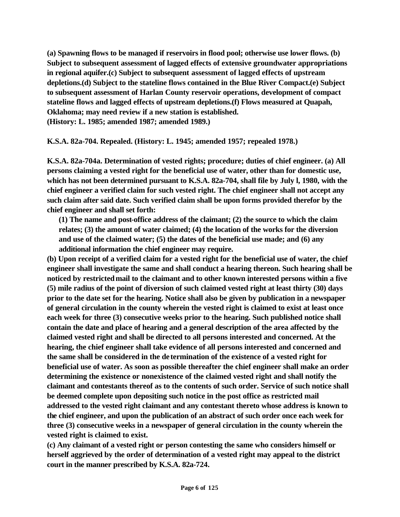**(a) Spawning flows to be managed if reservoirs in flood pool; otherwise use lower flows. (b) Subject to subsequent assessment of lagged effects of extensive groundwater appropriations in regional aquifer.(c) Subject to subsequent assessment of lagged effects of upstream depletions.(d) Subject to the stateline flows contained in the Blue River Compact.(e) Subject to subsequent assessment of Harlan County reservoir operations, development of compact stateline flows and lagged effects of upstream depletions.(f) Flows measured at Quapah, Oklahoma; may need review if a new station is established. (History: L. 1985; amended 1987; amended 1989.)**

**K.S.A. 82a-704. Repealed. (History: L. 1945; amended 1957; repealed 1978.)**

**K.S.A. 82a-704a. Determination of vested rights; procedure; duties of chief engineer. (a) All persons claiming a vested right for the beneficial use of water, other than for domestic use, which has not been determined pursuant to K.S.A. 82a-704, shall file by July l, 1980, with the chief engineer a verified claim for such vested right. The chief engineer shall not accept any such claim after said date. Such verified claim shall be upon forms provided therefor by the chief engineer and shall set forth:** 

**(1) The name and post-office address of the claimant; (2) the source to which the claim relates; (3) the amount of water claimed; (4) the location of the works for the diversion and use of the claimed water; (5) the dates of the beneficial use made; and (6) any additional information the chief engineer may require.** 

**(b) Upon receipt of a verified claim for a vested right for the beneficial use of water, the chief engineer shall investigate the same and shall conduct a hearing thereon. Such hearing shall be noticed by restricted mail to the claimant and to other known interested persons within a five (5) mile radius of the point of diversion of such claimed vested right at least thirty (30) days prior to the date set for the hearing. Notice shall also be given by publication in a newspaper of general circulation in the county wherein the vested right is claimed to exist at least once each week for three (3) consecutive weeks prior to the hearing. Such published notice shall contain the date and place of hearing and a general description of the area affected by the claimed vested right and shall be directed to all persons interested and concerned. At the hearing, the chief engineer shall take evidence of all persons interested and concerned and the same shall be considered in the de termination of the existence of a vested right for beneficial use of water. As soon as possible thereafter the chief engineer shall make an order determining the existence or nonexistence of the claimed vested right and shall notify the claimant and contestants thereof as to the contents of such order. Service of such notice shall be deemed complete upon depositing such notice in the post office as restricted mail addressed to the vested right claimant and any contestant thereto whose address is known to the chief engineer, and upon the publication of an abstract of such order once each week for three (3) consecutive weeks in a newspaper of general circulation in the county wherein the vested right is claimed to exist.** 

**(c) Any claimant of a vested right or person contesting the same who considers himself or herself aggrieved by the order of determination of a vested right may appeal to the district court in the manner prescribed by K.S.A. 82a-724.**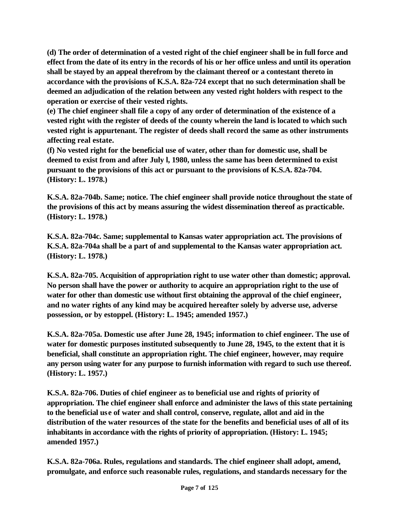**(d) The order of determination of a vested right of the chief engineer shall be in full force and effect from the date of its entry in the records of his or her office unless and until its operation shall be stayed by an appeal therefrom by the claimant thereof or a contestant thereto in accordance with the provisions of K.S.A. 82a-724 except that no such determination shall be deemed an adjudication of the relation between any vested right holders with respect to the operation or exercise of their vested rights.** 

**(e) The chief engineer shall file a copy of any order of determination of the existence of a vested right with the register of deeds of the county wherein the land is located to which such vested right is appurtenant. The register of deeds shall record the same as other instruments affecting real estate.** 

**(f) No vested right for the beneficial use of water, other than for domestic use, shall be deemed to exist from and after July l, 1980, unless the same has been determined to exist pursuant to the provisions of this act or pursuant to the provisions of K.S.A. 82a-704. (History: L. 1978.)**

**K.S.A. 82a-704b. Same; notice. The chief engineer shall provide notice throughout the state of the provisions of this act by means assuring the widest dissemination thereof as practicable. (History: L. 1978.)**

**K.S.A. 82a-704c. Same; supplemental to Kansas water appropriation act. The provisions of K.S.A. 82a-704a shall be a part of and supplemental to the Kansas water appropriation act. (History: L. 1978.)**

**K.S.A. 82a-705. Acquisition of appropriation right to use water other than domestic; approval. No person shall have the power or authority to acquire an appropriation right to the use of water for other than domestic use without first obtaining the approval of the chief engineer, and no water rights of any kind may be acquired hereafter solely by adverse use, adverse possession, or by estoppel. (History: L. 1945; amended 1957.)**

**K.S.A. 82a-705a. Domestic use after June 28, 1945; information to chief engineer. The use of water for domestic purposes instituted subsequently to June 28, 1945, to the extent that it is beneficial, shall constitute an appropriation right. The chief engineer, however, may require any person using water for any purpose to furnish information with regard to such use thereof. (History: L. 1957.)**

**K.S.A. 82a-706. Duties of chief engineer as to beneficial use and rights of priority of appropriation. The chief engineer shall enforce and administer the laws of this state pertaining to the beneficial use of water and shall control, conserve, regulate, allot and aid in the distribution of the water resources of the state for the benefits and beneficial uses of all of its inhabitants in accordance with the rights of priority of appropriation. (History: L. 1945; amended 1957.)**

**K.S.A. 82a-706a. Rules, regulations and standards. The chief engineer shall adopt, amend, promulgate, and enforce such reasonable rules, regulations, and standards necessary for the**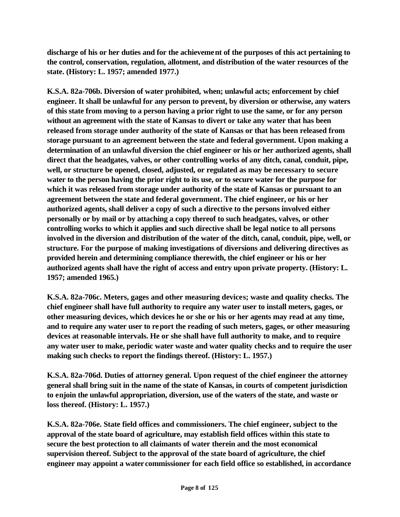**discharge of his or her duties and for the achievement of the purposes of this act pertaining to the control, conservation, regulation, allotment, and distribution of the water resources of the state. (History: L. 1957; amended 1977.)**

**K.S.A. 82a-706b. Diversion of water prohibited, when; unlawful acts; enforcement by chief engineer. It shall be unlawful for any person to prevent, by diversion or otherwise, any waters of this state from moving to a person having a prior right to use the same, or for any person without an agreement with the state of Kansas to divert or take any water that has been released from storage under authority of the state of Kansas or that has been released from storage pursuant to an agreement between the state and federal government. Upon making a determination of an unlawful diversion the chief engineer or his or her authorized agents, shall direct that the headgates, valves, or other controlling works of any ditch, canal, conduit, pipe, well, or structure be opened, closed, adjusted, or regulated as may be necessary to secure water to the person having the prior right to its use, or to secure water for the purpose for which it was released from storage under authority of the state of Kansas or pursuant to an agreement between the state and federal government. The chief engineer, or his or her authorized agents, shall deliver a copy of such a directive to the persons involved either personally or by mail or by attaching a copy thereof to such headgates, valves, or other controlling works to which it applies and such directive shall be legal notice to all persons involved in the diversion and distribution of the water of the ditch, canal, conduit, pipe, well, or structure. For the purpose of making investigations of diversions and delivering directives as provided herein and determining compliance therewith, the chief engineer or his or her authorized agents shall have the right of access and entry upon private property. (History: L. 1957; amended 1965.)**

**K.S.A. 82a-706c. Meters, gages and other measuring devices; waste and quality checks. The chief engineer shall have full authority to require any water user to install meters, gages, or other measuring devices, which devices he or she or his or her agents may read at any time, and to require any water user to report the reading of such meters, gages, or other measuring devices at reasonable intervals. He or she shall have full authority to make, and to require any water user to make, periodic water waste and water quality checks and to require the user making such checks to report the findings thereof. (History: L. 1957.)**

**K.S.A. 82a-706d. Duties of attorney general. Upon request of the chief engineer the attorney general shall bring suit in the name of the state of Kansas, in courts of competent jurisdiction to enjoin the unlawful appropriation, diversion, use of the waters of the state, and waste or loss thereof. (History: L. 1957.)**

**K.S.A. 82a-706e. State field offices and commissioners. The chief engineer, subject to the approval of the state board of agriculture, may establish field offices within this state to secure the best protection to all claimants of water therein and the most economical supervision thereof. Subject to the approval of the state board of agriculture, the chief engineer may appoint a water commissioner for each field office so established, in accordance**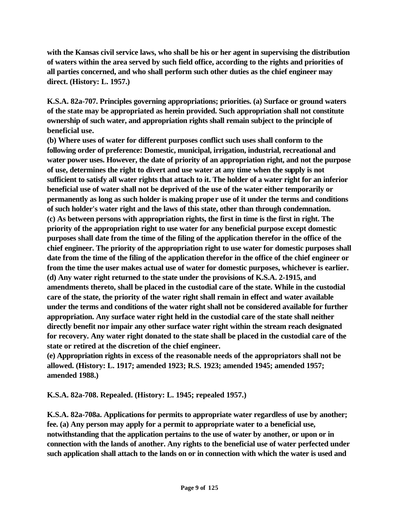**with the Kansas civil service laws, who shall be his or her agent in supervising the distribution of waters within the area served by such field office, according to the rights and priorities of all parties concerned, and who shall perform such other duties as the chief engineer may direct. (History: L. 1957.)**

**K.S.A. 82a-707. Principles governing appropriations; priorities. (a) Surface or ground waters of the state may be appropriated as herein provided. Such appropriation shall not constitute ownership of such water, and appropriation rights shall remain subject to the principle of beneficial use.**

**(b) Where uses of water for different purposes conflict such uses shall conform to the following order of preference: Domestic, municipal, irrigation, industrial, recreational and water power uses. However, the date of priority of an appropriation right, and not the purpose of use, determines the right to divert and use water at any time when the supply is not sufficient to satisfy all water rights that attach to it. The holder of a water right for an inferior beneficial use of water shall not be deprived of the use of the water either temporarily or permanently as long as such holder is making proper use of it under the terms and conditions of such holder's water right and the laws of this state, other than through condemnation. (c) As between persons with appropriation rights, the first in time is the first in right. The priority of the appropriation right to use water for any beneficial purpose except domestic purposes shall date from the time of the filing of the application therefor in the office of the chief engineer. The priority of the appropriation right to use water for domestic purposes shall date from the time of the filing of the application therefor in the office of the chief engineer or from the time the user makes actual use of water for domestic purposes, whichever is earlier. (d) Any water right returned to the state under the provisions of K.S.A. 2-1915, and amendments thereto, shall be placed in the custodial care of the state. While in the custodial care of the state, the priority of the water right shall remain in effect and water available under the terms and conditions of the water right shall not be considered available for further appropriation. Any surface water right held in the custodial care of the state shall neither directly benefit nor impair any other surface water right within the stream reach designated for recovery. Any water right donated to the state shall be placed in the custodial care of the state or retired at the discretion of the chief engineer.**

**(e) Appropriation rights in excess of the reasonable needs of the appropriators shall not be allowed. (History: L. 1917; amended 1923; R.S. 1923; amended 1945; amended 1957; amended 1988.)**

**K.S.A. 82a-708. Repealed. (History: L. 1945; repealed 1957.)** 

**K.S.A. 82a-708a. Applications for permits to appropriate water regardless of use by another; fee. (a) Any person may apply for a permit to appropriate water to a beneficial use, notwithstanding that the application pertains to the use of water by another, or upon or in connection with the lands of another. Any rights to the beneficial use of water perfected under such application shall attach to the lands on or in connection with which the water is used and**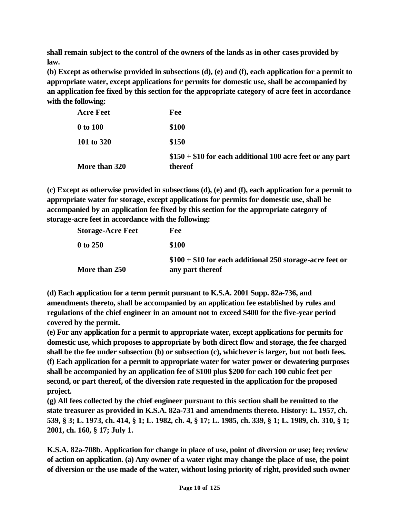**shall remain subject to the control of the owners of the lands as in other cases provided by law.** 

**(b) Except as otherwise provided in subsections (d), (e) and (f), each application for a permit to appropriate water, except applications for permits for domestic use, shall be accompanied by an application fee fixed by this section for the appropriate category of acre feet in accordance with the following:** 

| More than 320    | $$150 + $10$ for each additional 100 acre feet or any part<br>thereof |
|------------------|-----------------------------------------------------------------------|
| 101 to 320       | \$150                                                                 |
| 0 to 100         | \$100                                                                 |
| <b>Acre Feet</b> | Fee                                                                   |

**(c) Except as otherwise provided in subsections (d), (e) and (f), each application for a permit to appropriate water for storage, except applications for permits for domestic use, shall be accompanied by an application fee fixed by this section for the appropriate category of storage-acre feet in accordance with the following:** 

| More than 250            | $$100 + $10$ for each additional 250 storage-acre feet or<br>any part thereof |
|--------------------------|-------------------------------------------------------------------------------|
| 0 to 250                 | \$100                                                                         |
| <b>Storage-Acre Feet</b> | Fee                                                                           |

**(d) Each application for a term permit pursuant to K.S.A. 2001 Supp. 82a-736, and amendments thereto, shall be accompanied by an application fee established by rules and regulations of the chief engineer in an amount not to exceed \$400 for the five-year period covered by the permit.** 

**(e) For any application for a permit to appropriate water, except applications for permits for domestic use, which proposes to appropriate by both direct flow and storage, the fee charged shall be the fee under subsection (b) or subsection (c), whichever is larger, but not both fees. (f) Each application for a permit to appropriate water for water power or dewatering purposes shall be accompanied by an application fee of \$100 plus \$200 for each 100 cubic feet per second, or part thereof, of the diversion rate requested in the application for the proposed project.**

**(g) All fees collected by the chief engineer pursuant to this section shall be remitted to the state treasurer as provided in K.S.A. 82a-731 and amendments thereto. History: L. 1957, ch. 539, § 3; L. 1973, ch. 414, § 1; L. 1982, ch. 4, § 17; L. 1985, ch. 339, § 1; L. 1989, ch. 310, § 1; 2001, ch. 160, § 17; July 1.**

**K.S.A. 82a-708b. Application for change in place of use, point of diversion or use; fee; review of action on application. (a) Any owner of a water right may change the place of use, the point of diversion or the use made of the water, without losing priority of right, provided such owner**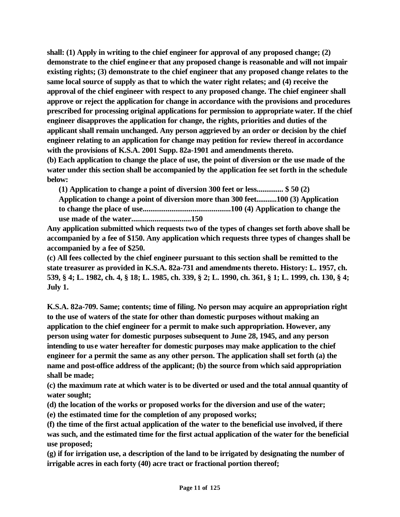**shall: (1) Apply in writing to the chief engineer for approval of any proposed change; (2) demonstrate to the chief engineer that any proposed change is reasonable and will not impair existing rights; (3) demonstrate to the chief engineer that any proposed change relates to the same local source of supply as that to which the water right relates; and (4) receive the approval of the chief engineer with respect to any proposed change. The chief engineer shall approve or reject the application for change in accordance with the provisions and procedures prescribed for processing original applications for permission to appropriate water. If the chief engineer disapproves the application for change, the rights, priorities and duties of the applicant shall remain unchanged. Any person aggrieved by an order or decision by the chief engineer relating to an application for change may petition for review thereof in accordance with the provisions of K.S.A. 2001 Supp. 82a-1901 and amendments thereto.** 

**(b) Each application to change the place of use, the point of diversion or the use made of the water under this section shall be accompanied by the application fee set forth in the schedule below:** 

**(1) Application to change a point of diversion 300 feet or less.............. \$ 50 (2) Application to change a point of diversion more than 300 feet...........100 (3) Application to change the place of use..............................................100 (4) Application to change the use made of the water...............................150** 

**Any application submitted which requests two of the types of changes set forth above shall be accompanied by a fee of \$150. Any application which requests three types of changes shall be accompanied by a fee of \$250.** 

**(c) All fees collected by the chief engineer pursuant to this section shall be remitted to the state treasurer as provided in K.S.A. 82a-731 and amendments thereto. History: L. 1957, ch. 539, § 4; L. 1982, ch. 4, § 18; L. 1985, ch. 339, § 2; L. 1990, ch. 361, § 1; L. 1999, ch. 130, § 4; July 1.** 

**K.S.A. 82a-709. Same; contents; time of filing. No person may acquire an appropriation right to the use of waters of the state for other than domestic purposes without making an application to the chief engineer for a permit to make such appropriation. However, any person using water for domestic purposes subsequent to June 28, 1945, and any person intending to use water hereafter for domestic purposes may make application to the chief engineer for a permit the same as any other person. The application shall set forth (a) the name and post-office address of the applicant; (b) the source from which said appropriation shall be made;** 

**(c) the maximum rate at which water is to be diverted or used and the total annual quantity of water sought;** 

**(d) the location of the works or proposed works for the diversion and use of the water;** 

**(e) the estimated time for the completion of any proposed works;** 

**(f) the time of the first actual application of the water to the beneficial use involved, if there was such, and the estimated time for the first actual application of the water for the beneficial use proposed;** 

**(g) if for irrigation use, a description of the land to be irrigated by designating the number of irrigable acres in each forty (40) acre tract or fractional portion thereof;**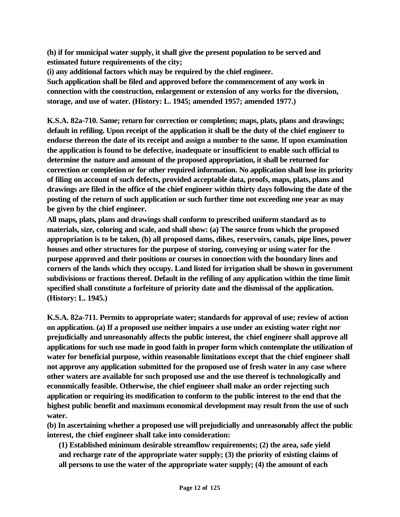**(h) if for municipal water supply, it shall give the present population to be served and estimated future requirements of the city;** 

**(i) any additional factors which may be required by the chief engineer.** 

**Such application shall be filed and approved before the commencement of any work in connection with the construction, enlargement or extension of any works for the diversion, storage, and use of water. (History: L. 1945; amended 1957; amended 1977.)**

**K.S.A. 82a-710. Same; return for correction or completion; maps, plats, plans and drawings; default in refiling. Upon receipt of the application it shall be the duty of the chief engineer to endorse thereon the date of its receipt and assign a number to the same. If upon examination the application is found to be defective, inadequate or insufficient to enable such official to determine the nature and amount of the proposed appropriation, it shall be returned for correction or completion or for other required information. No application shall lose its priority of filing on account of such defects, provided acceptable data, proofs, maps, plats, plans and drawings are filed in the office of the chief engineer within thirty days following the date of the posting of the return of such application or such further time not exceeding one year as may be given by the chief engineer.** 

**All maps, plats, plans and drawings shall conform to prescribed uniform standard as to materials, size, coloring and scale, and shall show: (a) The source from which the proposed appropriation is to be taken, (b) all proposed dams, dikes, reservoirs, canals, pipe lines, power houses and other structures for the purpose of storing, conveying or using water for the purpose approved and their positions or courses in connection with the boundary lines and corners of the lands which they occupy. Land listed for irrigation shall be shown in government subdivisions or fractions thereof. Default in the refiling of any application within the time limit specified shall constitute a forfeiture of priority date and the dismissal of the application. (History: L. 1945.)**

**K.S.A. 82a-711. Permits to appropriate water; standards for approval of use; review of action on application. (a) If a proposed use neither impairs a use under an existing water right nor prejudicially and unreasonably affects the public interest, the chief engineer shall approve all applications for such use made in good faith in proper form which contemplate the utilization of water for beneficial purpose, within reasonable limitations except that the chief engineer shall not approve any application submitted for the proposed use of fresh water in any case where other waters are available for such proposed use and the use thereof is technologically and economically feasible. Otherwise, the chief engineer shall make an order rejecting such application or requiring its modification to conform to the public interest to the end that the highest public benefit and maximum economical development may result from the use of such water.** 

**(b) In ascertaining whether a proposed use will prejudicially and unreasonably affect the public interest, the chief engineer shall take into consideration:** 

**(1) Established minimum desirable streamflow requirements; (2) the area, safe yield and recharge rate of the appropriate water supply; (3) the priority of existing claims of all persons to use the water of the appropriate water supply; (4) the amount of each**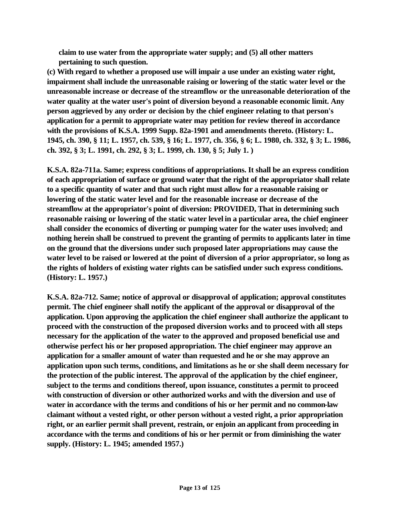**claim to use water from the appropriate water supply; and (5) all other matters pertaining to such question.** 

**(c) With regard to whether a proposed use will impair a use under an existing water right, impairment shall include the unreasonable raising or lowering of the static water level or the unreasonable increase or decrease of the streamflow or the unreasonable deterioration of the water quality at the water user's point of diversion beyond a reasonable economic limit. Any person aggrieved by any order or decision by the chief engineer relating to that person's application for a permit to appropriate water may petition for review thereof in accordance with the provisions of K.S.A. 1999 Supp. 82a-1901 and amendments thereto. (History: L. 1945, ch. 390, § 11; L. 1957, ch. 539, § 16; L. 1977, ch. 356, § 6; L. 1980, ch. 332, § 3; L. 1986, ch. 392, § 3; L. 1991, ch. 292, § 3; L. 1999, ch. 130, § 5; July 1. )**

**K.S.A. 82a-711a. Same; express conditions of appropriations. It shall be an express condition of each appropriation of surface or ground water that the right of the appropriator shall relate to a specific quantity of water and that such right must allow for a reasonable raising or lowering of the static water level and for the reasonable increase or decrease of the streamflow at the appropriator's point of diversion: PROVIDED, That in determining such reasonable raising or lowering of the static water level in a particular area, the chief engineer shall consider the economics of diverting or pumping water for the water uses involved; and nothing herein shall be construed to prevent the granting of permits to applicants later in time on the ground that the diversions under such proposed later appropriations may cause the water level to be raised or lowered at the point of diversion of a prior appropriator, so long as the rights of holders of existing water rights can be satisfied under such express conditions. (History: L. 1957.)**

**K.S.A. 82a-712. Same; notice of approval or disapproval of application; approval constitutes permit. The chief engineer shall notify the applicant of the approval or disapproval of the application. Upon approving the application the chief engineer shall authorize the applicant to proceed with the construction of the proposed diversion works and to proceed with all steps necessary for the application of the water to the approved and proposed beneficial use and otherwise perfect his or her proposed appropriation. The chief engineer may approve an application for a smaller amount of water than requested and he or she may approve an application upon such terms, conditions, and limitations as he or she shall deem necessary for the protection of the public interest. The approval of the application by the chief engineer, subject to the terms and conditions thereof, upon issuance, constitutes a permit to proceed with construction of diversion or other authorized works and with the diversion and use of water in accordance with the terms and conditions of his or her permit and no common-law claimant without a vested right, or other person without a vested right, a prior appropriation right, or an earlier permit shall prevent, restrain, or enjoin an applicant from proceeding in accordance with the terms and conditions of his or her permit or from diminishing the water supply. (History: L. 1945; amended 1957.)**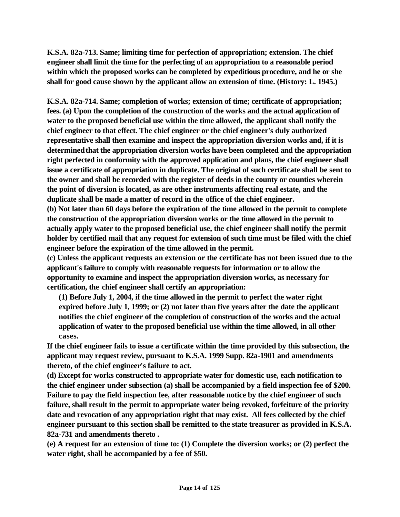**K.S.A. 82a-713. Same; limiting time for perfection of appropriation; extension. The chief engineer shall limit the time for the perfecting of an appropriation to a reasonable period within which the proposed works can be completed by expeditious procedure, and he or she shall for good cause shown by the applicant allow an extension of time. (History: L. 1945.)**

**K.S.A. 82a-714. Same; completion of works; extension of time; certificate of appropriation; fees. (a) Upon the completion of the construction of the works and the actual application of water to the proposed beneficial use within the time allowed, the applicant shall notify the chief engineer to that effect. The chief engineer or the chief engineer's duly authorized representative shall then examine and inspect the appropriation diversion works and, if it is determined that the appropriation diversion works have been completed and the appropriation right perfected in conformity with the approved application and plans, the chief engineer shall issue a certificate of appropriation in duplicate. The original of such certificate shall be sent to the owner and shall be recorded with the register of deeds in the county or counties wherein the point of diversion is located, as are other instruments affecting real estate, and the duplicate shall be made a matter of record in the office of the chief engineer.** 

**(b) Not later than 60 days before the expiration of the time allowed in the permit to complete the construction of the appropriation diversion works or the time allowed in the permit to actually apply water to the proposed beneficial use, the chief engineer shall notify the permit holder by certified mail that any request for extension of such time must be filed with the chief engineer before the expiration of the time allowed in the permit.** 

**(c) Unless the applicant requests an extension or the certificate has not been issued due to the applicant's failure to comply with reasonable requests for information or to allow the opportunity to examine and inspect the appropriation diversion works, as necessary for certification, the chief engineer shall certify an appropriation:** 

**(1) Before July 1, 2004, if the time allowed in the permit to perfect the water right expired before July 1, 1999; or (2) not later than five years after the date the applicant notifies the chief engineer of the completion of construction of the works and the actual application of water to the proposed beneficial use within the time allowed, in all other cases.** 

**If the chief engineer fails to issue a certificate within the time provided by this subsection, the applicant may request review, pursuant to K.S.A. 1999 Supp. 82a-1901 and amendments thereto, of the chief engineer's failure to act.** 

**(d) Except for works constructed to appropriate water for domestic use, each notification to the chief engineer under subsection (a) shall be accompanied by a field inspection fee of \$200. Failure to pay the field inspection fee, after reasonable notice by the chief engineer of such failure, shall result in the permit to appropriate water being revoked, forfeiture of the priority date and revocation of any appropriation right that may exist. All fees collected by the chief engineer pursuant to this section shall be remitted to the state treasurer as provided in K.S.A. 82a-731 and amendments thereto .**

**(e) A request for an extension of time to: (1) Complete the diversion works; or (2) perfect the water right, shall be accompanied by a fee of \$50.**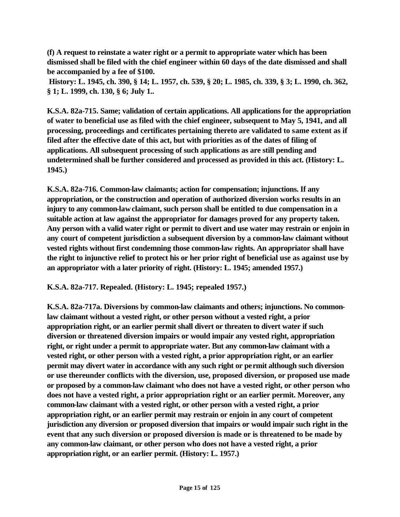**(f) A request to reinstate a water right or a permit to appropriate water which has been dismissed shall be filed with the chief engineer within 60 days of the date dismissed and shall be accompanied by a fee of \$100.**

 **History: L. 1945, ch. 390, § 14; L. 1957, ch. 539, § 20; L. 1985, ch. 339, § 3; L. 1990, ch. 362, § 1; L. 1999, ch. 130, § 6; July 1..**

**K.S.A. 82a-715. Same; validation of certain applications. All applications for the appropriation of water to beneficial use as filed with the chief engineer, subsequent to May 5, 1941, and all processing, proceedings and certificates pertaining thereto are validated to same extent as if filed after the effective date of this act, but with priorities as of the dates of filing of applications. All subsequent processing of such applications as are still pending and undetermined shall be further considered and processed as provided in this act. (History: L. 1945.)**

**K.S.A. 82a-716. Common-law claimants; action for compensation; injunctions. If any appropriation, or the construction and operation of authorized diversion works results in an injury to any common-law claimant, such person shall be entitled to due compensation in a suitable action at law against the appropriator for damages proved for any property taken. Any person with a valid water right or permit to divert and use water may restrain or enjoin in any court of competent jurisdiction a subsequent diversion by a common-law claimant without vested rights without first condemning those common-law rights. An appropriator shall have the right to injunctive relief to protect his or her prior right of beneficial use as against use by an appropriator with a later priority of right. (History: L. 1945; amended 1957.)**

**K.S.A. 82a-717. Repealed. (History: L. 1945; repealed 1957.)**

**K.S.A. 82a-717a. Diversions by common-law claimants and others; injunctions. No commonlaw claimant without a vested right, or other person without a vested right, a prior appropriation right, or an earlier permit shall divert or threaten to divert water if such diversion or threatened diversion impairs or would impair any vested right, appropriation right, or right under a permit to appropriate water. But any common-law claimant with a vested right, or other person with a vested right, a prior appropriation right, or an earlier permit may divert water in accordance with any such right or permit although such diversion or use thereunder conflicts with the diversion, use, proposed diversion, or proposed use made or proposed by a common-law claimant who does not have a vested right, or other person who does not have a vested right, a prior appropriation right or an earlier permit. Moreover, any common-law claimant with a vested right, or other person with a vested right, a prior appropriation right, or an earlier permit may restrain or enjoin in any court of competent jurisdiction any diversion or proposed diversion that impairs or would impair such right in the event that any such diversion or proposed diversion is made or is threatened to be made by any common-law claimant, or other person who does not have a vested right, a prior appropriation right, or an earlier permit. (History: L. 1957.)**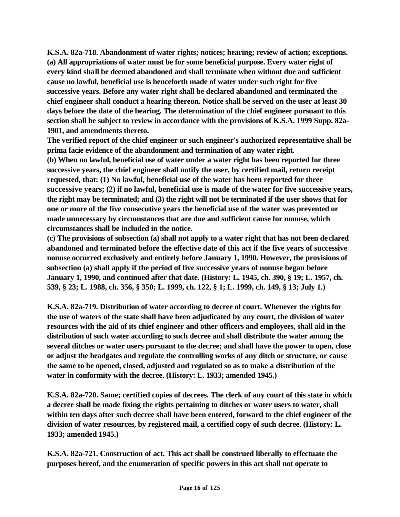**K.S.A. 82a-718. Abandonment of water rights; notices; hearing; review of action; exceptions. (a) All appropriations of water must be for some beneficial purpose. Every water right of every kind shall be deemed abandoned and shall terminate when without due and sufficient cause no lawful, beneficial use is henceforth made of water under such right for five successive years. Before any water right shall be declared abandoned and terminated the chief engineer shall conduct a hearing thereon. Notice shall be served on the user at least 30 days before the date of the hearing. The determination of the chief engineer pursuant to this section shall be subject to review in accordance with the provisions of K.S.A. 1999 Supp. 82a-1901, and amendments thereto.** 

**The verified report of the chief engineer or such engineer's authorized representative shall be prima facie evidence of the abandonment and termination of any water right.** 

**(b) When no lawful, beneficial use of water under a water right has been reported for three successive years, the chief engineer shall notify the user, by certified mail, return receipt requested, that: (1) No lawful, beneficial use of the water has been reported for three successive years; (2) if no lawful, beneficial use is made of the water for five successive years, the right may be terminated; and (3) the right will not be terminated if the user shows that for one or more of the five consecutive years the beneficial use of the water was prevented or made unnecessary by circumstances that are due and sufficient cause for nonuse, which circumstances shall be included in the notice.** 

**(c) The provisions of subsection (a) shall not apply to a water right that has not been declared abandoned and terminated before the effective date of this act if the five years of successive nonuse occurred exclusively and entirely before January 1, 1990. However, the provisions of subsection (a) shall apply if the period of five successive years of nonuse began before January 1, 1990, and continued after that date. (History: L. 1945, ch. 390, § 19; L. 1957, ch. 539, § 23; L. 1988, ch. 356, § 350; L. 1999, ch. 122, § 1; L. 1999, ch. 149, § 13; July 1.)** 

**K.S.A. 82a-719. Distribution of water according to decree of court. Whenever the rights for the use of waters of the state shall have been adjudicated by any court, the division of water resources with the aid of its chief engineer and other officers and employees, shall aid in the distribution of such water according to such decree and shall distribute the water among the several ditches or water users pursuant to the decree; and shall have the power to open, close or adjust the headgates and regulate the controlling works of any ditch or structure, or cause the same to be opened, closed, adjusted and regulated so as to make a distribution of the water in conformity with the decree. (History: L. 1933; amended 1945.)** 

**K.S.A. 82a-720. Same; certified copies of decrees. The clerk of any court of this state in which a decree shall be made fixing the rights pertaining to ditches or water users to water, shall within ten days after such decree shall have been entered, forward to the chief engineer of the division of water resources, by registered mail, a certified copy of such decree. (History: L. 1933; amended 1945.)** 

**K.S.A. 82a-721. Construction of act. This act shall be construed liberally to effectuate the purposes hereof, and the enumeration of specific powers in this act shall not operate to**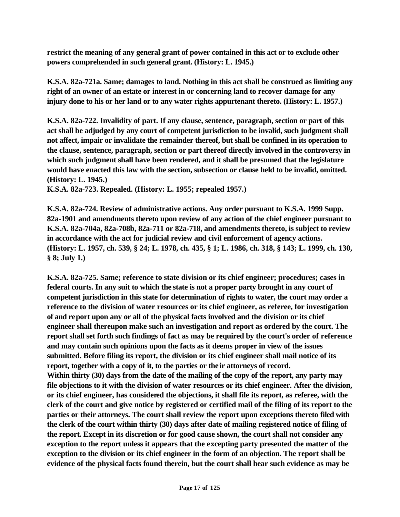**restrict the meaning of any general grant of power contained in this act or to exclude other powers comprehended in such general grant. (History: L. 1945.)** 

**K.S.A. 82a-721a. Same; damages to land. Nothing in this act shall be construed as limiting any right of an owner of an estate or interest in or concerning land to recover damage for any injury done to his or her land or to any water rights appurtenant thereto. (History: L. 1957.)**

**K.S.A. 82a-722. Invalidity of part. If any clause, sentence, paragraph, section or part of this act shall be adjudged by any court of competent jurisdiction to be invalid, such judgment shall not affect, impair or invalidate the remainder thereof, but shall be confined in its operation to the clause, sentence, paragraph, section or part thereof directly involved in the controversy in which such judgment shall have been rendered, and it shall be presumed that the legislature would have enacted this law with the section, subsection or clause held to be invalid, omitted. (History: L. 1945.)**

**K.S.A. 82a-723. Repealed. (History: L. 1955; repealed 1957.)** 

**K.S.A. 82a-724. Review of administrative actions. Any order pursuant to K.S.A. 1999 Supp. 82a-1901 and amendments thereto upon review of any action of the chief engineer pursuant to K.S.A. 82a-704a, 82a-708b, 82a-711 or 82a-718, and amendments thereto, is subject to review in accordance with the act for judicial review and civil enforcement of agency actions. (History: L. 1957, ch. 539, § 24; L. 1978, ch. 435, § 1; L. 1986, ch. 318, § 143; L. 1999, ch. 130, § 8; July 1.)** 

**K.S.A. 82a-725. Same; reference to state division or its chief engineer; procedures; cases in federal courts. In any suit to which the state is not a proper party brought in any court of competent jurisdiction in this state for determination of rights to water, the court may order a reference to the division of water resources or its chief engineer, as referee, for investigation of and report upon any or all of the physical facts involved and the division or its chief engineer shall thereupon make such an investigation and report as ordered by the court. The report shall set forth such findings of fact as may be required by the court's order of reference and may contain such opinions upon the facts as it deems proper in view of the issues submitted. Before filing its report, the division or its chief engineer shall mail notice of its report, together with a copy of it, to the parties or their attorneys of record. Within thirty (30) days from the date of the mailing of the copy of the report, any party may file objections to it with the division of water resources or its chief engineer. After the division, or its chief engineer, has considered the objections, it shall file its report, as referee, with the clerk of the court and give notice by registered or certified mail of the filing of its report to the parties or their attorneys. The court shall review the report upon exceptions thereto filed with the clerk of the court within thirty (30) days after date of mailing registered notice of filing of the report. Except in its discretion or for good cause shown, the court shall not consider any exception to the report unless it appears that the excepting party presented the matter of the exception to the division or its chief engineer in the form of an objection. The report shall be evidence of the physical facts found therein, but the court shall hear such evidence as may be**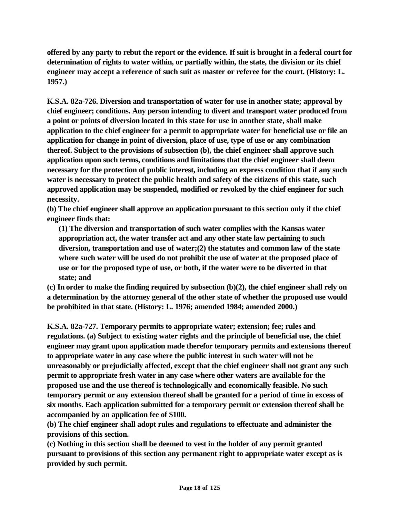**offered by any party to rebut the report or the evidence. If suit is brought in a federal court for determination of rights to water within, or partially within, the state, the division or its chief engineer may accept a reference of such suit as master or referee for the court. (History: L. 1957.)**

**K.S.A. 82a-726. Diversion and transportation of water for use in another state; approval by chief engineer; conditions. Any person intending to divert and transport water produced from a point or points of diversion located in this state for use in another state, shall make application to the chief engineer for a permit to appropriate water for beneficial use or file an application for change in point of diversion, place of use, type of use or any combination thereof. Subject to the provisions of subsection (b), the chief engineer shall approve such application upon such terms, conditions and limitations that the chief engineer shall deem necessary for the protection of public interest, including an express condition that if any such water is necessary to protect the public health and safety of the citizens of this state, such approved application may be suspended, modified or revoked by the chief engineer for such necessity.** 

**(b) The chief engineer shall approve an application pursuant to this section only if the chief engineer finds that:**

**(1) The diversion and transportation of such water complies with the Kansas water appropriation act, the water transfer act and any other state law pertaining to such diversion, transportation and use of water;(2) the statutes and common law of the state where such water will be used do not prohibit the use of water at the proposed place of use or for the proposed type of use, or both, if the water were to be diverted in that state; and**

**(c) In order to make the finding required by subsection (b)(2), the chief engineer shall rely on a determination by the attorney general of the other state of whether the proposed use would be prohibited in that state. (History: L. 1976; amended 1984; amended 2000.)**

**K.S.A. 82a-727. Temporary permits to appropriate water; extension; fee; rules and regulations. (a) Subject to existing water rights and the principle of beneficial use, the chief engineer may grant upon application made therefor temporary permits and extensions thereof to appropriate water in any case where the public interest in such water will not be unreasonably or prejudicially affected, except that the chief engineer shall not grant any such permit to appropriate fresh water in any case where other waters are available for the proposed use and the use thereof is technologically and economically feasible. No such temporary permit or any extension thereof shall be granted for a period of time in excess of six months. Each application submitted for a temporary permit or extension thereof shall be accompanied by an application fee of \$100.** 

**(b) The chief engineer shall adopt rules and regulations to effectuate and administer the provisions of this section.**

**(c) Nothing in this section shall be deemed to vest in the holder of any permit granted pursuant to provisions of this section any permanent right to appropriate water except as is provided by such permit.**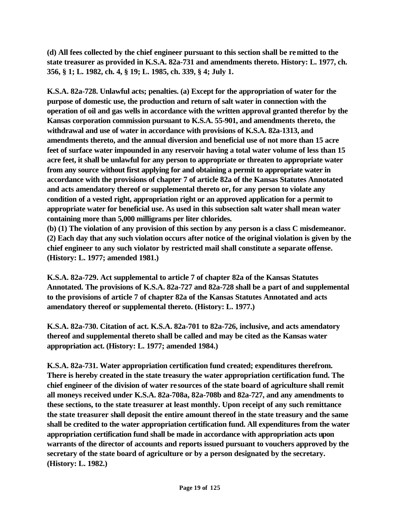**(d) All fees collected by the chief engineer pursuant to this section shall be remitted to the state treasurer as provided in K.S.A. 82a-731 and amendments thereto. History: L. 1977, ch. 356, § 1; L. 1982, ch. 4, § 19; L. 1985, ch. 339, § 4; July 1.**

**K.S.A. 82a-728. Unlawful acts; penalties. (a) Except for the appropriation of water for the purpose of domestic use, the production and return of salt water in connection with the operation of oil and gas wells in accordance with the written approval granted therefor by the Kansas corporation commission pursuant to K.S.A. 55-901, and amendments thereto, the withdrawal and use of water in accordance with provisions of K.S.A. 82a-1313, and amendments thereto, and the annual diversion and beneficial use of not more than 15 acre feet of surface water impounded in any reservoir having a total water volume of less than 15 acre feet, it shall be unlawful for any person to appropriate or threaten to appropriate water from any source without first applying for and obtaining a permit to appropriate water in accordance with the provisions of chapter 7 of article 82a of the Kansas Statutes Annotated and acts amendatory thereof or supplemental thereto or, for any person to violate any condition of a vested right, appropriation right or an approved application for a permit to appropriate water for beneficial use. As used in this subsection salt water shall mean water containing more than 5,000 milligrams per liter chlorides.** 

**(b) (1) The violation of any provision of this section by any person is a class C misdemeanor. (2) Each day that any such violation occurs after notice of the original violation is given by the chief engineer to any such violator by restricted mail shall constitute a separate offense. (History: L. 1977; amended 1981.)**

**K.S.A. 82a-729. Act supplemental to article 7 of chapter 82a of the Kansas Statutes Annotated. The provisions of K.S.A. 82a-727 and 82a-728 shall be a part of and supplemental to the provisions of article 7 of chapter 82a of the Kansas Statutes Annotated and acts amendatory thereof or supplemental thereto. (History: L. 1977.)**

**K.S.A. 82a-730. Citation of act. K.S.A. 82a-701 to 82a-726, inclusive, and acts amendatory thereof and supplemental thereto shall be called and may be cited as the Kansas water appropriation act. (History: L. 1977; amended 1984.)**

**K.S.A. 82a-731. Water appropriation certification fund created; expenditures therefrom. There is hereby created in the state treasury the water appropriation certification fund. The chief engineer of the division of water resources of the state board of agriculture shall remit all moneys received under K.S.A. 82a-708a, 82a-708b and 82a-727, and any amendments to these sections, to the state treasurer at least monthly. Upon receipt of any such remittance the state treasurer shall deposit the entire amount thereof in the state treasury and the same shall be credited to the water appropriation certification fund. All expenditures from the water appropriation certification fund shall be made in accordance with appropriation acts upon warrants of the director of accounts and reports issued pursuant to vouchers approved by the secretary of the state board of agriculture or by a person designated by the secretary. (History: L. 1982.)**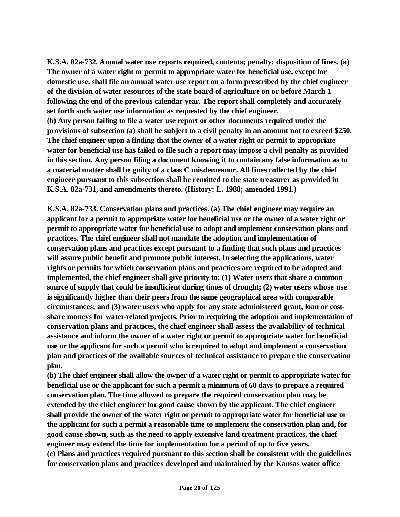**K.S.A. 82a-732. Annual water use reports required, contents; penalty; disposition of fines. (a) The owner of a water right or permit to appropriate water for beneficial use, except for domestic use, shall file an annual water use report on a form prescribed by the chief engineer of the division of water resources of the state board of agriculture on or before March 1 following the end of the previous calendar year. The report shall completely and accurately set forth such water use information as requested by the chief engineer. (b) Any person failing to file a water use report or other documents required under the** 

**provisions of subsection (a) shall be subject to a civil penalty in an amount not to exceed \$250. The chief engineer upon a finding that the owner of a water right or permit to appropriate water for beneficial use has failed to file such a report may impose a civil penalty as provided in this section. Any person filing a document knowing it to contain any false information as to a material matter shall be guilty of a class C misdemeanor. All fines collected by the chief engineer pursuant to this subsection shall be remitted to the state treasurer as provided in K.S.A. 82a-731, and amendments thereto. (History: L. 1988; amended 1991.)**

**K.S.A. 82a-733. Conservation plans and practices. (a) The chief engineer may require an applicant for a permit to appropriate water for beneficial use or the owner of a water right or permit to appropriate water for beneficial use to adopt and implement conservation plans and practices. The chief engineer shall not mandate the adoption and implementation of conservation plans and practices except pursuant to a finding that such plans and practices will assure public benefit and promote public interest. In selecting the applications, water rights or permits for which conservation plans and practices are required to be adopted and implemented, the chief engineer shall give priority to: (1) Water users that share a common source of supply that could be insufficient during times of drought; (2) water users whose use is significantly higher than their peers from the same geographical area with comparable circumstances; and (3) water users who apply for any state administered grant, loan or costshare moneys for water-related projects. Prior to requiring the adoption and implementation of conservation plans and practices, the chief engineer shall assess the availability of technical assistance and inform the owner of a water right or permit to appropriate water for beneficial use or the applicant for such a permit who is required to adopt and implement a conservation plan and practices of the available sources of technical assistance to prepare the conservation plan.**

**(b) The chief engineer shall allow the owner of a water right or permit to appropriate water for beneficial use or the applicant for such a permit a minimum of 60 days to prepare a required conservation plan. The time allowed to prepare the required conservation plan may be extended by the chief engineer for good cause shown by the applicant. The chief engineer shall provide the owner of the water right or permit to appropriate water for beneficial use or the applicant for such a permit a reasonable time to implement the conservation plan and, for good cause shown, such as the need to apply extensive land treatment practices, the chief engineer may extend the time for implementation for a period of up to five years. (c) Plans and practices required pursuant to this section shall be consistent with the guidelines for conservation plans and practices developed and maintained by the Kansas water office**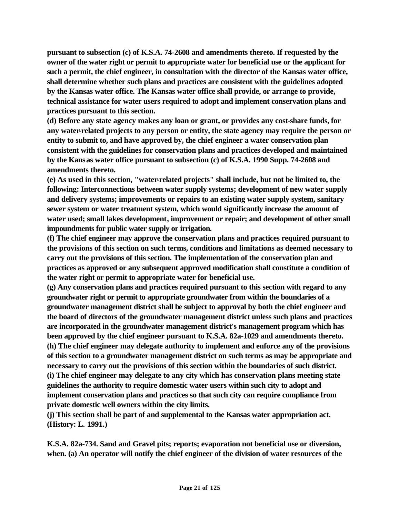**pursuant to subsection (c) of K.S.A. 74-2608 and amendments thereto. If requested by the owner of the water right or permit to appropriate water for beneficial use or the applicant for such a permit, the chief engineer, in consultation with the director of the Kansas water office, shall determine whether such plans and practices are consistent with the guidelines adopted by the Kansas water office. The Kansas water office shall provide, or arrange to provide, technical assistance for water users required to adopt and implement conservation plans and practices pursuant to this section.**

**(d) Before any state agency makes any loan or grant, or provides any cost-share funds, for any water-related projects to any person or entity, the state agency may require the person or entity to submit to, and have approved by, the chief engineer a water conservation plan consistent with the guidelines for conservation plans and practices developed and maintained by the Kansas water office pursuant to subsection (c) of K.S.A. 1990 Supp. 74-2608 and amendments thereto.**

**(e) As used in this section, "water-related projects" shall include, but not be limited to, the following: Interconnections between water supply systems; development of new water supply and delivery systems; improvements or repairs to an existing water supply system, sanitary sewer system or water treatment system, which would significantly increase the amount of water used; small lakes development, improvement or repair; and development of other small impoundments for public water supply or irrigation.**

**(f) The chief engineer may approve the conservation plans and practices required pursuant to the provisions of this section on such terms, conditions and limitations as deemed necessary to carry out the provisions of this section. The implementation of the conservation plan and practices as approved or any subsequent approved modification shall constitute a condition of the water right or permit to appropriate water for beneficial use.**

**(g) Any conservation plans and practices required pursuant to this section with regard to any groundwater right or permit to appropriate groundwater from within the boundaries of a groundwater management district shall be subject to approval by both the chief engineer and the board of directors of the groundwater management district unless such plans and practices are incorporated in the groundwater management district's management program which has been approved by the chief engineer pursuant to K.S.A. 82a-1029 and amendments thereto. (h) The chief engineer may delegate authority to implement and enforce any of the provisions of this section to a groundwater management district on such terms as may be appropriate and necessary to carry out the provisions of this section within the boundaries of such district. (i) The chief engineer may delegate to any city which has conservation plans meeting state guidelines the authority to require domestic water users within such city to adopt and implement conservation plans and practices so that such city can require compliance from private domestic well owners within the city limits.**

**(j) This section shall be part of and supplemental to the Kansas water appropriation act. (History: L. 1991.)**

**K.S.A. 82a-734. Sand and Gravel pits; reports; evaporation not beneficial use or diversion, when. (a) An operator will notify the chief engineer of the division of water resources of the**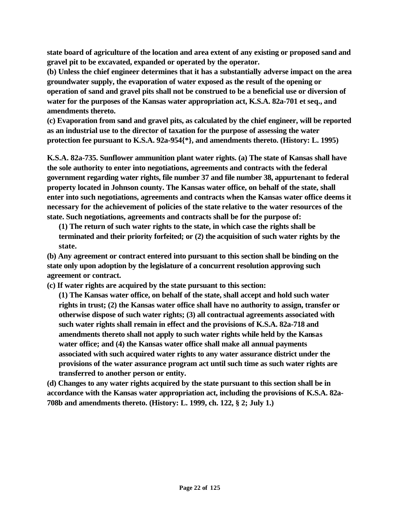**state board of agriculture of the location and area extent of any existing or proposed sand and gravel pit to be excavated, expanded or operated by the operator.**

**(b) Unless the chief engineer determines that it has a substantially adverse impact on the area groundwater supply, the evaporation of water exposed as the result of the opening or operation of sand and gravel pits shall not be construed to be a beneficial use or diversion of water for the purposes of the Kansas water appropriation act, K.S.A. 82a-701 et seq., and amendments thereto.**

**(c) Evaporation from sand and gravel pits, as calculated by the chief engineer, will be reported as an industrial use to the director of taxation for the purpose of assessing the water protection fee pursuant to K.S.A. 92a-954{\*}, and amendments thereto. (History: L. 1995)**

**K.S.A. 82a-735. Sunflower ammunition plant water rights. (a) The state of Kansas shall have the sole authority to enter into negotiations, agreements and contracts with the federal government regarding water rights, file number 37 and file number 38, appurtenant to federal property located in Johnson county. The Kansas water office, on behalf of the state, shall enter into such negotiations, agreements and contracts when the Kansas water office deems it necessary for the achievement of policies of the state relative to the water resources of the state. Such negotiations, agreements and contracts shall be for the purpose of:** 

**(1) The return of such water rights to the state, in which case the rights shall be terminated and their priority forfeited; or (2) the acquisition of such water rights by the state.** 

**(b) Any agreement or contract entered into pursuant to this section shall be binding on the state only upon adoption by the legislature of a concurrent resolution approving such agreement or contract.** 

**(c) If water rights are acquired by the state pursuant to this section:** 

**(1) The Kansas water office, on behalf of the state, shall accept and hold such water rights in trust; (2) the Kansas water office shall have no authority to assign, transfer or otherwise dispose of such water rights; (3) all contractual agreements associated with such water rights shall remain in effect and the provisions of K.S.A. 82a-718 and amendments thereto shall not apply to such water rights while held by the Kansas water office; and (4) the Kansas water office shall make all annual payments associated with such acquired water rights to any water assurance district under the provisions of the water assurance program act until such time as such water rights are transferred to another person or entity.** 

**(d) Changes to any water rights acquired by the state pursuant to this section shall be in accordance with the Kansas water appropriation act, including the provisions of K.S.A. 82a-708b and amendments thereto. (History: L. 1999, ch. 122, § 2; July 1.)**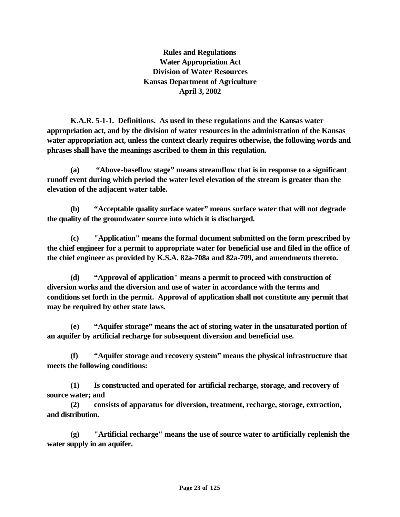**Rules and Regulations Water Appropriation Act Division of Water Resources Kansas Department of Agriculture April 3, 2002**

 **K.A.R. 5-1-1. Definitions. As used in these regulations and the Kansas water appropriation act, and by the division of water resources in the administration of the Kansas water appropriation act, unless the context clearly requires otherwise, the following words and phrases shall have the meanings ascribed to them in this regulation.** 

**(a) "Above-baseflow stage" means streamflow that is in response to a significant runoff event during which period the water level elevation of the stream is greater than the elevation of the adjacent water table.**

**(b) "Acceptable quality surface water" means surface water that will not degrade the quality of the groundwater source into which it is discharged.**

**(c) "Application" means the formal document submitted on the form prescribed by the chief engineer for a permit to appropriate water for beneficial use and filed in the office of the chief engineer as provided by K.S.A. 82a-708a and 82a-709, and amendments thereto.** 

**(d) "Approval of application" means a permit to proceed with construction of diversion works and the diversion and use of water in accordance with the terms and conditions set forth in the permit. Approval of application shall not constitute any permit that may be required by other state laws.**

**(e) "Aquifer storage" means the act of storing water in the unsaturated portion of an aquifer by artificial recharge for subsequent diversion and beneficial use.**

**(f) "Aquifer storage and recovery system" means the physical infrastructure that meets the following conditions:**

**(1) Is constructed and operated for artificial recharge, storage, and recovery of source water; and**

**(2) consists of apparatus for diversion, treatment, recharge, storage, extraction, and distribution.**

**(g) "Artificial recharge" means the use of source water to artificially replenish the water supply in an aquifer.**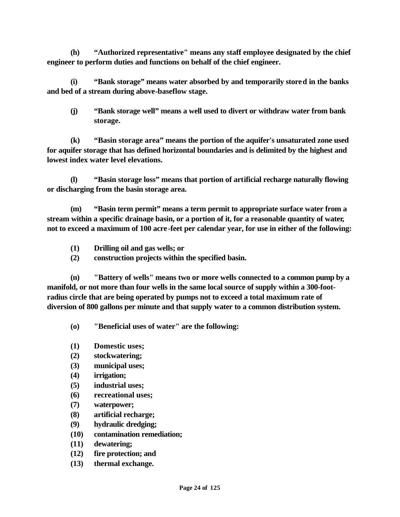**(h) "Authorized representative" means any staff employee designated by the chief engineer to perform duties and functions on behalf of the chief engineer.** 

**(i) "Bank storage" means water absorbed by and temporarily stored in the banks and bed of a stream during above-baseflow stage.** 

**(j) "Bank storage well" means a well used to divert or withdraw water from bank storage.** 

**(k) "Basin storage area" means the portion of the aquifer's unsaturated zone used for aquifer storage that has defined horizontal boundaries and is delimited by the highest and lowest index water level elevations.**

**(l) "Basin storage loss" means that portion of artificial recharge naturally flowing or discharging from the basin storage area.**

**(m) "Basin term permit" means a term permit to appropriate surface water from a stream within a specific drainage basin, or a portion of it, for a reasonable quantity of water, not to exceed a maximum of 100 acre-feet per calendar year, for use in either of the following:** 

- **(1) Drilling oil and gas wells; or**
- **(2) construction projects within the specified basin.**

**(n) "Battery of wells" means two or more wells connected to a common pump by a manifold, or not more than four wells in the same local source of supply within a 300-footradius circle that are being operated by pumps not to exceed a total maximum rate of diversion of 800 gallons per minute and that supply water to a common distribution system.**

**(o) "Beneficial uses of water" are the following:**

- **(1) Domestic uses;**
- **(2) stockwatering;**
- **(3) municipal uses;**
- **(4) irrigation;**
- **(5) industrial uses;**
- **(6) recreational uses;**
- **(7) waterpower;**
- **(8) artificial recharge;**
- **(9) hydraulic dredging;**
- **(10) contamination remediation;**
- **(11) dewatering;**
- **(12) fire protection; and**
- **(13) thermal exchange.**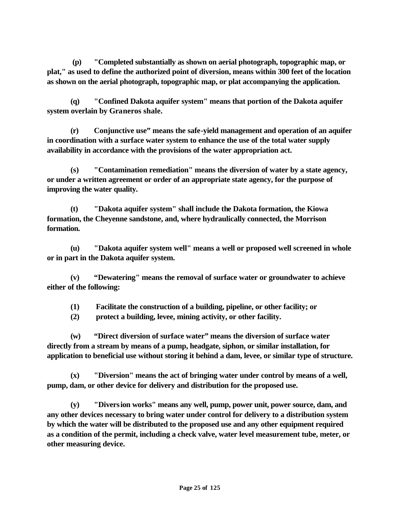**(p) "Completed substantially as shown on aerial photograph, topographic map, or plat," as used to define the authorized point of diversion, means within 300 feet of the location as shown on the aerial photograph, topographic map, or plat accompanying the application.** 

**(q) "Confined Dakota aquifer system" means that portion of the Dakota aquifer system overlain by Graneros shale.**

**(r) Conjunctive use" means the safe-yield management and operation of an aquifer in coordination with a surface water system to enhance the use of the total water supply availability in accordance with the provisions of the water appropriation act.** 

**(s) "Contamination remediation" means the diversion of water by a state agency, or under a written agreement or order of an appropriate state agency, for the purpose of improving the water quality.**

**(t) "Dakota aquifer system" shall include the Dakota formation, the Kiowa formation, the Cheyenne sandstone, and, where hydraulically connected, the Morrison formation.**

**(u) "Dakota aquifer system well" means a well or proposed well screened in whole or in part in the Dakota aquifer system.**

**(v) "Dewatering" means the removal of surface water or groundwater to achieve either of the following:**

**(1) Facilitate the construction of a building, pipeline, or other facility; or**

**(2) protect a building, levee, mining activity, or other facility.**

**(w) "Direct diversion of surface water" means the diversion of surface water directly from a stream by means of a pump, headgate, siphon, or similar installation, for application to beneficial use without storing it behind a dam, levee, or similar type of structure.** 

**(x) "Diversion" means the act of bringing water under control by means of a well, pump, dam, or other device for delivery and distribution for the proposed use.** 

**(y) "Diversion works" means any well, pump, power unit, power source, dam, and any other devices necessary to bring water under control for delivery to a distribution system by which the water will be distributed to the proposed use and any other equipment required as a condition of the permit, including a check valve, water level measurement tube, meter, or other measuring device.**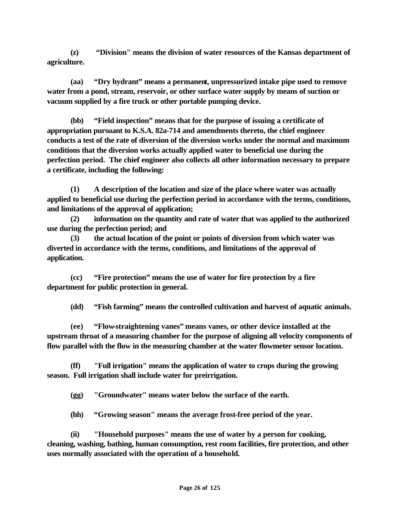**(z) "Division" means the division of water resources of the Kansas department of agriculture.** 

**(aa) "Dry hydrant" means a permanent, unpressurized intake pipe used to remove water from a pond, stream, reservoir, or other surface water supply by means of suction or vacuum supplied by a fire truck or other portable pumping device.**

**(bb) "Field inspection" means that for the purpose of issuing a certificate of appropriation pursuant to K.S.A. 82a-714 and amendments thereto, the chief engineer conducts a test of the rate of diversion of the diversion works under the normal and maximum conditions that the diversion works actually applied water to beneficial use during the perfection period. The chief engineer also collects all other information necessary to prepare a certificate, including the following:** 

**(1) A description of the location and size of the place where water was actually applied to beneficial use during the perfection period in accordance with the terms, conditions, and limitations of the approval of application;**

**(2) information on the quantity and rate of water that was applied to the authorized use during the perfection period; and**

**(3) the actual location of the point or points of diversion from which water was diverted in accordance with the terms, conditions, and limitations of the approval of application.**

**(cc) "Fire protection" means the use of water for fire protection by a fire department for public protection in general.**

**(dd) "Fish farming" means the controlled cultivation and harvest of aquatic animals.**

**(ee) "Flow-straightening vanes" means vanes, or other device installed at the upstream throat of a measuring chamber for the purpose of aligning all velocity components of flow parallel with the flow in the measuring chamber at the water flowmeter sensor location.** 

**(ff) "Full irrigation" means the application of water to crops during the growing season. Full irrigation shall include water for preirrigation.** 

**(gg) "Groundwater" means water below the surface of the earth.** 

**(hh) "Growing season" means the average frost-free period of the year.** 

**(ii) "Household purposes" means the use of water by a person for cooking, cleaning, washing, bathing, human consumption, rest room facilities, fire protection, and other uses normally associated with the operation of a household.**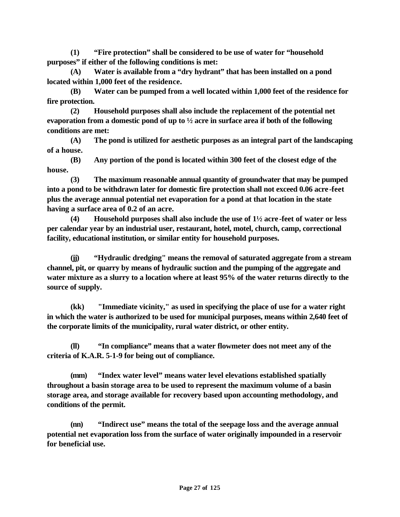**(1) "Fire protection" shall be considered to be use of water for "household purposes" if either of the following conditions is met:**

**(A) Water is available from a "dry hydrant" that has been installed on a pond located within 1,000 feet of the residence.**

**(B) Water can be pumped from a well located within 1,000 feet of the residence for fire protection.**

**(2) Household purposes shall also include the replacement of the potential net evaporation from a domestic pond of up to ½ acre in surface area if both of the following conditions are met:**

**(A) The pond is utilized for aesthetic purposes as an integral part of the landscaping of a house.**

**(B) Any portion of the pond is located within 300 feet of the closest edge of the house.**

**(3) The maximum reasonable annual quantity of groundwater that may be pumped into a pond to be withdrawn later for domestic fire protection shall not exceed 0.06 acre-feet plus the average annual potential net evaporation for a pond at that location in the state having a surface area of 0.2 of an acre.**

**(4) Household purposes shall also include the use of 1½ acre -feet of water or less per calendar year by an industrial user, restaurant, hotel, motel, church, camp, correctional facility, educational institution, or similar entity for household purposes.** 

**(jj) "Hydraulic dredging" means the removal of saturated aggregate from a stream channel, pit, or quarry by means of hydraulic suction and the pumping of the aggregate and water mixture as a slurry to a location where at least 95% of the water returns directly to the source of supply.**

**(kk) "Immediate vicinity," as used in specifying the place of use for a water right in which the water is authorized to be used for municipal purposes, means within 2,640 feet of the corporate limits of the municipality, rural water district, or other entity.**

**(ll) "In compliance" means that a water flowmeter does not meet any of the criteria of K.A.R. 5-1-9 for being out of compliance.**

**(mm) "Index water level" means water level elevations established spatially throughout a basin storage area to be used to represent the maximum volume of a basin storage area, and storage available for recovery based upon accounting methodology, and conditions of the permit.**

**(nn) "Indirect use" means the total of the seepage loss and the average annual potential net evaporation loss from the surface of water originally impounded in a reservoir for beneficial use.**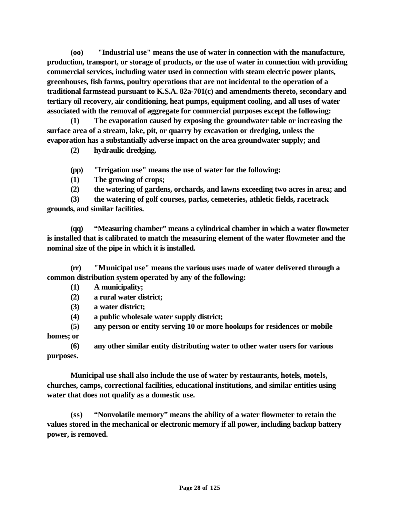**(oo) "Industrial use" means the use of water in connection with the manufacture, production, transport, or storage of products, or the use of water in connection with providing commercial services, including water used in connection with steam electric power plants, greenhouses, fish farms, poultry operations that are not incidental to the operation of a traditional farmstead pursuant to K.S.A. 82a-701(c) and amendments thereto, secondary and tertiary oil recovery, air conditioning, heat pumps, equipment cooling, and all uses of water associated with the removal of aggregate for commercial purposes except the following:**

**(1) The evaporation caused by exposing the groundwater table or increasing the surface area of a stream, lake, pit, or quarry by excavation or dredging, unless the evaporation has a substantially adverse impact on the area groundwater supply; and**

**(2) hydraulic dredging.**

**(pp) "Irrigation use" means the use of water for the following:**

**(1) The growing of crops;** 

**(2) the watering of gardens, orchards, and lawns exceeding two acres in area; and** 

**(3) the watering of golf courses, parks, cemeteries, athletic fields, racetrack grounds, and similar facilities.** 

**(qq) "Measuring chamber" means a cylindrical chamber in which a water flowmeter is installed that is calibrated to match the measuring element of the water flowmeter and the nominal size of the pipe in which it is installed.**

**(rr) "Municipal use" means the various uses made of water delivered through a common distribution system operated by any of the following:** 

**(1) A municipality;**

**(2) a rural water district;** 

**(3) a water district;** 

**(4) a public wholesale water supply district;** 

**(5) any person or entity serving 10 or more hookups for residences or mobile homes; or** 

**(6) any other similar entity distributing water to other water users for various purposes.** 

**Municipal use shall also include the use of water by restaurants, hotels, motels, churches, camps, correctional facilities, educational institutions, and similar entities using water that does not qualify as a domestic use.**

**(ss) "Nonvolatile memory" means the ability of a water flowmeter to retain the values stored in the mechanical or electronic memory if all power, including backup battery power, is removed.**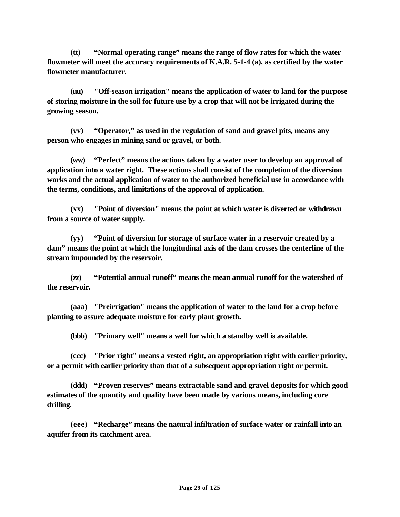**(tt) "Normal operating range" means the range of flow rates for which the water flowmeter will meet the accuracy requirements of K.A.R. 5-1-4 (a), as certified by the water flowmeter manufacturer.**

**(uu) "Off-season irrigation" means the application of water to land for the purpose of storing moisture in the soil for future use by a crop that will not be irrigated during the growing season.**

**(vv) "Operator," as used in the regulation of sand and gravel pits, means any person who engages in mining sand or gravel, or both.**

**(ww) "Perfect" means the actions taken by a water user to develop an approval of application into a water right. These actions shall consist of the completion of the diversion works and the actual application of water to the authorized beneficial use in accordance with the terms, conditions, and limitations of the approval of application.**

**(xx) "Point of diversion" means the point at which water is diverted or withdrawn from a source of water supply.**

**(yy) "Point of diversion for storage of surface water in a reservoir created by a dam" means the point at which the longitudinal axis of the dam crosses the centerline of the stream impounded by the reservoir.** 

**(zz) "Potential annual runoff" means the mean annual runoff for the watershed of the reservoir.**

**(aaa) "Preirrigation" means the application of water to the land for a crop before planting to assure adequate moisture for early plant growth.** 

**(bbb) "Primary well" means a well for which a standby well is available.**

**(ccc) "Prior right" means a vested right, an appropriation right with earlier priority, or a permit with earlier priority than that of a subsequent appropriation right or permit.** 

**(ddd) "Proven reserves" means extractable sand and gravel deposits for which good estimates of the quantity and quality have been made by various means, including core drilling.**

**(eee) "Recharge" means the natural infiltration of surface water or rainfall into an aquifer from its catchment area.**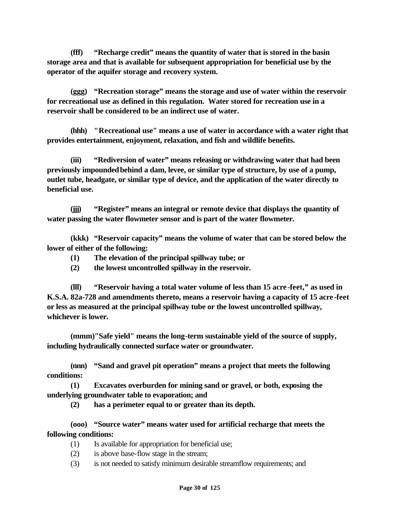**(fff) "Recharge credit" means the quantity of water that is stored in the basin storage area and that is available for subsequent appropriation for beneficial use by the operator of the aquifer storage and recovery system.**

**(ggg) "Recreation storage" means the storage and use of water within the reservoir for recreational use as defined in this regulation. Water stored for recreation use in a reservoir shall be considered to be an indirect use of water.** 

**(hhh) "Recreational use" means a use of water in accordance with a water right that provides entertainment, enjoyment, relaxation, and fish and wildlife benefits.** 

**(iii) "Rediversion of water" means releasing or withdrawing water that had been previously impounded behind a dam, levee, or similar type of structure, by use of a pump, outlet tube, headgate, or similar type of device, and the application of the water directly to beneficial use.** 

**(jjj) "Register" means an integral or remote device that displays the quantity of water passing the water flowmeter sensor and is part of the water flowmeter.**

**(kkk) "Reservoir capacity" means the volume of water that can be stored below the lower of either of the following:** 

- **(1) The elevation of the principal spillway tube; or**
- **(2) the lowest uncontrolled spillway in the reservoir.**

**(lll) "Reservoir having a total water volume of less than 15 acre -feet," as used in K.S.A. 82a-728 and amendments thereto, means a reservoir having a capacity of 15 acre-feet or less as measured at the principal spillway tube or the lowest uncontrolled spillway, whichever is lower.**

**(mmm)"Safe yield" means the long-term sustainable yield of the source of supply, including hydraulically connected surface water or groundwater.**

**(nnn) "Sand and gravel pit operation" means a project that meets the following conditions:**

**(1) Excavates overburden for mining sand or gravel, or both, exposing the underlying groundwater table to evaporation; and**

**(2) has a perimeter equal to or greater than its depth.**

**(ooo) "Source water" means water used for artificial recharge that meets the following conditions:**

- (1) Is available for appropriation for beneficial use;
- (2) is above base-flow stage in the stream;
- (3) is not needed to satisfy minimum desirable streamflow requirements; and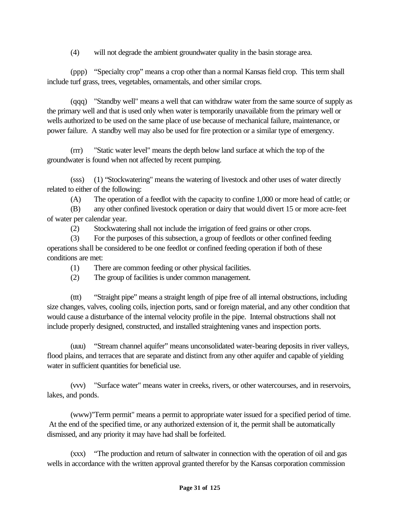(4) will not degrade the ambient groundwater quality in the basin storage area.

(ppp) "Specialty crop" means a crop other than a normal Kansas field crop. This term shall include turf grass, trees, vegetables, ornamentals, and other similar crops.

(qqq) "Standby well" means a well that can withdraw water from the same source of supply as the primary well and that is used only when water is temporarily unavailable from the primary well or wells authorized to be used on the same place of use because of mechanical failure, maintenance, or power failure. A standby well may also be used for fire protection or a similar type of emergency.

(rrr) "Static water level" means the depth below land surface at which the top of the groundwater is found when not affected by recent pumping.

(sss) (1) "Stockwatering" means the watering of livestock and other uses of water directly related to either of the following:

(A) The operation of a feedlot with the capacity to confine 1,000 or more head of cattle; or

(B) any other confined livestock operation or dairy that would divert 15 or more acre-feet of water per calendar year.

(2) Stockwatering shall not include the irrigation of feed grains or other crops.

(3) For the purposes of this subsection, a group of feedlots or other confined feeding operations shall be considered to be one feedlot or confined feeding operation if both of these conditions are met:

- (1) There are common feeding or other physical facilities.
- (2) The group of facilities is under common management.

(ttt) "Straight pipe" means a straight length of pipe free of all internal obstructions, including size changes, valves, cooling coils, injection ports, sand or foreign material, and any other condition that would cause a disturbance of the internal velocity profile in the pipe. Internal obstructions shall not include properly designed, constructed, and installed straightening vanes and inspection ports.

(uuu) "Stream channel aquifer" means unconsolidated water-bearing deposits in river valleys, flood plains, and terraces that are separate and distinct from any other aquifer and capable of yielding water in sufficient quantities for beneficial use.

(vvv) "Surface water" means water in creeks, rivers, or other watercourses, and in reservoirs, lakes, and ponds.

(www)"Term permit" means a permit to appropriate water issued for a specified period of time. At the end of the specified time, or any authorized extension of it, the permit shall be automatically dismissed, and any priority it may have had shall be forfeited.

(xxx) "The production and return of saltwater in connection with the operation of oil and gas wells in accordance with the written approval granted therefor by the Kansas corporation commission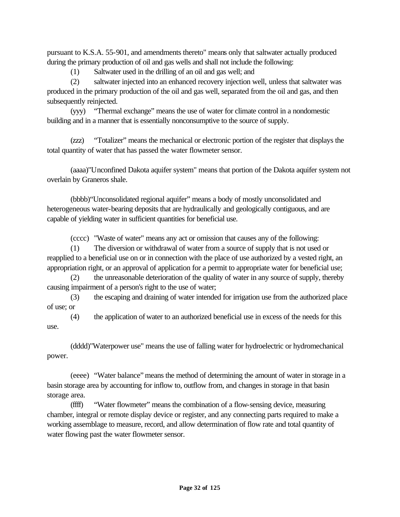pursuant to K.S.A. 55-901, and amendments thereto" means only that saltwater actually produced during the primary production of oil and gas wells and shall not include the following:

(1) Saltwater used in the drilling of an oil and gas well; and

(2) saltwater injected into an enhanced recovery injection well, unless that saltwater was produced in the primary production of the oil and gas well, separated from the oil and gas, and then subsequently reinjected.

(yyy) "Thermal exchange" means the use of water for climate control in a nondomestic building and in a manner that is essentially nonconsumptive to the source of supply.

(zzz) "Totalizer" means the mechanical or electronic portion of the register that displays the total quantity of water that has passed the water flowmeter sensor.

(aaaa)"Unconfined Dakota aquifer system" means that portion of the Dakota aquifer system not overlain by Graneros shale.

(bbbb)"Unconsolidated regional aquifer" means a body of mostly unconsolidated and heterogeneous water-bearing deposits that are hydraulically and geologically contiguous, and are capable of yielding water in sufficient quantities for beneficial use.

(cccc) "Waste of water" means any act or omission that causes any of the following:

(1) The diversion or withdrawal of water from a source of supply that is not used or reapplied to a beneficial use on or in connection with the place of use authorized by a vested right, an appropriation right, or an approval of application for a permit to appropriate water for beneficial use;

(2) the unreasonable deterioration of the quality of water in any source of supply, thereby causing impairment of a person's right to the use of water;

(3) the escaping and draining of water intended for irrigation use from the authorized place of use; or

(4) the application of water to an authorized beneficial use in excess of the needs for this use.

(dddd)"Waterpower use" means the use of falling water for hydroelectric or hydromechanical power.

(eeee) "Water balance" means the method of determining the amount of water in storage in a basin storage area by accounting for inflow to, outflow from, and changes in storage in that basin storage area.

(ffff) "Water flowmeter" means the combination of a flow-sensing device, measuring chamber, integral or remote display device or register, and any connecting parts required to make a working assemblage to measure, record, and allow determination of flow rate and total quantity of water flowing past the water flowmeter sensor.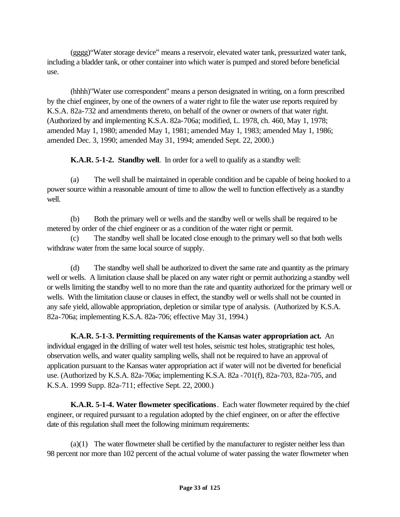(gggg)"Water storage device" means a reservoir, elevated water tank, pressurized water tank, including a bladder tank, or other container into which water is pumped and stored before beneficial use.

(hhhh)"Water use correspondent" means a person designated in writing, on a form prescribed by the chief engineer, by one of the owners of a water right to file the water use reports required by K.S.A. 82a-732 and amendments thereto, on behalf of the owner or owners of that water right. (Authorized by and implementing K.S.A. 82a-706a; modified, L. 1978, ch. 460, May 1, 1978; amended May 1, 1980; amended May 1, 1981; amended May 1, 1983; amended May 1, 1986; amended Dec. 3, 1990; amended May 31, 1994; amended Sept. 22, 2000.)

**K.A.R. 5-1-2. Standby well**. In order for a well to qualify as a standby well:

(a) The well shall be maintained in operable condition and be capable of being hooked to a power source within a reasonable amount of time to allow the well to function effectively as a standby well.

(b) Both the primary well or wells and the standby well or wells shall be required to be metered by order of the chief engineer or as a condition of the water right or permit.

(c) The standby well shall be located close enough to the primary well so that both wells withdraw water from the same local source of supply.

(d) The standby well shall be authorized to divert the same rate and quantity as the primary well or wells. A limitation clause shall be placed on any water right or permit authorizing a standby well or wells limiting the standby well to no more than the rate and quantity authorized for the primary well or wells. With the limitation clause or clauses in effect, the standby well or wells shall not be counted in any safe yield, allowable appropriation, depletion or similar type of analysis. (Authorized by K.S.A. 82a-706a; implementing K.S.A. 82a-706; effective May 31, 1994.)

**K.A.R. 5-1-3. Permitting requirements of the Kansas water appropriation act.** An individual engaged in the drilling of water well test holes, seismic test holes, stratigraphic test holes, observation wells, and water quality sampling wells, shall not be required to have an approval of application pursuant to the Kansas water appropriation act if water will not be diverted for beneficial use. (Authorized by K.S.A. 82a-706a; implementing K.S.A. 82a -701(f), 82a-703, 82a-705, and K.S.A. 1999 Supp. 82a-711; effective Sept. 22, 2000.)

**K.A.R. 5-1-4. Water flowmeter specifications**. Each water flowmeter required by the chief engineer, or required pursuant to a regulation adopted by the chief engineer, on or after the effective date of this regulation shall meet the following minimum requirements:

(a)(1) The water flowmeter shall be certified by the manufacturer to register neither less than 98 percent nor more than 102 percent of the actual volume of water passing the water flowmeter when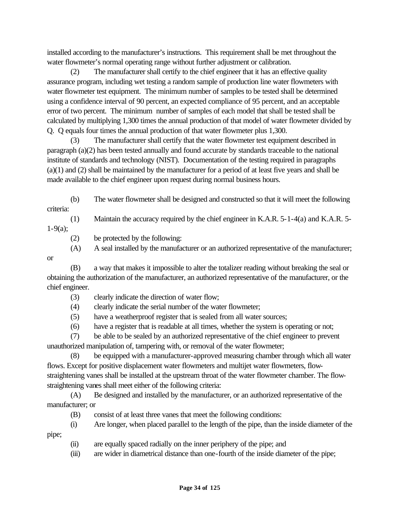installed according to the manufacturer's instructions. This requirement shall be met throughout the water flowmeter's normal operating range without further adjustment or calibration.

(2) The manufacturer shall certify to the chief engineer that it has an effective quality assurance program, including wet testing a random sample of production line water flowmeters with water flowmeter test equipment. The minimum number of samples to be tested shall be determined using a confidence interval of 90 percent, an expected compliance of 95 percent, and an acceptable error of two percent. The minimum number of samples of each model that shall be tested shall be calculated by multiplying 1,300 times the annual production of that model of water flowmeter divided by Q. Q equals four times the annual production of that water flowmeter plus 1,300.

(3) The manufacturer shall certify that the water flowmeter test equipment described in paragraph (a)(2) has been tested annually and found accurate by standards traceable to the national institute of standards and technology (NIST). Documentation of the testing required in paragraphs (a)(1) and (2) shall be maintained by the manufacturer for a period of at least five years and shall be made available to the chief engineer upon request during normal business hours.

(b) The water flowmeter shall be designed and constructed so that it will meet the following criteria:

(1) Maintain the accuracy required by the chief engineer in K.A.R. 5-1-4(a) and K.A.R. 5-

 $1-9(a);$ 

- (2) be protected by the following:
- (A) A seal installed by the manufacturer or an authorized representative of the manufacturer;

or

- (B) a way that makes it impossible to alter the totalizer reading without breaking the seal or obtaining the authorization of the manufacturer, an authorized representative of the manufacturer, or the chief engineer.
	- (3) clearly indicate the direction of water flow;
	- (4) clearly indicate the serial number of the water flowmeter;
	- (5) have a weatherproof register that is sealed from all water sources;
	- (6) have a register that is readable at all times, whether the system is operating or not;

(7) be able to be sealed by an authorized representative of the chief engineer to prevent unauthorized manipulation of, tampering with, or removal of the water flowmeter;

(8) be equipped with a manufacturer-approved measuring chamber through which all water flows. Except for positive displacement water flowmeters and multijet water flowmeters, flowstraightening vanes shall be installed at the upstream throat of the water flowmeter chamber. The flowstraightening vanes shall meet either of the following criteria:

(A) Be designed and installed by the manufacturer, or an authorized representative of the manufacturer; or

- (B) consist of at least three vanes that meet the following conditions:
- (i) Are longer, when placed parallel to the length of the pipe, than the inside diameter of the

pipe;

- (ii) are equally spaced radially on the inner periphery of the pipe; and
- (iii) are wider in diametrical distance than one-fourth of the inside diameter of the pipe;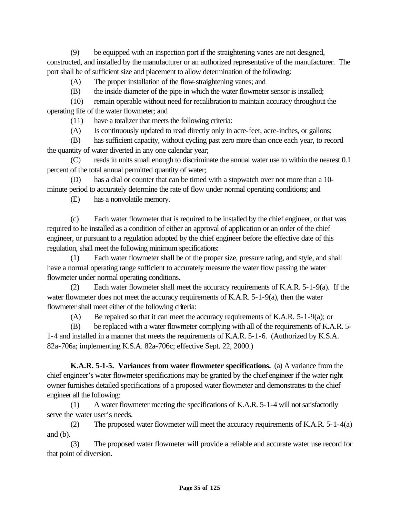(9) be equipped with an inspection port if the straightening vanes are not designed, constructed, and installed by the manufacturer or an authorized representative of the manufacturer. The port shall be of sufficient size and placement to allow determination of the following:

(A) The proper installation of the flow-straightening vanes; and

(B) the inside diameter of the pipe in which the water flowmeter sensor is installed;

(10) remain operable without need for recalibration to maintain accuracy throughout the operating life of the water flowmeter; and

(11) have a totalizer that meets the following criteria:

(A) Is continuously updated to read directly only in acre-feet, acre-inches, or gallons;

(B) has sufficient capacity, without cycling past zero more than once each year, to record the quantity of water diverted in any one calendar year;

(C) reads in units small enough to discriminate the annual water use to within the nearest 0.1 percent of the total annual permitted quantity of water;

(D) has a dial or counter that can be timed with a stopwatch over not more than a 10 minute period to accurately determine the rate of flow under normal operating conditions; and

(E) has a nonvolatile memory.

(c) Each water flowmeter that is required to be installed by the chief engineer, or that was required to be installed as a condition of either an approval of application or an order of the chief engineer, or pursuant to a regulation adopted by the chief engineer before the effective date of this regulation, shall meet the following minimum specifications:

(1) Each water flowmeter shall be of the proper size, pressure rating, and style, and shall have a normal operating range sufficient to accurately measure the water flow passing the water flowmeter under normal operating conditions.

(2) Each water flowmeter shall meet the accuracy requirements of K.A.R. 5-1-9(a). If the water flowmeter does not meet the accuracy requirements of K.A.R. 5-1-9(a), then the water flowmeter shall meet either of the following criteria:

(A) Be repaired so that it can meet the accuracy requirements of K.A.R. 5-1-9(a); or

(B) be replaced with a water flowmeter complying with all of the requirements of K.A.R. 5- 1-4 and installed in a manner that meets the requirements of K.A.R. 5-1-6. (Authorized by K.S.A. 82a-706a; implementing K.S.A. 82a-706c; effective Sept. 22, 2000.)

**K.A.R. 5-1-5. Variances from water flowmeter specifications.** (a) A variance from the chief engineer's water flowmeter specifications may be granted by the chief engineer if the water right owner furnishes detailed specifications of a proposed water flowmeter and demonstrates to the chief engineer all the following:

(1) A water flowmeter meeting the specifications of K.A.R. 5-1-4 will not satisfactorily serve the water user's needs.

(2) The proposed water flowmeter will meet the accuracy requirements of K.A.R. 5-1-4(a) and (b).

(3) The proposed water flowmeter will provide a reliable and accurate water use record for that point of diversion.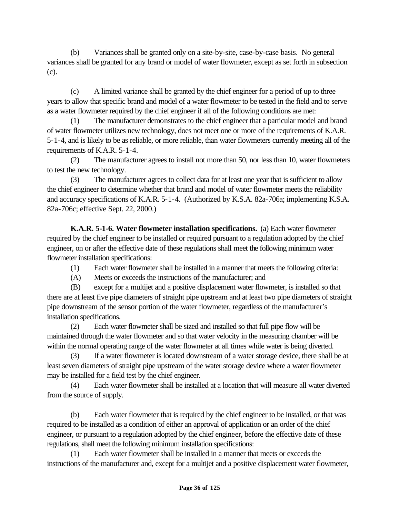(b) Variances shall be granted only on a site-by-site, case-by-case basis. No general variances shall be granted for any brand or model of water flowmeter, except as set forth in subsection (c).

(c) A limited variance shall be granted by the chief engineer for a period of up to three years to allow that specific brand and model of a water flowmeter to be tested in the field and to serve as a water flowmeter required by the chief engineer if all of the following conditions are met:

(1) The manufacturer demonstrates to the chief engineer that a particular model and brand of water flowmeter utilizes new technology, does not meet one or more of the requirements of K.A.R. 5-1-4, and is likely to be as reliable, or more reliable, than water flowmeters currently meeting all of the requirements of K.A.R. 5-1-4.

(2) The manufacturer agrees to install not more than 50, nor less than 10, water flowmeters to test the new technology.

(3) The manufacturer agrees to collect data for at least one year that is sufficient to allow the chief engineer to determine whether that brand and model of water flowmeter meets the reliability and accuracy specifications of K.A.R. 5-1-4. (Authorized by K.S.A. 82a-706a; implementing K.S.A. 82a-706c; effective Sept. 22, 2000.)

**K.A.R. 5-1-6. Water flowmeter installation specifications.** (a) Each water flowmeter required by the chief engineer to be installed or required pursuant to a regulation adopted by the chief engineer, on or after the effective date of these regulations shall meet the following minimum water flowmeter installation specifications:

(1) Each water flowmeter shall be installed in a manner that meets the following criteria:

(A) Meets or exceeds the instructions of the manufacturer; and

(B) except for a multijet and a positive displacement water flowmeter, is installed so that there are at least five pipe diameters of straight pipe upstream and at least two pipe diameters of straight pipe downstream of the sensor portion of the water flowmeter, regardless of the manufacturer's installation specifications.

(2) Each water flowmeter shall be sized and installed so that full pipe flow will be maintained through the water flowmeter and so that water velocity in the measuring chamber will be within the normal operating range of the water flowmeter at all times while water is being diverted.

(3) If a water flowmeter is located downstream of a water storage device, there shall be at least seven diameters of straight pipe upstream of the water storage device where a water flowmeter may be installed for a field test by the chief engineer.

(4) Each water flowmeter shall be installed at a location that will measure all water diverted from the source of supply.

(b) Each water flowmeter that is required by the chief engineer to be installed, or that was required to be installed as a condition of either an approval of application or an order of the chief engineer, or pursuant to a regulation adopted by the chief engineer, before the effective date of these regulations, shall meet the following minimum installation specifications:

(1) Each water flowmeter shall be installed in a manner that meets or exceeds the instructions of the manufacturer and, except for a multijet and a positive displacement water flowmeter,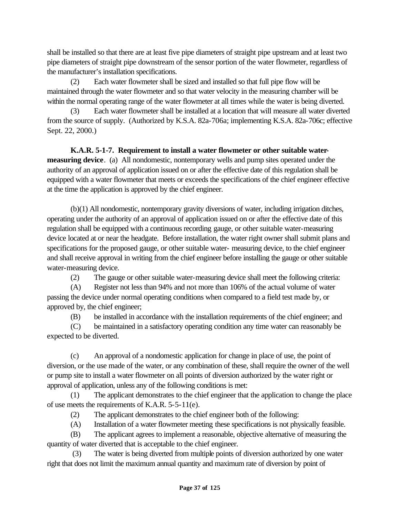shall be installed so that there are at least five pipe diameters of straight pipe upstream and at least two pipe diameters of straight pipe downstream of the sensor portion of the water flowmeter, regardless of the manufacturer's installation specifications.

(2) Each water flowmeter shall be sized and installed so that full pipe flow will be maintained through the water flowmeter and so that water velocity in the measuring chamber will be within the normal operating range of the water flowmeter at all times while the water is being diverted.

(3) Each water flowmeter shall be installed at a location that will measure all water diverted from the source of supply. (Authorized by K.S.A. 82a-706a; implementing K.S.A. 82a-706c; effective Sept. 22, 2000.)

**K.A.R. 5-1-7. Requirement to install a water flowmeter or other suitable watermeasuring device**. (a) All nondomestic, nontemporary wells and pump sites operated under the authority of an approval of application issued on or after the effective date of this regulation shall be equipped with a water flowmeter that meets or exceeds the specifications of the chief engineer effective at the time the application is approved by the chief engineer.

(b)(1) All nondomestic, nontemporary gravity diversions of water, including irrigation ditches, operating under the authority of an approval of application issued on or after the effective date of this regulation shall be equipped with a continuous recording gauge, or other suitable water-measuring device located at or near the headgate. Before installation, the water right owner shall submit plans and specifications for the proposed gauge, or other suitable water- measuring device, to the chief engineer and shall receive approval in writing from the chief engineer before installing the gauge or other suitable water-measuring device.

(2) The gauge or other suitable water-measuring device shall meet the following criteria:

(A) Register not less than 94% and not more than 106% of the actual volume of water passing the device under normal operating conditions when compared to a field test made by, or approved by, the chief engineer;

(B) be installed in accordance with the installation requirements of the chief engineer; and

(C) be maintained in a satisfactory operating condition any time water can reasonably be expected to be diverted.

(c) An approval of a nondomestic application for change in place of use, the point of diversion, or the use made of the water, or any combination of these, shall require the owner of the well or pump site to install a water flowmeter on all points of diversion authorized by the water right or approval of application, unless any of the following conditions is met:

(1) The applicant demonstrates to the chief engineer that the application to change the place of use meets the requirements of K.A.R. 5-5-11(e).

(2) The applicant demonstrates to the chief engineer both of the following:

(A) Installation of a water flowmeter meeting these specifications is not physically feasible.

(B) The applicant agrees to implement a reasonable, objective alternative of measuring the quantity of water diverted that is acceptable to the chief engineer.

 (3) The water is being diverted from multiple points of diversion authorized by one water right that does not limit the maximum annual quantity and maximum rate of diversion by point of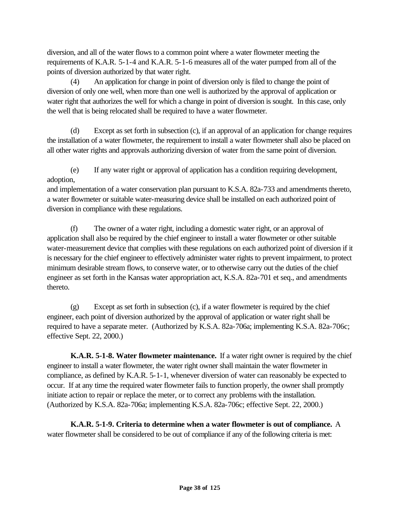diversion, and all of the water flows to a common point where a water flowmeter meeting the requirements of K.A.R. 5-1-4 and K.A.R. 5-1-6 measures all of the water pumped from all of the points of diversion authorized by that water right.

(4) An application for change in point of diversion only is filed to change the point of diversion of only one well, when more than one well is authorized by the approval of application or water right that authorizes the well for which a change in point of diversion is sought. In this case, only the well that is being relocated shall be required to have a water flowmeter.

(d) Except as set forth in subsection (c), if an approval of an application for change requires the installation of a water flowmeter, the requirement to install a water flowmeter shall also be placed on all other water rights and approvals authorizing diversion of water from the same point of diversion.

(e) If any water right or approval of application has a condition requiring development, adoption,

and implementation of a water conservation plan pursuant to K.S.A. 82a-733 and amendments thereto, a water flowmeter or suitable water-measuring device shall be installed on each authorized point of diversion in compliance with these regulations.

(f) The owner of a water right, including a domestic water right, or an approval of application shall also be required by the chief engineer to install a water flowmeter or other suitable water-measurement device that complies with these regulations on each authorized point of diversion if it is necessary for the chief engineer to effectively administer water rights to prevent impairment, to protect minimum desirable stream flows, to conserve water, or to otherwise carry out the duties of the chief engineer as set forth in the Kansas water appropriation act, K.S.A. 82a-701 et seq., and amendments thereto.

(g) Except as set forth in subsection (c), if a water flowmeter is required by the chief engineer, each point of diversion authorized by the approval of application or water right shall be required to have a separate meter. (Authorized by K.S.A. 82a-706a; implementing K.S.A. 82a-706c; effective Sept. 22, 2000.)

**K.A.R. 5-1-8. Water flowmeter maintenance.** If a water right owner is required by the chief engineer to install a water flowmeter, the water right owner shall maintain the water flowmeter in compliance, as defined by K.A.R. 5-1-1, whenever diversion of water can reasonably be expected to occur. If at any time the required water flowmeter fails to function properly, the owner shall promptly initiate action to repair or replace the meter, or to correct any problems with the installation. (Authorized by K.S.A. 82a-706a; implementing K.S.A. 82a-706c; effective Sept. 22, 2000.)

**K.A.R. 5-1-9. Criteria to determine when a water flowmeter is out of compliance.** A water flowmeter shall be considered to be out of compliance if any of the following criteria is met: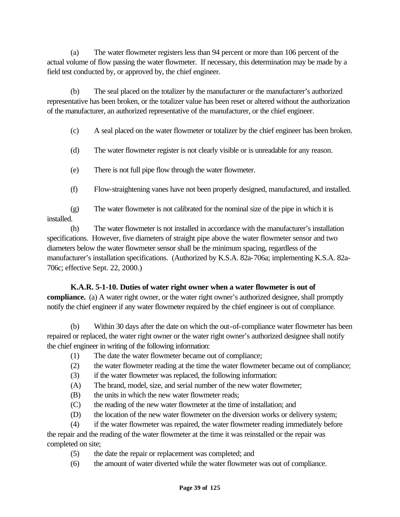(a) The water flowmeter registers less than 94 percent or more than 106 percent of the actual volume of flow passing the water flowmeter. If necessary, this determination may be made by a field test conducted by, or approved by, the chief engineer.

(b) The seal placed on the totalizer by the manufacturer or the manufacturer's authorized representative has been broken, or the totalizer value has been reset or altered without the authorization of the manufacturer, an authorized representative of the manufacturer, or the chief engineer.

(c) A seal placed on the water flowmeter or totalizer by the chief engineer has been broken.

- (d) The water flowmeter register is not clearly visible or is unreadable for any reason.
- (e) There is not full pipe flow through the water flowmeter.
- (f) Flow-straightening vanes have not been properly designed, manufactured, and installed.

(g) The water flowmeter is not calibrated for the nominal size of the pipe in which it is installed.

(h) The water flowmeter is not installed in accordance with the manufacturer's installation specifications. However, five diameters of straight pipe above the water flowmeter sensor and two diameters below the water flowmeter sensor shall be the minimum spacing, regardless of the manufacturer's installation specifications. (Authorized by K.S.A. 82a-706a; implementing K.S.A. 82a-706c; effective Sept. 22, 2000.)

## **K.A.R. 5-1-10. Duties of water right owner when a water flowmeter is out of**

**compliance.** (a) A water right owner, or the water right owner's authorized designee, shall promptly notify the chief engineer if any water flowmeter required by the chief engineer is out of compliance.

(b) Within 30 days after the date on which the out-of-compliance water flowmeter has been repaired or replaced, the water right owner or the water right owner's authorized designee shall notify the chief engineer in writing of the following information:

- (1) The date the water flowmeter became out of compliance;
- (2) the water flowmeter reading at the time the water flowmeter became out of compliance;
- (3) if the water flowmeter was replaced, the following information:
- (A) The brand, model, size, and serial number of the new water flowmeter;
- (B) the units in which the new water flowmeter reads;
- (C) the reading of the new water flowmeter at the time of installation; and
- (D) the location of the new water flowmeter on the diversion works or delivery system;

(4) if the water flowmeter was repaired, the water flowmeter reading immediately before the repair and the reading of the water flowmeter at the time it was reinstalled or the repair was completed on site;

- (5) the date the repair or replacement was completed; and
- (6) the amount of water diverted while the water flowmeter was out of compliance.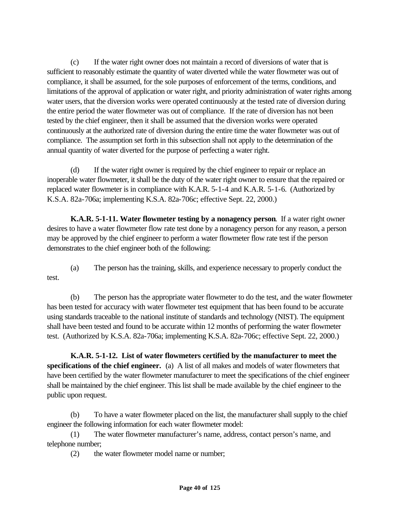(c) If the water right owner does not maintain a record of diversions of water that is sufficient to reasonably estimate the quantity of water diverted while the water flowmeter was out of compliance, it shall be assumed, for the sole purposes of enforcement of the terms, conditions, and limitations of the approval of application or water right, and priority administration of water rights among water users, that the diversion works were operated continuously at the tested rate of diversion during the entire period the water flowmeter was out of compliance. If the rate of diversion has not been tested by the chief engineer, then it shall be assumed that the diversion works were operated continuously at the authorized rate of diversion during the entire time the water flowmeter was out of compliance. The assumption set forth in this subsection shall not apply to the determination of the annual quantity of water diverted for the purpose of perfecting a water right.

(d) If the water right owner is required by the chief engineer to repair or replace an inoperable water flowmeter, it shall be the duty of the water right owner to ensure that the repaired or replaced water flowmeter is in compliance with K.A.R. 5-1-4 and K.A.R. 5-1-6. (Authorized by K.S.A. 82a-706a; implementing K.S.A. 82a-706c; effective Sept. 22, 2000.)

**K.A.R. 5-1-11. Water flowmeter testing by a nonagency person**. If a water right owner desires to have a water flowmeter flow rate test done by a nonagency person for any reason, a person may be approved by the chief engineer to perform a water flowmeter flow rate test if the person demonstrates to the chief engineer both of the following:

(a) The person has the training, skills, and experience necessary to properly conduct the test.

(b) The person has the appropriate water flowmeter to do the test, and the water flowmeter has been tested for accuracy with water flowmeter test equipment that has been found to be accurate using standards traceable to the national institute of standards and technology (NIST). The equipment shall have been tested and found to be accurate within 12 months of performing the water flowmeter test. (Authorized by K.S.A. 82a-706a; implementing K.S.A. 82a-706c; effective Sept. 22, 2000.)

**K.A.R. 5-1-12. List of water flowmeters certified by the manufacturer to meet the specifications of the chief engineer.** (a) A list of all makes and models of water flowmeters that have been certified by the water flowmeter manufacturer to meet the specifications of the chief engineer shall be maintained by the chief engineer. This list shall be made available by the chief engineer to the public upon request.

(b) To have a water flowmeter placed on the list, the manufacturer shall supply to the chief engineer the following information for each water flowmeter model:

(1) The water flowmeter manufacturer's name, address, contact person's name, and telephone number;

(2) the water flowmeter model name or number;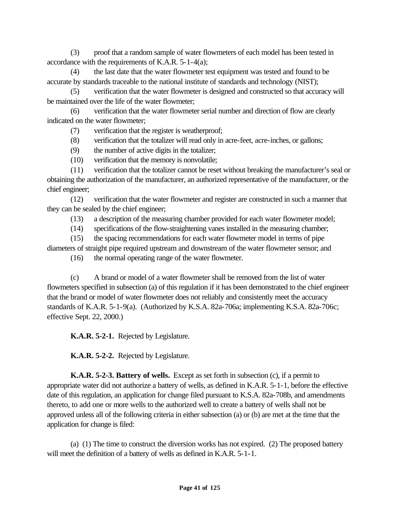(3) proof that a random sample of water flowmeters of each model has been tested in accordance with the requirements of K.A.R. 5-1-4(a);

(4) the last date that the water flowmeter test equipment was tested and found to be accurate by standards traceable to the national institute of standards and technology (NIST);

(5) verification that the water flowmeter is designed and constructed so that accuracy will be maintained over the life of the water flowmeter;

(6) verification that the water flowmeter serial number and direction of flow are clearly indicated on the water flowmeter;

(7) verification that the register is weatherproof;

(8) verification that the totalizer will read only in acre-feet, acre-inches, or gallons;

(9) the number of active digits in the totalizer;

(10) verification that the memory is nonvolatile;

(11) verification that the totalizer cannot be reset without breaking the manufacturer's seal or obtaining the authorization of the manufacturer, an authorized representative of the manufacturer, or the chief engineer;

(12) verification that the water flowmeter and register are constructed in such a manner that they can be sealed by the chief engineer;

(13) a description of the measuring chamber provided for each water flowmeter model;

(14) specifications of the flow-straightening vanes installed in the measuring chamber;

(15) the spacing recommendations for each water flowmeter model in terms of pipe diameters of straight pipe required upstream and downstream of the water flowmeter sensor; and

(16) the normal operating range of the water flowmeter.

(c) A brand or model of a water flowmeter shall be removed from the list of water flowmeters specified in subsection (a) of this regulation if it has been demonstrated to the chief engineer that the brand or model of water flowmeter does not reliably and consistently meet the accuracy standards of K.A.R. 5-1-9(a). (Authorized by K.S.A. 82a-706a; implementing K.S.A. 82a-706c; effective Sept. 22, 2000.)

**K.A.R. 5-2-1.** Rejected by Legislature.

**K.A.R. 5-2-2.** Rejected by Legislature.

**K.A.R. 5-2-3. Battery of wells.** Except as set forth in subsection (c), if a permit to appropriate water did not authorize a battery of wells, as defined in K.A.R. 5-1-1, before the effective date of this regulation, an application for change filed pursuant to K.S.A. 82a-708b, and amendments thereto, to add one or more wells to the authorized well to create a battery of wells shall not be approved unless all of the following criteria in either subsection (a) or (b) are met at the time that the application for change is filed:

(a) (1) The time to construct the diversion works has not expired. (2) The proposed battery will meet the definition of a battery of wells as defined in K.A.R. 5-1-1.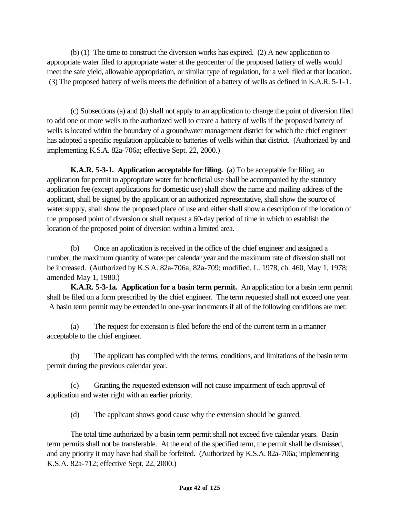(b) (1) The time to construct the diversion works has expired. (2) A new application to appropriate water filed to appropriate water at the geocenter of the proposed battery of wells would meet the safe yield, allowable appropriation, or similar type of regulation, for a well filed at that location. (3) The proposed battery of wells meets the definition of a battery of wells as defined in K.A.R. 5-1-1.

(c) Subsections (a) and (b) shall not apply to an application to change the point of diversion filed to add one or more wells to the authorized well to create a battery of wells if the proposed battery of wells is located within the boundary of a groundwater management district for which the chief engineer has adopted a specific regulation applicable to batteries of wells within that district. (Authorized by and implementing K.S.A. 82a-706a; effective Sept. 22, 2000.)

**K.A.R. 5-3-1. Application acceptable for filing.** (a) To be acceptable for filing, an application for permit to appropriate water for beneficial use shall be accompanied by the statutory application fee (except applications for domestic use) shall show the name and mailing address of the applicant, shall be signed by the applicant or an authorized representative, shall show the source of water supply, shall show the proposed place of use and either shall show a description of the location of the proposed point of diversion or shall request a 60-day period of time in which to establish the location of the proposed point of diversion within a limited area.

(b) Once an application is received in the office of the chief engineer and assigned a number, the maximum quantity of water per calendar year and the maximum rate of diversion shall not be increased. (Authorized by K.S.A. 82a-706a, 82a-709; modified, L. 1978, ch. 460, May 1, 1978; amended May 1, 1980.)

**K.A.R. 5-3-1a. Application for a basin term permit.** An application for a basin term permit shall be filed on a form prescribed by the chief engineer. The term requested shall not exceed one year. A basin term permit may be extended in one-year increments if all of the following conditions are met:

(a) The request for extension is filed before the end of the current term in a manner acceptable to the chief engineer.

(b) The applicant has complied with the terms, conditions, and limitations of the basin term permit during the previous calendar year.

(c) Granting the requested extension will not cause impairment of each approval of application and water right with an earlier priority.

(d) The applicant shows good cause why the extension should be granted.

The total time authorized by a basin term permit shall not exceed five calendar years. Basin term permits shall not be transferable. At the end of the specified term, the permit shall be dismissed, and any priority it may have had shall be forfeited. (Authorized by K.S.A. 82a-706a; implementing K.S.A. 82a-712; effective Sept. 22, 2000.)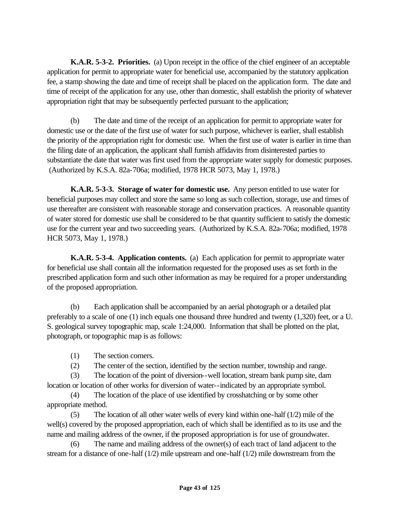**K.A.R. 5-3-2. Priorities.** (a) Upon receipt in the office of the chief engineer of an acceptable application for permit to appropriate water for beneficial use, accompanied by the statutory application fee, a stamp showing the date and time of receipt shall be placed on the application form. The date and time of receipt of the application for any use, other than domestic, shall establish the priority of whatever appropriation right that may be subsequently perfected pursuant to the application;

(b) The date and time of the receipt of an application for permit to appropriate water for domestic use or the date of the first use of water for such purpose, whichever is earlier, shall establish the priority of the appropriation right for domestic use. When the first use of water is earlier in time than the filing date of an application, the applicant shall furnish affidavits from disinterested parties to substantiate the date that water was first used from the appropriate water supply for domestic purposes. (Authorized by K.S.A. 82a-706a; modified, 1978 HCR 5073, May 1, 1978.)

**K.A.R. 5-3-3. Storage of water for domestic use.** Any person entitled to use water for beneficial purposes may collect and store the same so long as such collection, storage, use and times of use thereafter are consistent with reasonable storage and conservation practices. A reasonable quantity of water stored for domestic use shall be considered to be that quantity sufficient to satisfy the domestic use for the current year and two succeeding years. (Authorized by K.S.A. 82a-706a; modified, 1978 HCR 5073, May 1, 1978.)

**K.A.R. 5-3-4. Application contents.** (a) Each application for permit to appropriate water for beneficial use shall contain all the information requested for the proposed uses as set forth in the prescribed application form and such other information as may be required for a proper understanding of the proposed appropriation.

(b) Each application shall be accompanied by an aerial photograph or a detailed plat preferably to a scale of one (1) inch equals one thousand three hundred and twenty (1,320) feet, or a U. S. geological survey topographic map, scale 1:24,000. Information that shall be plotted on the plat, photograph, or topographic map is as follows:

- (1) The section corners.
- (2) The center of the section, identified by the section number, township and range.

(3) The location of the point of diversion--well location, stream bank pump site, dam location or location of other works for diversion of water--indicated by an appropriate symbol.

(4) The location of the place of use identified by crosshatching or by some other appropriate method.

(5) The location of all other water wells of every kind within one-half (1/2) mile of the well(s) covered by the proposed appropriation, each of which shall be identified as to its use and the name and mailing address of the owner, if the proposed appropriation is for use of groundwater.

(6) The name and mailing address of the owner(s) of each tract of land adjacent to the stream for a distance of one-half (1/2) mile upstream and one-half (1/2) mile downstream from the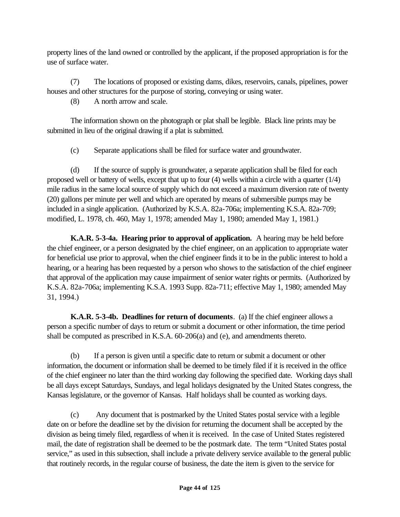property lines of the land owned or controlled by the applicant, if the proposed appropriation is for the use of surface water.

(7) The locations of proposed or existing dams, dikes, reservoirs, canals, pipelines, power houses and other structures for the purpose of storing, conveying or using water.

(8) A north arrow and scale.

The information shown on the photograph or plat shall be legible. Black line prints may be submitted in lieu of the original drawing if a plat is submitted.

(c) Separate applications shall be filed for surface water and groundwater.

(d) If the source of supply is groundwater, a separate application shall be filed for each proposed well or battery of wells, except that up to four (4) wells within a circle with a quarter (1/4) mile radius in the same local source of supply which do not exceed a maximum diversion rate of twenty (20) gallons per minute per well and which are operated by means of submersible pumps may be included in a single application. (Authorized by K.S.A. 82a-706a; implementing K.S.A. 82a-709; modified, L. 1978, ch. 460, May 1, 1978; amended May 1, 1980; amended May 1, 1981.)

**K.A.R. 5-3-4a. Hearing prior to approval of application.** A hearing may be held before the chief engineer, or a person designated by the chief engineer, on an application to appropriate water for beneficial use prior to approval, when the chief engineer finds it to be in the public interest to hold a hearing, or a hearing has been requested by a person who shows to the satisfaction of the chief engineer that approval of the application may cause impairment of senior water rights or permits. (Authorized by K.S.A. 82a-706a; implementing K.S.A. 1993 Supp. 82a-711; effective May 1, 1980; amended May 31, 1994.)

**K.A.R. 5-3-4b. Deadlines for return of documents**. (a) If the chief engineer allows a person a specific number of days to return or submit a document or other information, the time period shall be computed as prescribed in K.S.A. 60-206(a) and (e), and amendments thereto.

(b) If a person is given until a specific date to return or submit a document or other information, the document or information shall be deemed to be timely filed if it is received in the office of the chief engineer no later than the third working day following the specified date. Working days shall be all days except Saturdays, Sundays, and legal holidays designated by the United States congress, the Kansas legislature, or the governor of Kansas. Half holidays shall be counted as working days.

(c) Any document that is postmarked by the United States postal service with a legible date on or before the deadline set by the division for returning the document shall be accepted by the division as being timely filed, regardless of when it is received. In the case of United States registered mail, the date of registration shall be deemed to be the postmark date. The term "United States postal service," as used in this subsection, shall include a private delivery service available to the general public that routinely records, in the regular course of business, the date the item is given to the service for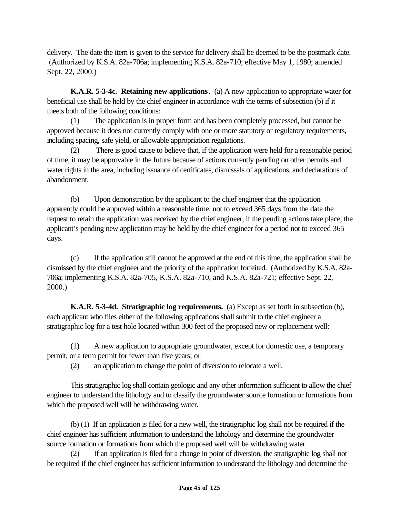delivery. The date the item is given to the service for delivery shall be deemed to be the postmark date. (Authorized by K.S.A. 82a-706a; implementing K.S.A. 82a-710; effective May 1, 1980; amended Sept. 22, 2000.)

**K.A.R. 5-3-4c. Retaining new applications**. (a) A new application to appropriate water for beneficial use shall be held by the chief engineer in accordance with the terms of subsection (b) if it meets both of the following conditions:

(1) The application is in proper form and has been completely processed, but cannot be approved because it does not currently comply with one or more statutory or regulatory requirements, including spacing, safe yield, or allowable appropriation regulations.

(2) There is good cause to believe that, if the application were held for a reasonable period of time, it may be approvable in the future because of actions currently pending on other permits and water rights in the area, including issuance of certificates, dismissals of applications, and declarations of abandonment.

(b) Upon demonstration by the applicant to the chief engineer that the application apparently could be approved within a reasonable time, not to exceed 365 days from the date the request to retain the application was received by the chief engineer, if the pending actions take place, the applicant's pending new application may be held by the chief engineer for a period not to exceed 365 days.

(c) If the application still cannot be approved at the end of this time, the application shall be dismissed by the chief engineer and the priority of the application forfeited. (Authorized by K.S.A. 82a-706a; implementing K.S.A. 82a-705, K.S.A. 82a-710, and K.S.A. 82a-721; effective Sept. 22, 2000.)

**K.A.R. 5-3-4d. Stratigraphic log requirements.** (a) Except as set forth in subsection (b), each applicant who files either of the following applications shall submit to the chief engineer a stratigraphic log for a test hole located within 300 feet of the proposed new or replacement well:

(1) A new application to appropriate groundwater, except for domestic use, a temporary permit, or a term permit for fewer than five years; or

(2) an application to change the point of diversion to relocate a well.

This stratigraphic log shall contain geologic and any other information sufficient to allow the chief engineer to understand the lithology and to classify the groundwater source formation or formations from which the proposed well will be withdrawing water.

(b) (1) If an application is filed for a new well, the stratigraphic log shall not be required if the chief engineer has sufficient information to understand the lithology and determine the groundwater source formation or formations from which the proposed well will be withdrawing water.

(2) If an application is filed for a change in point of diversion, the stratigraphic log shall not be required if the chief engineer has sufficient information to understand the lithology and determine the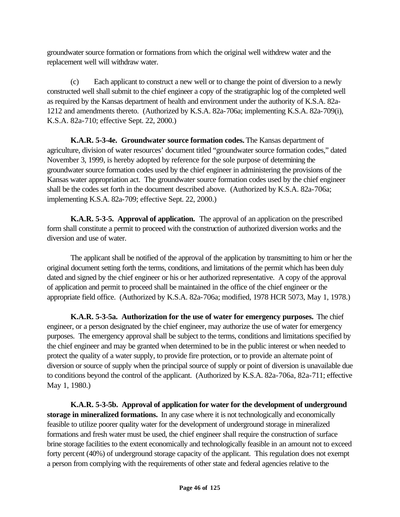groundwater source formation or formations from which the original well withdrew water and the replacement well will withdraw water.

(c) Each applicant to construct a new well or to change the point of diversion to a newly constructed well shall submit to the chief engineer a copy of the stratigraphic log of the completed well as required by the Kansas department of health and environment under the authority of K.S.A. 82a-1212 and amendments thereto. (Authorized by K.S.A. 82a-706a; implementing K.S.A. 82a-709(i), K.S.A. 82a-710; effective Sept. 22, 2000.)

**K.A.R. 5-3-4e. Groundwater source formation codes.** The Kansas department of agriculture, division of water resources' document titled "groundwater source formation codes," dated November 3, 1999, is hereby adopted by reference for the sole purpose of determining the groundwater source formation codes used by the chief engineer in administering the provisions of the Kansas water appropriation act. The groundwater source formation codes used by the chief engineer shall be the codes set forth in the document described above. (Authorized by K.S.A. 82a-706a; implementing K.S.A. 82a-709; effective Sept. 22, 2000.)

**K.A.R. 5-3-5. Approval of application.** The approval of an application on the prescribed form shall constitute a permit to proceed with the construction of authorized diversion works and the diversion and use of water.

The applicant shall be notified of the approval of the application by transmitting to him or her the original document setting forth the terms, conditions, and limitations of the permit which has been duly dated and signed by the chief engineer or his or her authorized representative. A copy of the approval of application and permit to proceed shall be maintained in the office of the chief engineer or the appropriate field office. (Authorized by K.S.A. 82a-706a; modified, 1978 HCR 5073, May 1, 1978.)

**K.A.R. 5-3-5a. Authorization for the use of water for emergency purposes.** The chief engineer, or a person designated by the chief engineer, may authorize the use of water for emergency purposes. The emergency approval shall be subject to the terms, conditions and limitations specified by the chief engineer and may be granted when determined to be in the public interest or when needed to protect the quality of a water supply, to provide fire protection, or to provide an alternate point of diversion or source of supply when the principal source of supply or point of diversion is unavailable due to conditions beyond the control of the applicant. (Authorized by K.S.A. 82a-706a, 82a-711; effective May 1, 1980.)

**K.A.R. 5-3-5b. Approval of application for water for the development of underground storage in mineralized formations.** In any case where it is not technologically and economically feasible to utilize poorer quality water for the development of underground storage in mineralized formations and fresh water must be used, the chief engineer shall require the construction of surface brine storage facilities to the extent economically and technologically feasible in an amount not to exceed forty percent (40%) of underground storage capacity of the applicant. This regulation does not exempt a person from complying with the requirements of other state and federal agencies relative to the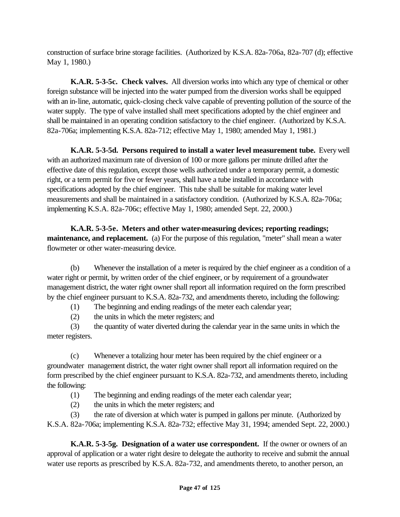construction of surface brine storage facilities. (Authorized by K.S.A. 82a-706a, 82a-707 (d); effective May 1, 1980.)

**K.A.R. 5-3-5c. Check valves.** All diversion works into which any type of chemical or other foreign substance will be injected into the water pumped from the diversion works shall be equipped with an in-line, automatic, quick-closing check valve capable of preventing pollution of the source of the water supply. The type of valve installed shall meet specifications adopted by the chief engineer and shall be maintained in an operating condition satisfactory to the chief engineer. (Authorized by K.S.A. 82a-706a; implementing K.S.A. 82a-712; effective May 1, 1980; amended May 1, 1981.)

**K.A.R. 5-3-5d. Persons required to install a water level measurement tube.** Every well with an authorized maximum rate of diversion of 100 or more gallons per minute drilled after the effective date of this regulation, except those wells authorized under a temporary permit, a domestic right, or a term permit for five or fewer years, shall have a tube installed in accordance with specifications adopted by the chief engineer. This tube shall be suitable for making water level measurements and shall be maintained in a satisfactory condition. (Authorized by K.S.A. 82a-706a; implementing K.S.A. 82a-706c; effective May 1, 1980; amended Sept. 22, 2000.)

**K.A.R. 5-3-5e. Meters and other water-measuring devices; reporting readings; maintenance, and replacement.** (a) For the purpose of this regulation, "meter" shall mean a water flowmeter or other water-measuring device.

(b) Whenever the installation of a meter is required by the chief engineer as a condition of a water right or permit, by written order of the chief engineer, or by requirement of a groundwater management district, the water right owner shall report all information required on the form prescribed by the chief engineer pursuant to K.S.A. 82a-732, and amendments thereto, including the following:

(1) The beginning and ending readings of the meter each calendar year;

(2) the units in which the meter registers; and

(3) the quantity of water diverted during the calendar year in the same units in which the meter registers.

(c) Whenever a totalizing hour meter has been required by the chief engineer or a groundwater management district, the water right owner shall report all information required on the form prescribed by the chief engineer pursuant to K.S.A. 82a-732, and amendments thereto, including the following:

(1) The beginning and ending readings of the meter each calendar year;

(2) the units in which the meter registers; and

(3) the rate of diversion at which water is pumped in gallons per minute. (Authorized by K.S.A. 82a-706a; implementing K.S.A. 82a-732; effective May 31, 1994; amended Sept. 22, 2000.)

**K.A.R. 5-3-5g. Designation of a water use correspondent.** If the owner or owners of an approval of application or a water right desire to delegate the authority to receive and submit the annual water use reports as prescribed by K.S.A. 82a-732, and amendments thereto, to another person, an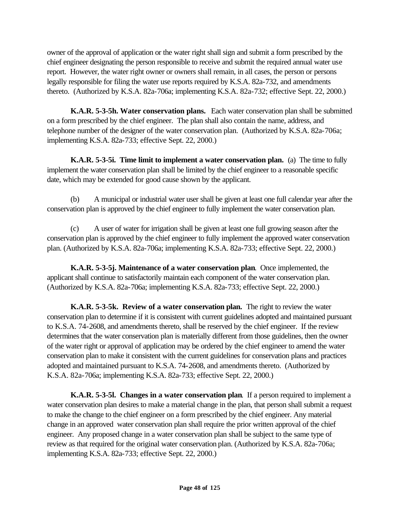owner of the approval of application or the water right shall sign and submit a form prescribed by the chief engineer designating the person responsible to receive and submit the required annual water use report. However, the water right owner or owners shall remain, in all cases, the person or persons legally responsible for filing the water use reports required by K.S.A. 82a-732, and amendments thereto. (Authorized by K.S.A. 82a-706a; implementing K.S.A. 82a-732; effective Sept. 22, 2000.)

**K.A.R. 5-3-5h. Water conservation plans.** Each water conservation plan shall be submitted on a form prescribed by the chief engineer. The plan shall also contain the name, address, and telephone number of the designer of the water conservation plan. (Authorized by K.S.A. 82a-706a; implementing K.S.A. 82a-733; effective Sept. 22, 2000.)

**K.A.R. 5-3-5i. Time limit to implement a water conservation plan.** (a) The time to fully implement the water conservation plan shall be limited by the chief engineer to a reasonable specific date, which may be extended for good cause shown by the applicant.

(b) A municipal or industrial water user shall be given at least one full calendar year after the conservation plan is approved by the chief engineer to fully implement the water conservation plan.

(c) A user of water for irrigation shall be given at least one full growing season after the conservation plan is approved by the chief engineer to fully implement the approved water conservation plan. (Authorized by K.S.A. 82a-706a; implementing K.S.A. 82a-733; effective Sept. 22, 2000.)

**K.A.R. 5-3-5j. Maintenance of a water conservation plan**. Once implemented, the applicant shall continue to satisfactorily maintain each component of the water conservation plan. (Authorized by K.S.A. 82a-706a; implementing K.S.A. 82a-733; effective Sept. 22, 2000.)

**K.A.R. 5-3-5k. Review of a water conservation plan.** The right to review the water conservation plan to determine if it is consistent with current guidelines adopted and maintained pursuant to K.S.A. 74-2608, and amendments thereto, shall be reserved by the chief engineer. If the review determines that the water conservation plan is materially different from those guidelines, then the owner of the water right or approval of application may be ordered by the chief engineer to amend the water conservation plan to make it consistent with the current guidelines for conservation plans and practices adopted and maintained pursuant to K.S.A. 74-2608, and amendments thereto. (Authorized by K.S.A. 82a-706a; implementing K.S.A. 82a-733; effective Sept. 22, 2000.)

**K.A.R. 5-3-5l. Changes in a water conservation plan**. If a person required to implement a water conservation plan desires to make a material change in the plan, that person shall submit a request to make the change to the chief engineer on a form prescribed by the chief engineer. Any material change in an approved water conservation plan shall require the prior written approval of the chief engineer. Any proposed change in a water conservation plan shall be subject to the same type of review as that required for the original water conservation plan. (Authorized by K.S.A. 82a-706a; implementing K.S.A. 82a-733; effective Sept. 22, 2000.)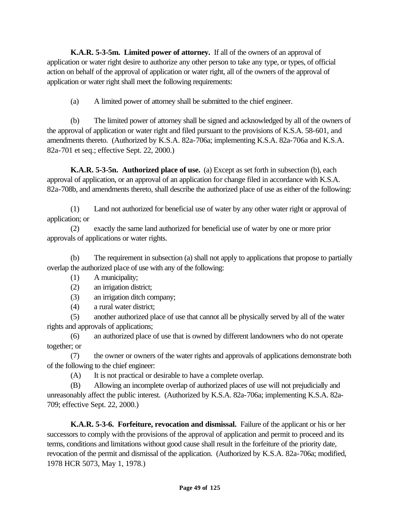**K.A.R. 5-3-5m. Limited power of attorney.** If all of the owners of an approval of application or water right desire to authorize any other person to take any type, or types, of official action on behalf of the approval of application or water right, all of the owners of the approval of application or water right shall meet the following requirements:

(a) A limited power of attorney shall be submitted to the chief engineer.

(b) The limited power of attorney shall be signed and acknowledged by all of the owners of the approval of application or water right and filed pursuant to the provisions of K.S.A. 58-601, and amendments thereto. (Authorized by K.S.A. 82a-706a; implementing K.S.A. 82a-706a and K.S.A. 82a-701 et seq.; effective Sept. 22, 2000.)

**K.A.R. 5-3-5n. Authorized place of use.** (a) Except as set forth in subsection (b), each approval of application, or an approval of an application for change filed in accordance with K.S.A. 82a-708b, and amendments thereto, shall describe the authorized place of use as either of the following:

(1) Land not authorized for beneficial use of water by any other water right or approval of application; or

(2) exactly the same land authorized for beneficial use of water by one or more prior approvals of applications or water rights.

(b) The requirement in subsection (a) shall not apply to applications that propose to partially overlap the authorized place of use with any of the following:

- (1) A municipality;
- (2) an irrigation district;

(3) an irrigation ditch company;

(4) a rural water district;

(5) another authorized place of use that cannot all be physically served by all of the water rights and approvals of applications;

(6) an authorized place of use that is owned by different landowners who do not operate together; or

(7) the owner or owners of the water rights and approvals of applications demonstrate both of the following to the chief engineer:

(A) It is not practical or desirable to have a complete overlap.

(B) Allowing an incomplete overlap of authorized places of use will not prejudicially and unreasonably affect the public interest. (Authorized by K.S.A. 82a-706a; implementing K.S.A. 82a-709; effective Sept. 22, 2000.)

**K.A.R. 5-3-6. Forfeiture, revocation and dismissal.** Failure of the applicant or his or her successors to comply with the provisions of the approval of application and permit to proceed and its terms, conditions and limitations without good cause shall result in the forfeiture of the priority date, revocation of the permit and dismissal of the application. (Authorized by K.S.A. 82a-706a; modified, 1978 HCR 5073, May 1, 1978.)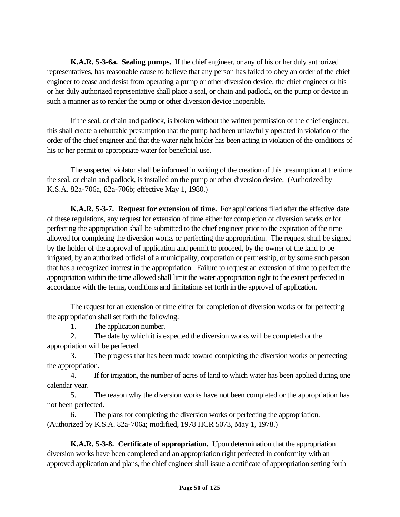**K.A.R. 5-3-6a. Sealing pumps.** If the chief engineer, or any of his or her duly authorized representatives, has reasonable cause to believe that any person has failed to obey an order of the chief engineer to cease and desist from operating a pump or other diversion device, the chief engineer or his or her duly authorized representative shall place a seal, or chain and padlock, on the pump or device in such a manner as to render the pump or other diversion device inoperable.

If the seal, or chain and padlock, is broken without the written permission of the chief engineer, this shall create a rebuttable presumption that the pump had been unlawfully operated in violation of the order of the chief engineer and that the water right holder has been acting in violation of the conditions of his or her permit to appropriate water for beneficial use.

The suspected violator shall be informed in writing of the creation of this presumption at the time the seal, or chain and padlock, is installed on the pump or other diversion device. (Authorized by K.S.A. 82a-706a, 82a-706b; effective May 1, 1980.)

**K.A.R. 5-3-7. Request for extension of time.** For applications filed after the effective date of these regulations, any request for extension of time either for completion of diversion works or for perfecting the appropriation shall be submitted to the chief engineer prior to the expiration of the time allowed for completing the diversion works or perfecting the appropriation. The request shall be signed by the holder of the approval of application and permit to proceed, by the owner of the land to be irrigated, by an authorized official of a municipality, corporation or partnership, or by some such person that has a recognized interest in the appropriation. Failure to request an extension of time to perfect the appropriation within the time allowed shall limit the water appropriation right to the extent perfected in accordance with the terms, conditions and limitations set forth in the approval of application.

The request for an extension of time either for completion of diversion works or for perfecting the appropriation shall set forth the following:

1. The application number.

2. The date by which it is expected the diversion works will be completed or the appropriation will be perfected.

3. The progress that has been made toward completing the diversion works or perfecting the appropriation.

4. If for irrigation, the number of acres of land to which water has been applied during one calendar year.

5. The reason why the diversion works have not been completed or the appropriation has not been perfected.

6. The plans for completing the diversion works or perfecting the appropriation. (Authorized by K.S.A. 82a-706a; modified, 1978 HCR 5073, May 1, 1978.)

**K.A.R. 5-3-8. Certificate of appropriation.** Upon determination that the appropriation diversion works have been completed and an appropriation right perfected in conformity with an approved application and plans, the chief engineer shall issue a certificate of appropriation setting forth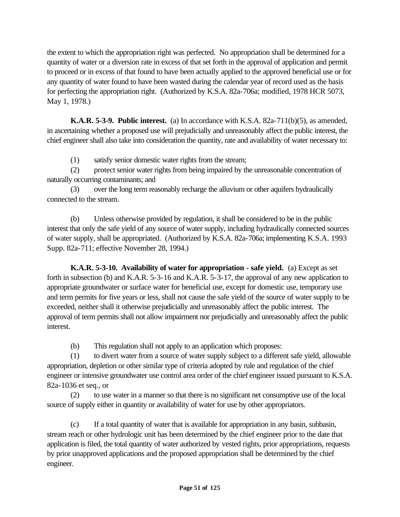the extent to which the appropriation right was perfected. No appropriation shall be determined for a quantity of water or a diversion rate in excess of that set forth in the approval of application and permit to proceed or in excess of that found to have been actually applied to the approved beneficial use or for any quantity of water found to have been wasted during the calendar year of record used as the basis for perfecting the appropriation right. (Authorized by K.S.A. 82a-706a; modified, 1978 HCR 5073, May 1, 1978.)

**K.A.R. 5-3-9. Public interest.** (a) In accordance with K.S.A. 82a-711(b)(5), as amended, in ascertaining whether a proposed use will prejudicially and unreasonably affect the public interest, the chief engineer shall also take into consideration the quantity, rate and availability of water necessary to:

(1) satisfy senior domestic water rights from the stream;

(2) protect senior water rights from being impaired by the unreasonable concentration of naturally occurring contaminants; and

(3) over the long term reasonably recharge the alluvium or other aquifers hydraulically connected to the stream.

(b) Unless otherwise provided by regulation, it shall be considered to be in the public interest that only the safe yield of any source of water supply, including hydraulically connected sources of water supply, shall be appropriated. (Authorized by K.S.A. 82a-706a; implementing K.S.A. 1993 Supp. 82a-711; effective November 28, 1994.)

**K.A.R. 5-3-10. Availability of water for appropriation - safe yield.** (a) Except as set forth in subsection (b) and K.A.R. 5-3-16 and K.A.R. 5-3-17, the approval of any new application to appropriate groundwater or surface water for beneficial use, except for domestic use, temporary use and term permits for five years or less, shall not cause the safe yield of the source of water supply to be exceeded, neither shall it otherwise prejudicially and unreasonably affect the public interest. The approval of term permits shall not allow impairment nor prejudicially and unreasonably affect the public interest.

(b) This regulation shall not apply to an application which proposes:

(1) to divert water from a source of water supply subject to a different safe yield, allowable appropriation, depletion or other similar type of criteria adopted by rule and regulation of the chief engineer or intensive groundwater use control area order of the chief engineer issued pursuant to K.S.A. 82a-1036 et seq., or

(2) to use water in a manner so that there is no significant net consumptive use of the local source of supply either in quantity or availability of water for use by other appropriators.

(c) If a total quantity of water that is available for appropriation in any basin, subbasin, stream reach or other hydrologic unit has been determined by the chief engineer prior to the date that application is filed, the total quantity of water authorized by vested rights, prior appropriations, requests by prior unapproved applications and the proposed appropriation shall be determined by the chief engineer.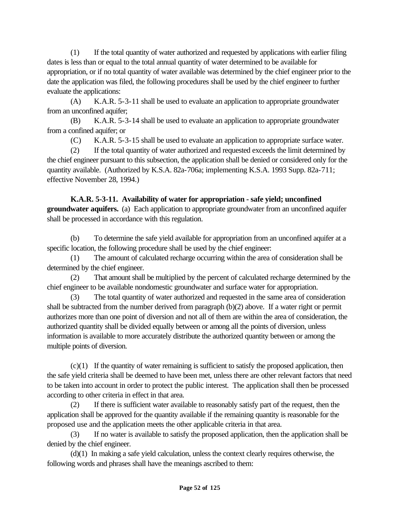(1) If the total quantity of water authorized and requested by applications with earlier filing dates is less than or equal to the total annual quantity of water determined to be available for appropriation, or if no total quantity of water available was determined by the chief engineer prior to the date the application was filed, the following procedures shall be used by the chief engineer to further evaluate the applications:

(A) K.A.R. 5-3-11 shall be used to evaluate an application to appropriate groundwater from an unconfined aquifer;

(B) K.A.R. 5-3-14 shall be used to evaluate an application to appropriate groundwater from a confined aquifer; or

(C) K.A.R. 5-3-15 shall be used to evaluate an application to appropriate surface water.

(2) If the total quantity of water authorized and requested exceeds the limit determined by the chief engineer pursuant to this subsection, the application shall be denied or considered only for the quantity available. (Authorized by K.S.A. 82a-706a; implementing K.S.A. 1993 Supp. 82a-711; effective November 28, 1994.)

**K.A.R. 5-3-11. Availability of water for appropriation - safe yield; unconfined groundwater aquifers.** (a) Each application to appropriate groundwater from an unconfined aquifer shall be processed in accordance with this regulation.

(b) To determine the safe yield available for appropriation from an unconfined aquifer at a specific location, the following procedure shall be used by the chief engineer:

(1) The amount of calculated recharge occurring within the area of consideration shall be determined by the chief engineer.

(2) That amount shall be multiplied by the percent of calculated recharge determined by the chief engineer to be available nondomestic groundwater and surface water for appropriation.

(3) The total quantity of water authorized and requested in the same area of consideration shall be subtracted from the number derived from paragraph (b)(2) above. If a water right or permit authorizes more than one point of diversion and not all of them are within the area of consideration, the authorized quantity shall be divided equally between or among all the points of diversion, unless information is available to more accurately distribute the authorized quantity between or among the multiple points of diversion.

 $(c)(1)$  If the quantity of water remaining is sufficient to satisfy the proposed application, then the safe yield criteria shall be deemed to have been met, unless there are other relevant factors that need to be taken into account in order to protect the public interest. The application shall then be processed according to other criteria in effect in that area.

(2) If there is sufficient water available to reasonably satisfy part of the request, then the application shall be approved for the quantity available if the remaining quantity is reasonable for the proposed use and the application meets the other applicable criteria in that area.

(3) If no water is available to satisfy the proposed application, then the application shall be denied by the chief engineer.

(d)(1) In making a safe yield calculation, unless the context clearly requires otherwise, the following words and phrases shall have the meanings ascribed to them: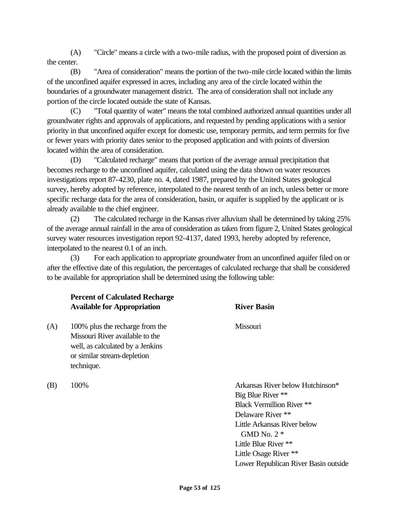(A) "Circle" means a circle with a two-mile radius, with the proposed point of diversion as the center.

(B) "Area of consideration" means the portion of the two-mile circle located within the limits of the unconfined aquifer expressed in acres, including any area of the circle located within the boundaries of a groundwater management district. The area of consideration shall not include any portion of the circle located outside the state of Kansas.

(C) "Total quantity of water" means the total combined authorized annual quantities under all groundwater rights and approvals of applications, and requested by pending applications with a senior priority in that unconfined aquifer except for domestic use, temporary permits, and term permits for five or fewer years with priority dates senior to the proposed application and with points of diversion located within the area of consideration.

(D) "Calculated recharge" means that portion of the average annual precipitation that becomes recharge to the unconfined aquifer, calculated using the data shown on water resources investigations report 87-4230, plate no. 4, dated 1987, prepared by the United States geological survey, hereby adopted by reference, interpolated to the nearest tenth of an inch, unless better or more specific recharge data for the area of consideration, basin, or aquifer is supplied by the applicant or is already available to the chief engineer.

(2) The calculated recharge in the Kansas river alluvium shall be determined by taking 25% of the average annual rainfall in the area of consideration as taken from figure 2, United States geological survey water resources investigation report 92-4137, dated 1993, hereby adopted by reference, interpolated to the nearest 0.1 of an inch.

(3) For each application to appropriate groundwater from an unconfined aquifer filed on or after the effective date of this regulation, the percentages of calculated recharge that shall be considered to be available for appropriation shall be determined using the following table:

|     | <b>Percent of Calculated Recharge</b><br><b>Available for Appropriation</b>                                                                         | <b>River Basin</b>                                                                                                                                                                                                                                     |  |  |
|-----|-----------------------------------------------------------------------------------------------------------------------------------------------------|--------------------------------------------------------------------------------------------------------------------------------------------------------------------------------------------------------------------------------------------------------|--|--|
| (A) | 100% plus the recharge from the<br>Missouri River available to the<br>well, as calculated by a Jenkins<br>or similar stream-depletion<br>technique. | Missouri                                                                                                                                                                                                                                               |  |  |
| (B) | 100%                                                                                                                                                | Arkansas River below Hutchinson*<br>Big Blue River **<br><b>Black Vermillion River **</b><br>Delaware River **<br>Little Arkansas River below<br>GMD No. $2*$<br>Little Blue River **<br>Little Osage River **<br>Lower Republican River Basin outside |  |  |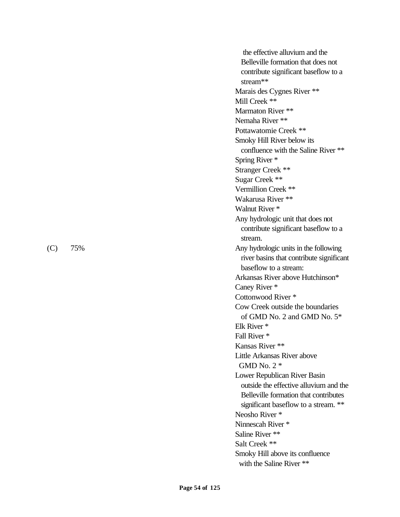the effective alluvium and the Belleville formation that does not contribute significant baseflow to a stream\*\* Marais des Cygnes River \*\* Mill Creek \*\* Marmaton River \*\* Nemaha River \*\* Pottawatomie Creek \*\* Smoky Hill River below its confluence with the Saline River \*\* Spring River \* Stranger Creek \*\* Sugar Creek \*\* Vermillion Creek \*\* Wakarusa River \*\* Walnut River \* Any hydrologic unit that does not contribute significant baseflow to a stream. (C) 75% Any hydrologic units in the following river basins that contribute significant baseflow to a stream: Arkansas River above Hutchinson\* Caney River \* Cottonwood River \* Cow Creek outside the boundaries of GMD No. 2 and GMD No. 5\* Elk River \* Fall River \* Kansas River \*\* Little Arkansas River above GMD No. 2 \* Lower Republican River Basin outside the effective alluvium and the Belleville formation that contributes significant baseflow to a stream. \*\* Neosho River \* Ninnescah River \* Saline River \*\* Salt Creek \*\* Smoky Hill above its confluence with the Saline River \*\*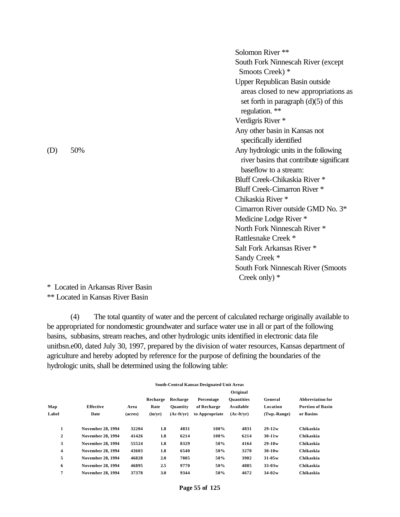Solomon River \*\* South Fork Ninnescah River (except Smoots Creek) \* Upper Republican Basin outside areas closed to new appropriations as set forth in paragraph  $(d)(5)$  of this regulation. \*\* Verdigris River \* Any other basin in Kansas not specifically identified (D) 50% Any hydrologic units in the following river basins that contribute significant baseflow to a stream: Bluff Creek-Chikaskia River \* Bluff Creek-Cimarron River \* Chikaskia River \* Cimarron River outside GMD No. 3\* Medicine Lodge River \* North Fork Ninnescah River \* Rattlesnake Creek \* Salt Fork Arkansas River \* Sandy Creek \* South Fork Ninnescah River (Smoots Creek only) \*

\* Located in Arkansas River Basin

\*\* Located in Kansas River Basin

(4) The total quantity of water and the percent of calculated recharge originally available to be appropriated for nondomestic groundwater and surface water use in all or part of the following basins, subbasins, stream reaches, and other hydrologic units identified in electronic data file unitbsn.e00, dated July 30, 1997, prepared by the division of water resources, Kansas department of agriculture and hereby adopted by reference for the purpose of defining the boundaries of the hydrologic units, shall be determined using the following table:

|                         |                          | South-Central Kansas Designated Unit Areas |          |                 |                |                   |              |                         |
|-------------------------|--------------------------|--------------------------------------------|----------|-----------------|----------------|-------------------|--------------|-------------------------|
|                         |                          |                                            |          |                 |                | Original          |              |                         |
|                         |                          |                                            | Recharge | Recharge        | Percentage     | <b>Quantities</b> | General      | <b>Abbreviation for</b> |
| Map                     | <b>Effective</b>         | Area                                       | Rate     | <b>Ouantity</b> | of Recharge    | Available         | Location     | <b>Portion of Basin</b> |
| Label                   | Date                     | (acres)                                    | (in/yr)  | $(Ac-ft/vr)$    | to Appropriate | $(Ac-ft/vr)$      | (Twp.-Range) | or Basins               |
| 1                       | <b>November 28, 1994</b> | 32204                                      | 1.8      | 4831            | 100%           | 4831              | $29 - 12w$   | Chikaskia               |
| $\overline{\mathbf{c}}$ | <b>November 28, 1994</b> | 41426                                      | 1.8      | 6214            | 100%           | 6214              | $30-11w$     | Chikaskia               |
| 3                       | <b>November 28, 1994</b> | 55524                                      | 1.8      | 8329            | 50%            | 4164              | $29-10w$     | Chikaskia               |
| $\overline{\mathbf{4}}$ | <b>November 28, 1994</b> | 43603                                      | 1.8      | 6540            | 50%            | 3270              | $30 - 10w$   | Chikaskia               |
| 5                       | <b>November 28, 1994</b> | 46828                                      | 2.0      | 7805            | 50%            | 3902              | $31 - 05w$   | Chikaskia               |
| 6                       | <b>November 28, 1994</b> | 46895                                      | 2.5      | 9770            | 50%            | 4885              | $33-03w$     | Chikaskia               |
| 7                       | <b>November 28, 1994</b> | 37378                                      | 3.0      | 9344            | 50%            | 4672              | $34 - 02w$   | Chikaskia               |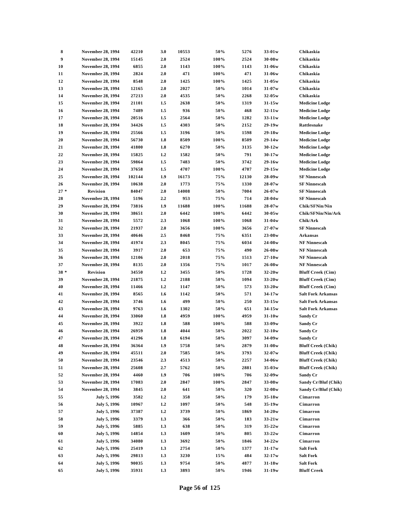| 8      | <b>November 28, 1994</b> | 42210  | 3.0 | 10553 | 50%  | 5276  | $33-01w$   | Chikaskia                 |
|--------|--------------------------|--------|-----|-------|------|-------|------------|---------------------------|
| 9      | <b>November 28, 1994</b> | 15145  | 2.0 | 2524  | 100% | 2524  | $30 - 08w$ | Chikaskia                 |
| 10     | <b>November 28, 1994</b> | 6855   | 2.0 | 1143  | 100% | 1143  | $31-06w$   | Chikaskia                 |
| 11     | <b>November 28, 1994</b> | 2824   | 2.0 | 471   | 100% | 471   | $31-06w$   | Chikaskia                 |
| 12     | <b>November 28, 1994</b> | 8548   | 2.0 | 1425  | 100% | 1425  | $31 - 05w$ | Chikaskia                 |
| 13     | <b>November 28, 1994</b> | 12165  | 2.0 | 2027  | 50%  | 1014  | $31-07w$   | Chikaskia                 |
| 14     | <b>November 28, 1994</b> | 27213  | 2.0 | 4535  | 50%  | 2268  | $32 - 05w$ | Chikaskia                 |
| 15     | <b>November 28, 1994</b> | 21101  | 1.5 | 2638  | 50%  | 1319  | $31 - 15w$ | <b>Medicine Lodge</b>     |
| 16     | <b>November 28, 1994</b> | 7489   | 1.5 | 936   | 50%  | 468   | $32 - 11w$ | <b>Medicine Lodge</b>     |
| 17     | <b>November 28, 1994</b> | 20516  | 1.5 | 2564  | 50%  | 1282  | $33-11w$   | <b>Medicine Lodge</b>     |
| 18     | <b>November 28, 1994</b> | 34426  | 1.5 | 4303  | 50%  | 2152  | $29 - 19w$ | Rattlesnake               |
| 19     | <b>November 28, 1994</b> | 25566  | 1.5 | 3196  | 50%  | 1598  | $29-18w$   | <b>Medicine Lodge</b>     |
| 20     | <b>November 28, 1994</b> | 56730  | 1.8 | 8509  | 100% | 8509  | $29-14w$   | <b>Medicine Lodge</b>     |
| 21     | <b>November 28, 1994</b> | 41800  | 1.8 | 6270  | 50%  | 3135  | $30 - 12w$ | <b>Medicine Lodge</b>     |
| 22     | <b>November 28, 1994</b> | 15825  | 1.2 | 1582  | 50%  | 791   | $30 - 17w$ | <b>Medicine Lodge</b>     |
| 23     | <b>November 28, 1994</b> | 59864  | 1.5 | 7483  | 50%  | 3742  | $29-16w$   | <b>Medicine Lodge</b>     |
|        |                          |        |     |       |      |       |            |                           |
| 24     | <b>November 28, 1994</b> | 37658  | 1.5 | 4707  | 100% | 4707  | $29 - 15w$ | <b>Medicine Lodge</b>     |
| 25     | <b>November 28, 1994</b> | 102144 | 1.9 | 16173 | 75%  | 12130 | $28 - 09w$ | <b>SF Ninnescah</b>       |
| 26     | <b>November 28, 1994</b> | 10638  | 2.0 | 1773  | 75%  | 1330  | $28 - 07w$ | <b>SF Ninnescah</b>       |
| $27*$  | Revision                 | 84047  | 2.0 | 14008 | 50%  | 7004  | $26 - 07w$ | <b>SF Ninnescah</b>       |
| 28     | <b>November 28, 1994</b> | 5196   | 2.2 | 953   | 75%  | 714   | $28 - 04w$ | <b>SF Ninnescah</b>       |
| 29     | <b>November 28, 1994</b> | 73816  | 1.9 | 11688 | 100% | 11688 | $28 - 07w$ | Chik/SFNin/Nin            |
| 30     | <b>November 28, 1994</b> | 38651  | 2.0 | 6442  | 100% | 6442  | $30 - 05w$ | Chik/SFNin/Nin/Ark        |
| 31     | <b>November 28, 1994</b> | 5572   | 2.3 | 1068  | 100% | 1068  | $31-04w$   | Chik/Ark                  |
| 32     | <b>November 28, 1994</b> | 21937  | 2.0 | 3656  | 100% | 3656  | $27 - 07w$ | <b>SF Ninnescah</b>       |
| 33     | <b>November 28, 1994</b> | 40646  | 2.5 | 8468  | 75%  | 6351  | $23-08w$   | Arkansas                  |
| 34     | <b>November 28, 1994</b> | 41974  | 2.3 | 8045  | 75%  | 6034  | $24 - 08w$ | <b>NF Ninnescah</b>       |
| 35     | <b>November 28, 1994</b> | 3917   | 2.0 | 653   | 75%  | 490   | $26 - 08w$ | <b>NF Ninnescah</b>       |
| 36     | <b>November 28, 1994</b> | 12106  | 2.0 | 2018  | 75%  | 1513  | $27 - 10w$ | <b>NF Ninnescah</b>       |
| 37     | <b>November 28, 1994</b> | 8135   | 2.0 | 1356  | 75%  | 1017  | $26 - 08w$ | <b>NF Ninnescah</b>       |
| $38 *$ | Revision                 | 34550  | 1.2 | 3455  | 50%  | 1728  | $32 - 20w$ | <b>Bluff Creek</b> (Cim)  |
| 39     | <b>November 28, 1994</b> | 21875  | 1.2 | 2188  | 50%  | 1094  | $33 - 20w$ | <b>Bluff Creek</b> (Cim)  |
| 40     | <b>November 28, 1994</b> | 11466  | 1.2 | 1147  | 50%  | 573   | $33-20w$   | <b>Bluff Creek (Cim)</b>  |
| 41     | <b>November 28, 1994</b> | 8565   | 1.6 | 1142  | 50%  | 571   | $34 - 17w$ | <b>Salt Fork Arkansas</b> |
| 42     | <b>November 28, 1994</b> | 3746   | 1.6 | 499   | 50%  | 250   | $33 - 15w$ | <b>Salt Fork Arkansas</b> |
| 43     | <b>November 28, 1994</b> | 9763   | 1.6 | 1302  | 50%  | 651   | $34 - 15w$ | <b>Salt Fork Arkansas</b> |
| 44     | <b>November 28, 1994</b> | 33060  | 1.8 | 4959  | 100% | 4959  | $31 - 10w$ | Sandy Cr                  |
| 45     | <b>November 28, 1994</b> | 3922   | 1.8 | 588   | 100% | 588   | $33-09w$   | <b>Sandy Cr</b>           |
| 46     | <b>November 28, 1994</b> | 26959  | 1.8 | 4044  | 50%  | 2022  | $32 - 10w$ | Sandy Cr                  |
| 47     | <b>November 28, 1994</b> | 41296  | 1.8 | 6194  | 50%  | 3097  | $34 - 09w$ | <b>Sandy Cr</b>           |
| 48     | <b>November 28, 1994</b> | 36364  | 1.9 | 5758  | 50%  | 2879  | $31-08w$   | <b>Bluff Creek (Chik)</b> |
| 49     | <b>November 28, 1994</b> | 45511  | 2.0 | 7585  | 50%  | 3793  | $32 - 07w$ | <b>Bluff Creek (Chik)</b> |
| 50     | <b>November 28, 1994</b> | 23546  | 2.3 | 4513  | 50%  | 2257  | 34-06w     | <b>Bluff Creek (Chik)</b> |
| 51     | <b>November 28, 1994</b> | 25608  | 2.7 | 5762  | 50%  | 2881  | $35-03w$   | <b>Bluff Creek (Chik)</b> |
| 52     | <b>November 28, 1994</b> |        |     |       |      | 706   |            |                           |
|        |                          | 4460   | 1.9 | 706   | 100% |       | $32 - 09w$ | Sandy Cr                  |
| 53     | <b>November 28, 1994</b> | 17083  | 2.0 | 2847  | 100% | 2847  | $33-08w$   | Sandy Cr/Bluf (Chik)      |
| 54     | <b>November 28, 1994</b> | 3845   | 2.0 | 641   | 50%  | 320   | $32-08w$   | Sandy Cr/Bluf (Chik)      |
| 55     | July 5, 1996             | 3582   | 1.2 | 358   | 50%  | 179   | $35-18w$   | Cimarron                  |
| 56     | <b>July 5, 1996</b>      | 10967  | 1.2 | 1097  | 50%  | 548   | $35-19w$   | Cimarron                  |
| 57     | July 5, 1996             | 37387  | 1.2 | 3739  | 50%  | 1869  | $34 - 20w$ | Cimarron                  |
| 58     | July 5, 1996             | 3379   | 1.3 | 366   | 50%  | 183   | $33-21w$   | Cimarron                  |
| 59     | July 5, 1996             | 5885   | 1.3 | 638   | 50%  | 319   | $35-22w$   | Cimarron                  |
| 60     | July 5, 1996             | 14854  | 1.3 | 1609  | 50%  | 805   | $33 - 22w$ | Cimarron                  |
| 61     | July 5, 1996             | 34080  | 1.3 | 3692  | 50%  | 1846  | $34 - 22w$ | Cimarron                  |
| 62     | July 5, 1996             | 25419  | 1.3 | 2754  | 50%  | 1377  | $31 - 17w$ | <b>Salt Fork</b>          |
| 63     | July 5, 1996             | 29813  | 1.3 | 3230  | 15%  | 484   | $32 - 17w$ | <b>Salt Fork</b>          |
| 64     | July 5, 1996             | 90035  | 1.3 | 9754  | 50%  | 4877  | $31 - 18w$ | <b>Salt Fork</b>          |
| 65     | July 5, 1996             | 35931  | 1.3 | 3893  | 50%  | 1946  | $31-19w$   | <b>Bluff Creek</b>        |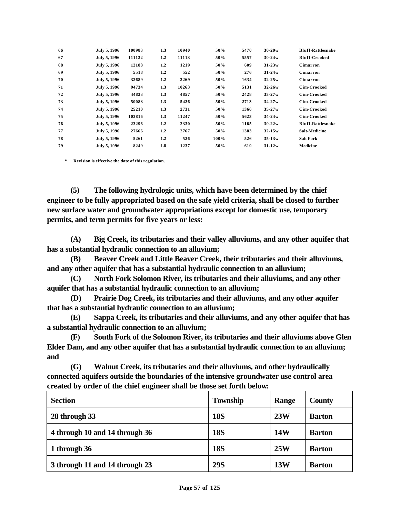| 66 | July 5, 1996 | 100983 | 1.3              | 10940 | 50%  | 5470 | $30 - 20w$ | <b>Bluff-Rattlesnake</b> |
|----|--------------|--------|------------------|-------|------|------|------------|--------------------------|
| 67 | July 5, 1996 | 111132 | $1.2\phantom{0}$ | 11113 | 50%  | 5557 | $30 - 24w$ | <b>Bluff-Crooked</b>     |
| 68 | July 5, 1996 | 12188  | $1.2\phantom{0}$ | 1219  | 50%  | 609  | $31 - 23w$ | Cimarron                 |
| 69 | July 5, 1996 | 5518   | $1.2\phantom{0}$ | 552   | 50%  | 276  | $31 - 24w$ | Cimarron                 |
| 70 | July 5, 1996 | 32689  | $1.2\phantom{0}$ | 3269  | 50%  | 1634 | $32 - 25w$ | Cimarron                 |
| 71 | July 5, 1996 | 94734  | 1.3              | 10263 | 50%  | 5131 | $32 - 26w$ | Cim-Crooked              |
| 72 | July 5, 1996 | 44833  | 1.3              | 4857  | 50%  | 2428 | $33 - 27w$ | Cim-Crooked              |
| 73 | July 5, 1996 | 50088  | 1.3              | 5426  | 50%  | 2713 | $34 - 27w$ | Cim-Crooked              |
| 74 | July 5, 1996 | 25210  | 1.3              | 2731  | 50%  | 1366 | $35 - 27w$ | Cim-Crooked              |
| 75 | July 5, 1996 | 103816 | 1.3              | 11247 | 50%  | 5623 | $34 - 24w$ | Cim-Crooked              |
| 76 | July 5, 1996 | 23296  | 1.2              | 2330  | 50%  | 1165 | $30 - 22w$ | <b>Bluff-Rattlesnake</b> |
| 77 | July 5, 1996 | 27666  | $1.2\phantom{0}$ | 2767  | 50%  | 1383 | $32 - 15w$ | <b>Salt-Medicine</b>     |
| 78 | July 5, 1996 | 5261   | $1.2\phantom{0}$ | 526   | 100% | 526  | $35 - 13w$ | <b>Salt Fork</b>         |
| 79 | July 5, 1996 | 8249   | 1.8              | 1237  | 50%  | 619  | $31 - 12w$ | <b>Medicine</b>          |

**\* Revision is effective the date of this regulation.**

**(5) The following hydrologic units, which have been determined by the chief engineer to be fully appropriated based on the safe yield criteria, shall be closed to further new surface water and groundwater appropriations except for domestic use, temporary permits, and term permits for five years or less:**

**(A) Big Creek, its tributaries and their valley alluviums, and any other aquifer that has a substantial hydraulic connection to an alluvium;**

**(B) Beaver Creek and Little Beaver Creek, their tributaries and their alluviums, and any other aquifer that has a substantial hydraulic connection to an alluvium;**

**(C) North Fork Solomon River, its tributaries and their alluviums, and any other aquifer that has a substantial hydraulic connection to an alluvium;**

**(D) Prairie Dog Creek, its tributaries and their alluviums, and any other aquifer that has a substantial hydraulic connection to an alluvium;** 

**(E) Sappa Creek, its tributaries and their alluviums, and any other aquifer that has a substantial hydraulic connection to an alluvium;**

**(F) South Fork of the Solomon River, its tributaries and their alluviums above Glen Elder Dam, and any other aquifer that has a substantial hydraulic connection to an alluvium; and**

**(G) Walnut Creek, its tributaries and their alluviums, and other hydraulically connected aquifers outside the boundaries of the intensive groundwater use control area created by order of the chief engineer shall be those set forth below:**

| <b>Section</b>                 | <b>Township</b> | Range      | County        |
|--------------------------------|-----------------|------------|---------------|
| 28 through 33                  | <b>18S</b>      | 23W        | <b>Barton</b> |
| 4 through 10 and 14 through 36 | <b>18S</b>      | <b>14W</b> | <b>Barton</b> |
| 1 through 36                   | <b>18S</b>      | 25W        | <b>Barton</b> |
| 3 through 11 and 14 through 23 | <b>29S</b>      | 13W        | <b>Barton</b> |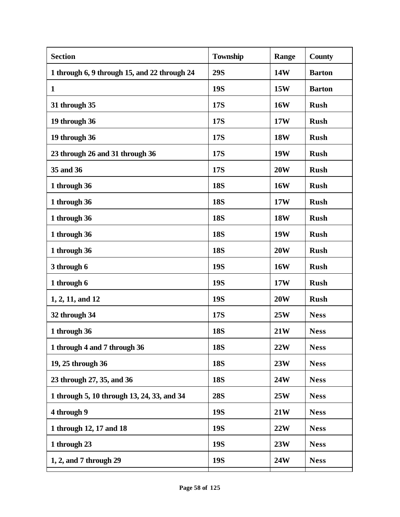| 14W        |               |
|------------|---------------|
|            | <b>Barton</b> |
| 15W        | <b>Barton</b> |
| <b>16W</b> | <b>Rush</b>   |
| 17W        | <b>Rush</b>   |
| <b>18W</b> | <b>Rush</b>   |
| <b>19W</b> | <b>Rush</b>   |
| 20W        | <b>Rush</b>   |
| <b>16W</b> | <b>Rush</b>   |
| 17W        | <b>Rush</b>   |
| <b>18W</b> | <b>Rush</b>   |
| <b>19W</b> | <b>Rush</b>   |
| <b>20W</b> | <b>Rush</b>   |
| <b>16W</b> | <b>Rush</b>   |
| 17W        | <b>Rush</b>   |
| <b>20W</b> | <b>Rush</b>   |
| 25W        | <b>Ness</b>   |
| 21W        | <b>Ness</b>   |
| 22W        | <b>Ness</b>   |
| 23W        | <b>Ness</b>   |
| 24W        | <b>Ness</b>   |
| 25W        | <b>Ness</b>   |
| 21W        | <b>Ness</b>   |
| 22W        | <b>Ness</b>   |
| 23W        | <b>Ness</b>   |
| <b>24W</b> | <b>Ness</b>   |
|            |               |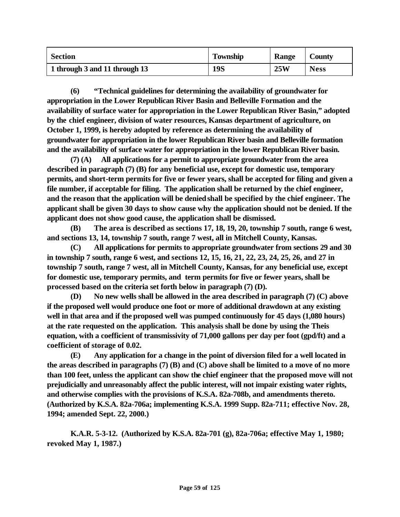| <b>Section</b>                | <b>Township</b> | Range | <b>County</b> |
|-------------------------------|-----------------|-------|---------------|
| 1 through 3 and 11 through 13 | 19S             | 25W   | <b>Ness</b>   |

**(6) "Technical guidelines for determining the availability of groundwater for appropriation in the Lower Republican River Basin and Belleville Formation and the availability of surface water for appropriation in the Lower Republican River Basin," adopted by the chief engineer, division of water resources, Kansas department of agriculture, on October 1, 1999, is hereby adopted by reference as determining the availability of groundwater for appropriation in the lower Republican River basin and Belleville formation and the availability of surface water for appropriation in the lower Republican River basin.**

**(7) (A) All applications for a permit to appropriate groundwater from the area described in paragraph (7) (B) for any beneficial use, except for domestic use, temporary permits, and short-term permits for five or fewer years, shall be accepted for filing and given a file number, if acceptable for filing. The application shall be returned by the chief engineer, and the reason that the application will be denied shall be specified by the chief engineer. The applicant shall be given 30 days to show cause why the application should not be denied. If the applicant does not show good cause, the application shall be dismissed.**

**(B) The area is described as sections 17, 18, 19, 20, township 7 south, range 6 west, and sections 13, 14, township 7 south, range 7 west, all in Mitchell County, Kansas.**

**(C) All applications for permits to appropriate groundwater from sections 29 and 30 in township 7 south, range 6 west, and sections 12, 15, 16, 21, 22, 23, 24, 25, 26, and 27 in township 7 south, range 7 west, all in Mitchell County, Kansas, for any beneficial use, except for domestic use, temporary permits, and term permits for five or fewer years, shall be processed based on the criteria set forth below in paragraph (7) (D).**

**(D) No new wells shall be allowed in the area described in paragraph (7) (C) above if the proposed well would produce one foot or more of additional drawdown at any existing well in that area and if the proposed well was pumped continuously for 45 days (1,080 hours) at the rate requested on the application. This analysis shall be done by using the Theis equation, with a coefficient of transmissivity of 71,000 gallons per day per foot (gpd/ft) and a coefficient of storage of 0.02.**

**(E) Any application for a change in the point of diversion filed for a well located in the areas described in paragraphs (7) (B) and (C) above shall be limited to a move of no more than 100 feet, unless the applicant can show the chief engineer that the proposed move will not prejudicially and unreasonably affect the public interest, will not impair existing water rights, and otherwise complies with the provisions of K.S.A. 82a-708b, and amendments thereto. (Authorized by K.S.A. 82a-706a; implementing K.S.A. 1999 Supp. 82a-711; effective Nov. 28, 1994; amended Sept. 22, 2000.)**

**K.A.R. 5-3-12. (Authorized by K.S.A. 82a-701 (g), 82a-706a; effective May 1, 1980; revoked May 1, 1987.)**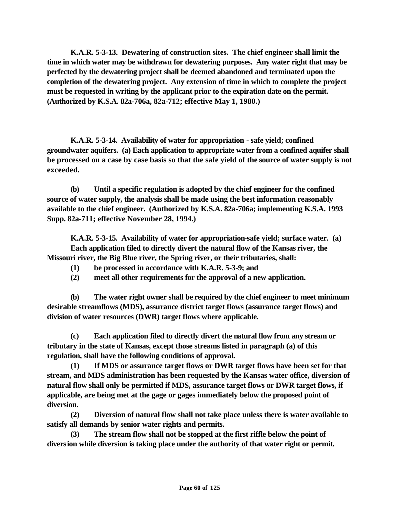**K.A.R. 5-3-13. Dewatering of construction sites. The chief engineer shall limit the time in which water may be withdrawn for dewatering purposes. Any water right that may be perfected by the dewatering project shall be deemed abandoned and terminated upon the completion of the dewatering project. Any extension of time in which to complete the project must be requested in writing by the applicant prior to the expiration date on the permit. (Authorized by K.S.A. 82a-706a, 82a-712; effective May 1, 1980.)** 

**K.A.R. 5-3-14. Availability of water for appropriation - safe yield; confined groundwater aquifers. (a) Each application to appropriate water from a confined aquifer shall be processed on a case by case basis so that the safe yield of the source of water supply is not exceeded.** 

**(b) Until a specific regulation is adopted by the chief engineer for the confined source of water supply, the analysis shall be made using the best information reasonably available to the chief engineer. (Authorized by K.S.A. 82a-706a; implementing K.S.A. 1993 Supp. 82a-711; effective November 28, 1994.)**

**K.A.R. 5-3-15. Availability of water for appropriation-safe yield; surface water. (a) Each application filed to directly divert the natural flow of the Kansas river, the Missouri river, the Big Blue river, the Spring river, or their tributaries, shall:** 

- **(1) be processed in accordance with K.A.R. 5-3-9; and**
- **(2) meet all other requirements for the approval of a new application.**

**(b) The water right owner shall be required by the chief engineer to meet minimum desirable streamflows (MDS), assurance district target flows (assurance target flows) and division of water resources (DWR) target flows where applicable.** 

**(c) Each application filed to directly divert the natural flow from any stream or tributary in the state of Kansas, except those streams listed in paragraph (a) of this regulation, shall have the following conditions of approval.**

**(1) If MDS or assurance target flows or DWR target flows have been set for that stream, and MDS administration has been requested by the Kansas water office, diversion of natural flow shall only be permitted if MDS, assurance target flows or DWR target flows, if applicable, are being met at the gage or gages immediately below the proposed point of diversion.**

**(2) Diversion of natural flow shall not take place unless there is water available to satisfy all demands by senior water rights and permits.**

**(3) The stream flow shall not be stopped at the first riffle below the point of diversion while diversion is taking place under the authority of that water right or permit.**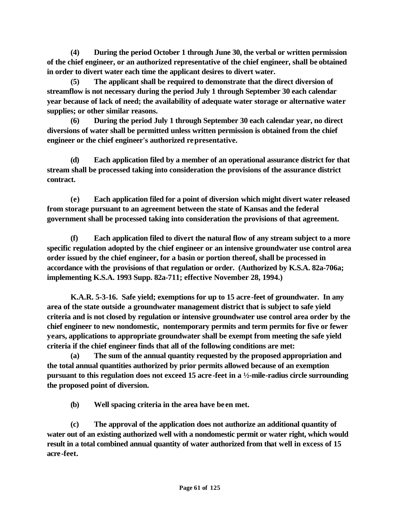**(4) During the period October 1 through June 30, the verbal or written permission of the chief engineer, or an authorized representative of the chief engineer, shall be obtained in order to divert water each time the applicant desires to divert water.**

**(5) The applicant shall be required to demonstrate that the direct diversion of streamflow is not necessary during the period July 1 through September 30 each calendar year because of lack of need; the availability of adequate water storage or alternative water supplies; or other similar reasons.**

**(6) During the period July 1 through September 30 each calendar year, no direct diversions of water shall be permitted unless written permission is obtained from the chief engineer or the chief engineer's authorized representative.**

**(d) Each application filed by a member of an operational assurance district for that stream shall be processed taking into consideration the provisions of the assurance district contract.**

**(e) Each application filed for a point of diversion which might divert water released from storage pursuant to an agreement between the state of Kansas and the federal government shall be processed taking into consideration the provisions of that agreement.**

**(f) Each application filed to divert the natural flow of any stream subject to a more specific regulation adopted by the chief engineer or an intensive groundwater use control area order issued by the chief engineer, for a basin or portion thereof, shall be processed in accordance with the provisions of that regulation or order. (Authorized by K.S.A. 82a-706a; implementing K.S.A. 1993 Supp. 82a-711; effective November 28, 1994.)**

**K.A.R. 5-3-16. Safe yield; exemptions for up to 15 acre -feet of groundwater. In any area of the state outside a groundwater management district that is subject to safe yield criteria and is not closed by regulation or intensive groundwater use control area order by the chief engineer to new nondomestic, nontemporary permits and term permits for five or fewer years, applications to appropriate groundwater shall be exempt from meeting the safe yield criteria if the chief engineer finds that all of the following conditions are met:**

**(a) The sum of the annual quantity requested by the proposed appropriation and the total annual quantities authorized by prior permits allowed because of an exemption pursuant to this regulation does not exceed 15 acre-feet in a ½-mile-radius circle surrounding the proposed point of diversion.**

**(b) Well spacing criteria in the area have been met.**

**(c) The approval of the application does not authorize an additional quantity of water out of an existing authorized well with a nondomestic permit or water right, which would result in a total combined annual quantity of water authorized from that well in excess of 15 acre-feet.**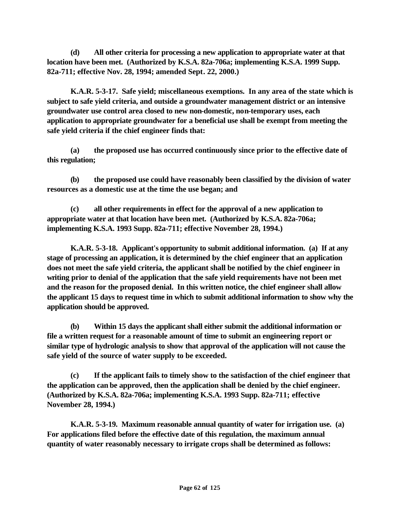**(d) All other criteria for processing a new application to appropriate water at that location have been met. (Authorized by K.S.A. 82a-706a; implementing K.S.A. 1999 Supp. 82a-711; effective Nov. 28, 1994; amended Sept. 22, 2000.)**

**K.A.R. 5-3-17. Safe yield; miscellaneous exemptions. In any area of the state which is subject to safe yield criteria, and outside a groundwater management district or an intensive groundwater use control area closed to new non-domestic, non-temporary uses, each application to appropriate groundwater for a beneficial use shall be exempt from meeting the safe yield criteria if the chief engineer finds that:**

**(a) the proposed use has occurred continuously since prior to the effective date of this regulation;**

**(b) the proposed use could have reasonably been classified by the division of water resources as a domestic use at the time the use began; and** 

**(c) all other requirements in effect for the approval of a new application to appropriate water at that location have been met. (Authorized by K.S.A. 82a-706a; implementing K.S.A. 1993 Supp. 82a-711; effective November 28, 1994.)**

**K.A.R. 5-3-18. Applicant's opportunity to submit additional information. (a) If at any stage of processing an application, it is determined by the chief engineer that an application does not meet the safe yield criteria, the applicant shall be notified by the chief engineer in writing prior to denial of the application that the safe yield requirements have not been met and the reason for the proposed denial. In this written notice, the chief engineer shall allow the applicant 15 days to request time in which to submit additional information to show why the application should be approved.**

**(b) Within 15 days the applicant shall either submit the additional information or file a written request for a reasonable amount of time to submit an engineering report or similar type of hydrologic analysis to show that approval of the application will not cause the safe yield of the source of water supply to be exceeded.** 

**(c) If the applicant fails to timely show to the satisfaction of the chief engineer that the application can be approved, then the application shall be denied by the chief engineer. (Authorized by K.S.A. 82a-706a; implementing K.S.A. 1993 Supp. 82a-711; effective November 28, 1994.)**

**K.A.R. 5-3-19. Maximum reasonable annual quantity of water for irrigation use. (a) For applications filed before the effective date of this regulation, the maximum annual quantity of water reasonably necessary to irrigate crops shall be determined as follows:**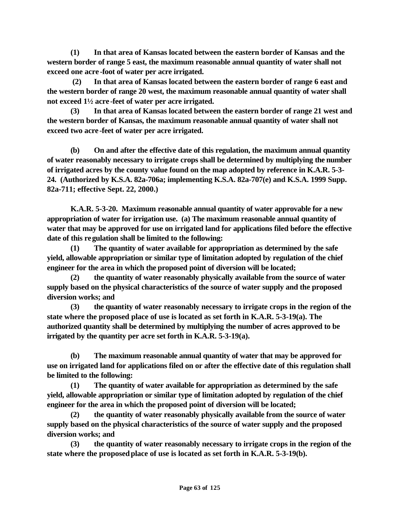**(1) In that area of Kansas located between the eastern border of Kansas and the western border of range 5 east, the maximum reasonable annual quantity of water shall not exceed one acre -foot of water per acre irrigated.**

 **(2) In that area of Kansas located between the eastern border of range 6 east and the western border of range 20 west, the maximum reasonable annual quantity of water shall not exceed 1½ acre -feet of water per acre irrigated.**

**(3) In that area of Kansas located between the eastern border of range 21 west and the western border of Kansas, the maximum reasonable annual quantity of water shall not exceed two acre -feet of water per acre irrigated.**

**(b) On and after the effective date of this regulation, the maximum annual quantity of water reasonably necessary to irrigate crops shall be determined by multiplying the number of irrigated acres by the county value found on the map adopted by reference in K.A.R. 5-3- 24. (Authorized by K.S.A. 82a-706a; implementing K.S.A. 82a-707(e) and K.S.A. 1999 Supp. 82a-711; effective Sept. 22, 2000.)**

**K.A.R. 5-3-20. Maximum reasonable annual quantity of water approvable for a new appropriation of water for irrigation use. (a) The maximum reasonable annual quantity of water that may be approved for use on irrigated land for applications filed before the effective date of this regulation shall be limited to the following:**

**(1) The quantity of water available for appropriation as determined by the safe yield, allowable appropriation or similar type of limitation adopted by regulation of the chief engineer for the area in which the proposed point of diversion will be located;**

**(2) the quantity of water reasonably physically available from the source of water supply based on the physical characteristics of the source of water supply and the proposed diversion works; and**

**(3) the quantity of water reasonably necessary to irrigate crops in the region of the state where the proposed place of use is located as set forth in K.A.R. 5-3-19(a). The authorized quantity shall be determined by multiplying the number of acres approved to be irrigated by the quantity per acre set forth in K.A.R. 5-3-19(a).**

**(b) The maximum reasonable annual quantity of water that may be approved for use on irrigated land for applications filed on or after the effective date of this regulation shall be limited to the following:**

**(1) The quantity of water available for appropriation as determined by the safe yield, allowable appropriation or similar type of limitation adopted by regulation of the chief engineer for the area in which the proposed point of diversion will be located;**

**(2) the quantity of water reasonably physically available from the source of water supply based on the physical characteristics of the source of water supply and the proposed diversion works; and**

**(3) the quantity of water reasonably necessary to irrigate crops in the region of the state where the proposed place of use is located as set forth in K.A.R. 5-3-19(b).**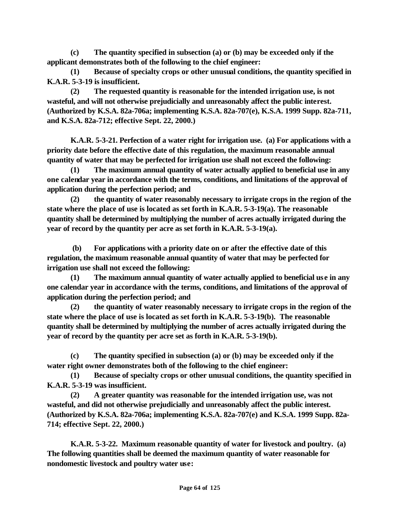**(c) The quantity specified in subsection (a) or (b) may be exceeded only if the applicant demonstrates both of the following to the chief engineer:**

**(1) Because of specialty crops or other unusual conditions, the quantity specified in K.A.R. 5-3-19 is insufficient.**

**(2) The requested quantity is reasonable for the intended irrigation use, is not wasteful, and will not otherwise prejudicially and unreasonably affect the public interest. (Authorized by K.S.A. 82a-706a; implementing K.S.A. 82a-707(e), K.S.A. 1999 Supp. 82a-711, and K.S.A. 82a-712; effective Sept. 22, 2000.)**

**K.A.R. 5-3-21. Perfection of a water right for irrigation use. (a) For applications with a priority date before the effective date of this regulation, the maximum reasonable annual quantity of water that may be perfected for irrigation use shall not exceed the following:**

**(1) The maximum annual quantity of water actually applied to beneficial use in any one calendar year in accordance with the terms, conditions, and limitations of the approval of application during the perfection period; and**

**(2) the quantity of water reasonably necessary to irrigate crops in the region of the state where the place of use is located as set forth in K.A.R. 5-3-19(a). The reasonable quantity shall be determined by multiplying the number of acres actually irrigated during the year of record by the quantity per acre as set forth in K.A.R. 5-3-19(a).**

 **(b) For applications with a priority date on or after the effective date of this regulation, the maximum reasonable annual quantity of water that may be perfected for irrigation use shall not exceed the following:**

**(1) The maximum annual quantity of water actually applied to beneficial use in any one calendar year in accordance with the terms, conditions, and limitations of the approval of application during the perfection period; and**

**(2) the quantity of water reasonably necessary to irrigate crops in the region of the state where the place of use is located as set forth in K.A.R. 5-3-19(b). The reasonable quantity shall be determined by multiplying the number of acres actually irrigated during the year of record by the quantity per acre set as forth in K.A.R. 5-3-19(b).**

**(c) The quantity specified in subsection (a) or (b) may be exceeded only if the water right owner demonstrates both of the following to the chief engineer:**

**(1) Because of specialty crops or other unusual conditions, the quantity specified in K.A.R. 5-3-19 was insufficient.**

**(2) A greater quantity was reasonable for the intended irrigation use, was not wasteful, and did not otherwise prejudicially and unreasonably affect the public interest. (Authorized by K.S.A. 82a-706a; implementing K.S.A. 82a-707(e) and K.S.A. 1999 Supp. 82a-714; effective Sept. 22, 2000.)**

**K.A.R. 5-3-22. Maximum reasonable quantity of water for livestock and poultry. (a) The following quantities shall be deemed the maximum quantity of water reasonable for nondomestic livestock and poultry water use:**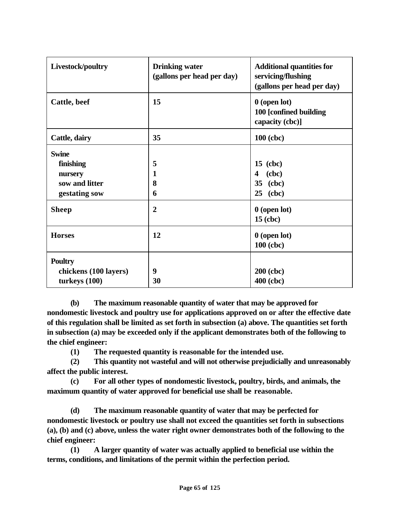| Livestock/poultry                                                                       | <b>Drinking water</b><br>(gallons per head per day) | <b>Additional quantities for</b><br>servicing/flushing<br>(gallons per head per day) |
|-----------------------------------------------------------------------------------------|-----------------------------------------------------|--------------------------------------------------------------------------------------|
| Cattle, beef                                                                            | 15                                                  | $0$ (open lot)<br>100 [confined building<br>capacity (cbc)]                          |
| Cattle, dairy                                                                           | 35                                                  | 100 (cbc)                                                                            |
| <b>Swine</b><br>finishing<br>nursery<br>sow and litter<br>gestating sow<br><b>Sheep</b> | 5<br>$\mathbf{1}$<br>8<br>6<br>$\overline{2}$       | $15$ (cbc)<br>(abc)<br>4<br>(cbc)<br>35<br>25<br>(cbc)<br>$0$ (open lot)             |
| <b>Horses</b>                                                                           | 12                                                  | $15$ (cbc)<br>$0$ (open lot)<br>100 (cbc)                                            |
| <b>Poultry</b><br>chickens (100 layers)<br>turkeys $(100)$                              | 9<br>30                                             | $200$ (cbc)<br>400 (cbc)                                                             |

**(b) The maximum reasonable quantity of water that may be approved for nondomestic livestock and poultry use for applications approved on or after the effective date of this regulation shall be limited as set forth in subsection (a) above. The quantities set forth in subsection (a) may be exceeded only if the applicant demonstrates both of the following to the chief engineer:**

**(1) The requested quantity is reasonable for the intended use.**

**(2) This quantity not wasteful and will not otherwise prejudicially and unreasonably affect the public interest.**

**(c) For all other types of nondomestic livestock, poultry, birds, and animals, the maximum quantity of water approved for beneficial use shall be reasonable.**

**(d) The maximum reasonable quantity of water that may be perfected for nondomestic livestock or poultry use shall not exceed the quantities set forth in subsections (a), (b) and (c) above, unless the water right owner demonstrates both of the following to the chief engineer:** 

**(1) A larger quantity of water was actually applied to beneficial use within the terms, conditions, and limitations of the permit within the perfection period.**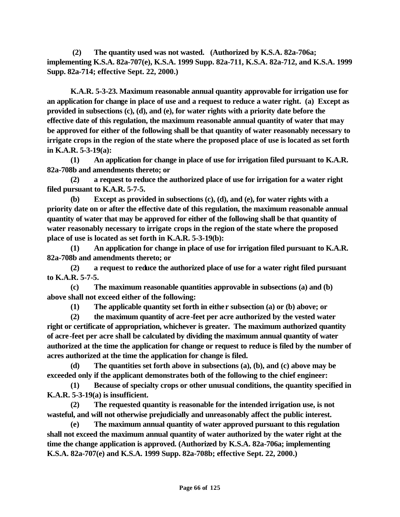**(2) The quantity used was not wasted. (Authorized by K.S.A. 82a-706a; implementing K.S.A. 82a-707(e), K.S.A. 1999 Supp. 82a-711, K.S.A. 82a-712, and K.S.A. 1999 Supp. 82a-714; effective Sept. 22, 2000.)**

**K.A.R. 5-3-23. Maximum reasonable annual quantity approvable for irrigation use for an application for change in place of use and a request to reduce a water right. (a) Except as provided in subsections (c), (d), and (e), for water rights with a priority date before the effective date of this regulation, the maximum reasonable annual quantity of water that may be approved for either of the following shall be that quantity of water reasonably necessary to irrigate crops in the region of the state where the proposed place of use is located as set forth in K.A.R. 5-3-19(a):** 

**(1) An application for change in place of use for irrigation filed pursuant to K.A.R. 82a-708b and amendments thereto; or** 

**(2) a request to reduce the authorized place of use for irrigation for a water right filed pursuant to K.A.R. 5-7-5.**

**(b) Except as provided in subsections (c), (d), and (e), for water rights with a priority date on or after the effective date of this regulation, the maximum reasonable annual quantity of water that may be approved for either of the following shall be that quantity of water reasonably necessary to irrigate crops in the region of the state where the proposed place of use is located as set forth in K.A.R. 5-3-19(b):** 

**(1) An application for change in place of use for irrigation filed pursuant to K.A.R. 82a-708b and amendments thereto; or**

**(2) a request to reduce the authorized place of use for a water right filed pursuant to K.A.R. 5-7-5.** 

**(c) The maximum reasonable quantities approvable in subsections (a) and (b) above shall not exceed either of the following:** 

**(1) The applicable quantity set forth in either subsection (a) or (b) above; or** 

**(2) the maximum quantity of acre-feet per acre authorized by the vested water right or certificate of appropriation, whichever is greater. The maximum authorized quantity of acre-feet per acre shall be calculated by dividing the maximum annual quantity of water authorized at the time the application for change or request to reduce is filed by the number of acres authorized at the time the application for change is filed.**

**(d) The quantities set forth above in subsections (a), (b), and (c) above may be exceeded only if the applicant demonstrates both of the following to the chief engineer:**

**(1) Because of specialty crops or other unusual conditions, the quantity specified in K.A.R. 5-3-19(a) is insufficient.**

**(2) The requested quantity is reasonable for the intended irrigation use, is not wasteful, and will not otherwise prejudicially and unreasonably affect the public interest.** 

**(e) The maximum annual quantity of water approved pursuant to this regulation shall not exceed the maximum annual quantity of water authorized by the water right at the time the change application is approved. (Authorized by K.S.A. 82a-706a; implementing K.S.A. 82a-707(e) and K.S.A. 1999 Supp. 82a-708b; effective Sept. 22, 2000.)**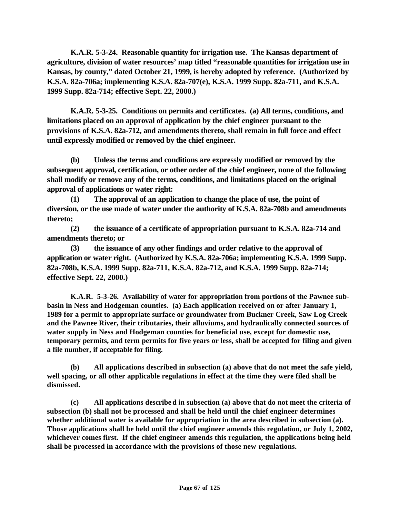**K.A.R. 5-3-24. Reasonable quantity for irrigation use. The Kansas department of agriculture, division of water resources' map titled "reasonable quantities for irrigation use in Kansas, by county," dated October 21, 1999, is hereby adopted by reference. (Authorized by K.S.A. 82a-706a; implementing K.S.A. 82a-707(e), K.S.A. 1999 Supp. 82a-711, and K.S.A. 1999 Supp. 82a-714; effective Sept. 22, 2000.)**

**K.A.R. 5-3-25. Conditions on permits and certificates. (a) All terms, conditions, and limitations placed on an approval of application by the chief engineer pursuant to the provisions of K.S.A. 82a-712, and amendments thereto, shall remain in full force and effect until expressly modified or removed by the chief engineer.** 

**(b) Unless the terms and conditions are expressly modified or removed by the subsequent approval, certification, or other order of the chief engineer, none of the following shall modify or remove any of the terms, conditions, and limitations placed on the original approval of applications or water right:**

**(1) The approval of an application to change the place of use, the point of diversion, or the use made of water under the authority of K.S.A. 82a-708b and amendments thereto;**

**(2) the issuance of a certificate of appropriation pursuant to K.S.A. 82a-714 and amendments thereto; or** 

**(3) the issuance of any other findings and order relative to the approval of application or water right. (Authorized by K.S.A. 82a-706a; implementing K.S.A. 1999 Supp. 82a-708b, K.S.A. 1999 Supp. 82a-711, K.S.A. 82a-712, and K.S.A. 1999 Supp. 82a-714; effective Sept. 22, 2000.)**

**K.A.R. 5-3-26. Availability of water for appropriation from portions of the Pawnee subbasin in Ness and Hodgeman counties. (a) Each application received on or after January 1, 1989 for a permit to appropriate surface or groundwater from Buckner Creek, Saw Log Creek and the Pawnee River, their tributaries, their alluviums, and hydraulically connected sources of water supply in Ness and Hodgeman counties for beneficial use, except for domestic use, temporary permits, and term permits for five years or less, shall be accepted for filing and given a file number, if acceptable for filing.**

**(b) All applications described in subsection (a) above that do not meet the safe yield, well spacing, or all other applicable regulations in effect at the time they were filed shall be dismissed.**

**(c) All applications described in subsection (a) above that do not meet the criteria of subsection (b) shall not be processed and shall be held until the chief engineer determines whether additional water is available for appropriation in the area described in subsection (a). Those applications shall be held until the chief engineer amends this regulation, or July 1, 2002, whichever comes first. If the chief engineer amends this regulation, the applications being held shall be processed in accordance with the provisions of those new regulations.**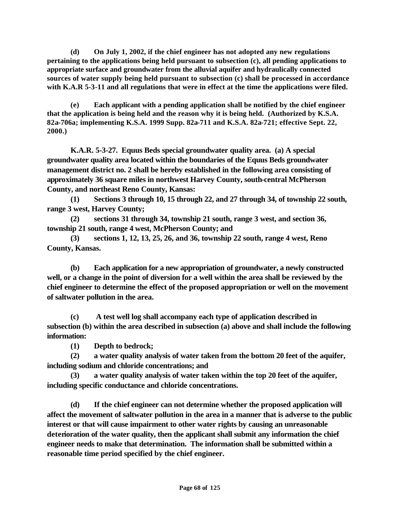**(d) On July 1, 2002, if the chief engineer has not adopted any new regulations pertaining to the applications being held pursuant to subsection (c), all pending applications to appropriate surface and groundwater from the alluvial aquifer and hydraulically connected sources of water supply being held pursuant to subsection (c) shall be processed in accordance with K.A.R 5-3-11 and all regulations that were in effect at the time the applications were filed.**

**(e) Each applicant with a pending application shall be notified by the chief engineer that the application is being held and the reason why it is being held. (Authorized by K.S.A. 82a-706a; implementing K.S.A. 1999 Supp. 82a-711 and K.S.A. 82a-721; effective Sept. 22, 2000.)**

**K.A.R. 5-3-27. Equus Beds special groundwater quality area. (a) A special groundwater quality area located within the boundaries of the Equus Beds groundwater management district no. 2 shall be hereby established in the following area consisting of approximately 36 square miles in northwest Harvey County, south-central McPherson County, and northeast Reno County, Kansas:**

**(1) Sections 3 through 10, 15 through 22, and 27 through 34, of township 22 south, range 3 west, Harvey County;** 

**(2) sections 31 through 34, township 21 south, range 3 west, and section 36, township 21 south, range 4 west, McPherson County; and** 

**(3) sections 1, 12, 13, 25, 26, and 36, township 22 south, range 4 west, Reno County, Kansas.** 

**(b) Each application for a new appropriation of groundwater, a newly constructed well, or a change in the point of diversion for a well within the area shall be reviewed by the chief engineer to determine the effect of the proposed appropriation or well on the movement of saltwater pollution in the area.**

**(c) A test well log shall accompany each type of application described in subsection (b) within the area described in subsection (a) above and shall include the following information:**

**(1) Depth to bedrock;**

**(2) a water quality analysis of water taken from the bottom 20 feet of the aquifer, including sodium and chloride concentrations; and**

**(3) a water quality analysis of water taken within the top 20 feet of the aquifer, including specific conductance and chloride concentrations.**

**(d) If the chief engineer can not determine whether the proposed application will affect the movement of saltwater pollution in the area in a manner that is adverse to the public interest or that will cause impairment to other water rights by causing an unreasonable deterioration of the water quality, then the applicant shall submit any information the chief engineer needs to make that determination. The information shall be submitted within a reasonable time period specified by the chief engineer.**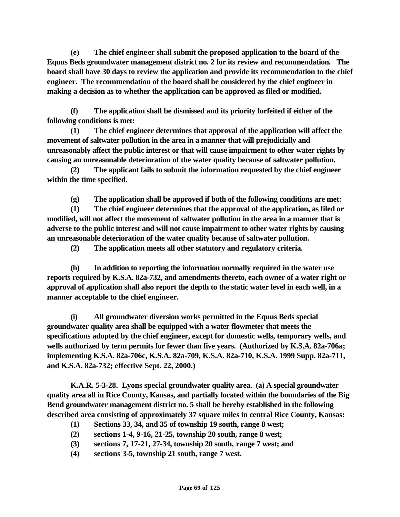**(e) The chief engineer shall submit the proposed application to the board of the Equus Beds groundwater management district no. 2 for its review and recommendation. The board shall have 30 days to review the application and provide its recommendation to the chief engineer. The recommendation of the board shall be considered by the chief engineer in making a decision as to whether the application can be approved as filed or modified.**

**(f) The application shall be dismissed and its priority forfeited if either of the following conditions is met:**

**(1) The chief engineer determines that approval of the application will affect the movement of saltwater pollution in the area in a manner that will prejudicially and unreasonably affect the public interest or that will cause impairment to other water rights by causing an unreasonable deterioration of the water quality because of saltwater pollution.**

**(2) The applicant fails to submit the information requested by the chief engineer within the time specified.** 

**(g) The application shall be approved if both of the following conditions are met:**

**(1) The chief engineer determines that the approval of the application, as filed or modified, will not affect the movement of saltwater pollution in the area in a manner that is adverse to the public interest and will not cause impairment to other water rights by causing an unreasonable deterioration of the water quality because of saltwater pollution.**

**(2) The application meets all other statutory and regulatory criteria.**

**(h) In addition to reporting the information normally required in the water use reports required by K.S.A. 82a-732, and amendments thereto, each owner of a water right or approval of application shall also report the depth to the static water level in each well, in a manner acceptable to the chief engineer.** 

**(i) All groundwater diversion works permitted in the Equus Beds special groundwater quality area shall be equipped with a water flowmeter that meets the specifications adopted by the chief engineer, except for domestic wells, temporary wells, and wells authorized by term permits for fewer than five years. (Authorized by K.S.A. 82a-706a; implementing K.S.A. 82a-706c, K.S.A. 82a-709, K.S.A. 82a-710, K.S.A. 1999 Supp. 82a-711, and K.S.A. 82a-732; effective Sept. 22, 2000.)**

**K.A.R. 5-3-28. Lyons special groundwater quality area. (a) A special groundwater quality area all in Rice County, Kansas, and partially located within the boundaries of the Big Bend groundwater management district no. 5 shall be hereby established in the following described area consisting of approximately 37 square miles in central Rice County, Kansas:** 

- **(1) Sections 33, 34, and 35 of township 19 south, range 8 west;**
- **(2) sections 1-4, 9-16, 21-25, township 20 south, range 8 west;**
- **(3) sections 7, 17-21, 27-34, township 20 south, range 7 west; and**
- **(4) sections 3-5, township 21 south, range 7 west.**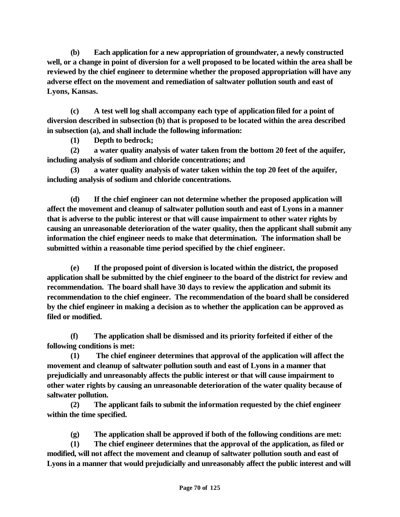**(b) Each application for a new appropriation of groundwater, a newly constructed well, or a change in point of diversion for a well proposed to be located within the area shall be reviewed by the chief engineer to determine whether the proposed appropriation will have any adverse effect on the movement and remediation of saltwater pollution south and east of Lyons, Kansas.**

**(c) A test well log shall accompany each type of application filed for a point of diversion described in subsection (b) that is proposed to be located within the area described in subsection (a), and shall include the following information:**

**(1) Depth to bedrock;**

**(2) a water quality analysis of water taken from the bottom 20 feet of the aquifer, including analysis of sodium and chloride concentrations; and**

**(3) a water quality analysis of water taken within the top 20 feet of the aquifer, including analysis of sodium and chloride concentrations.**

**(d) If the chief engineer can not determine whether the proposed application will affect the movement and cleanup of saltwater pollution south and east of Lyons in a manner that is adverse to the public interest or that will cause impairment to other water rights by causing an unreasonable deterioration of the water quality, then the applicant shall submit any information the chief engineer needs to make that determination. The information shall be submitted within a reasonable time period specified by the chief engineer.** 

**(e) If the proposed point of diversion is located within the district, the proposed application shall be submitted by the chief engineer to the board of the district for review and recommendation. The board shall have 30 days to review the application and submit its recommendation to the chief engineer. The recommendation of the board shall be considered by the chief engineer in making a decision as to whether the application can be approved as filed or modified.** 

**(f) The application shall be dismissed and its priority forfeited if either of the following conditions is met:**

**(1) The chief engineer determines that approval of the application will affect the movement and cleanup of saltwater pollution south and east of Lyons in a manner that prejudicially and unreasonably affects the public interest or that will cause impairment to other water rights by causing an unreasonable deterioration of the water quality because of saltwater pollution.**

**(2) The applicant fails to submit the information requested by the chief engineer within the time specified.**

**(g) The application shall be approved if both of the following conditions are met:**

**(1) The chief engineer determines that the approval of the application, as filed or modified, will not affect the movement and cleanup of saltwater pollution south and east of Lyons in a manner that would prejudicially and unreasonably affect the public interest and will**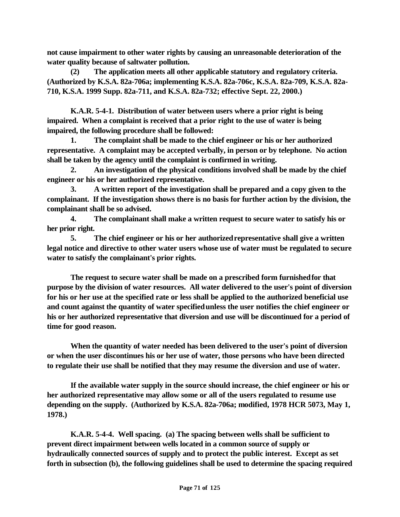**not cause impairment to other water rights by causing an unreasonable deterioration of the water quality because of saltwater pollution.** 

**(2) The application meets all other applicable statutory and regulatory criteria. (Authorized by K.S.A. 82a-706a; implementing K.S.A. 82a-706c, K.S.A. 82a-709, K.S.A. 82a-710, K.S.A. 1999 Supp. 82a-711, and K.S.A. 82a-732; effective Sept. 22, 2000.)**

**K.A.R. 5-4-1. Distribution of water between users where a prior right is being impaired. When a complaint is received that a prior right to the use of water is being impaired, the following procedure shall be followed:** 

**1. The complaint shall be made to the chief engineer or his or her authorized representative. A complaint may be accepted verbally, in person or by telephone. No action shall be taken by the agency until the complaint is confirmed in writing.** 

**2. An investigation of the physical conditions involved shall be made by the chief engineer or his or her authorized representative.** 

**3. A written report of the investigation shall be prepared and a copy given to the complainant. If the investigation shows there is no basis for further action by the division, the complainant shall be so advised.** 

**4. The complainant shall make a written request to secure water to satisfy his or her prior right.** 

**5. The chief engineer or his or her authorized representative shall give a written legal notice and directive to other water users whose use of water must be regulated to secure water to satisfy the complainant's prior rights.** 

**The request to secure water shall be made on a prescribed form furnished for that purpose by the division of water resources. All water delivered to the user's point of diversion for his or her use at the specified rate or less shall be applied to the authorized beneficial use and count against the quantity of water specified unless the user notifies the chief engineer or his or her authorized representative that diversion and use will be discontinued for a period of time for good reason.** 

**When the quantity of water needed has been delivered to the user's point of diversion or when the user discontinues his or her use of water, those persons who have been directed to regulate their use shall be notified that they may resume the diversion and use of water.** 

**If the available water supply in the source should increase, the chief engineer or his or her authorized representative may allow some or all of the users regulated to resume use depending on the supply. (Authorized by K.S.A. 82a-706a; modified, 1978 HCR 5073, May 1, 1978.)** 

**K.A.R. 5-4-4. Well spacing. (a) The spacing between wells shall be sufficient to prevent direct impairment between wells located in a common source of supply or hydraulically connected sources of supply and to protect the public interest. Except as set forth in subsection (b), the following guidelines shall be used to determine the spacing required**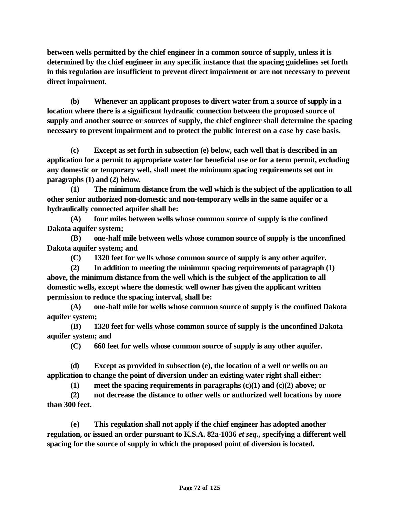**between wells permitted by the chief engineer in a common source of supply, unless it is determined by the chief engineer in any specific instance that the spacing guidelines set forth in this regulation are insufficient to prevent direct impairment or are not necessary to prevent direct impairment.** 

**(b) Whenever an applicant proposes to divert water from a source of supply in a location where there is a significant hydraulic connection between the proposed source of supply and another source or sources of supply, the chief engineer shall determine the spacing necessary to prevent impairment and to protect the public interest on a case by case basis.**

**(c) Except as set forth in subsection (e) below, each well that is described in an application for a permit to appropriate water for beneficial use or for a term permit, excluding any domestic or temporary well, shall meet the minimum spacing requirements set out in paragraphs (1) and (2) below.**

**(1) The minimum distance from the well which is the subject of the application to all other senior authorized non-domestic and non-temporary wells in the same aquifer or a hydraulically connected aquifer shall be:**

**(A) four miles between wells whose common source of supply is the confined Dakota aquifer system;**

**(B) one-half mile between wells whose common source of supply is the unconfined Dakota aquifer system; and**

**(C) 1320 feet for wells whose common source of supply is any other aquifer.**

**(2) In addition to meeting the minimum spacing requirements of paragraph (1) above, the minimum distance from the well which is the subject of the application to all domestic wells, except where the domestic well owner has given the applicant written permission to reduce the spacing interval, shall be:**

**(A) one-half mile for wells whose common source of supply is the confined Dakota aquifer system;**

**(B) 1320 feet for wells whose common source of supply is the unconfined Dakota aquifer system; and**

**(C) 660 feet for wells whose common source of supply is any other aquifer.**

**(d) Except as provided in subsection (e), the location of a well or wells on an application to change the point of diversion under an existing water right shall either:**

**(1) meet the spacing requirements in paragraphs (c)(1) and (c)(2) above; or**

**(2) not decrease the distance to other wells or authorized well locations by more than 300 feet.**

**(e) This regulation shall not apply if the chief engineer has adopted another regulation, or issued an order pursuant to K.S.A. 82a-1036** *et seq***., specifying a different well spacing for the source of supply in which the proposed point of diversion is located.**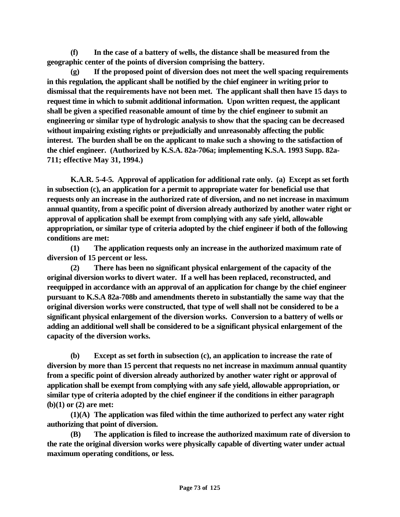**(f) In the case of a battery of wells, the distance shall be measured from the geographic center of the points of diversion comprising the battery.**

**(g) If the proposed point of diversion does not meet the well spacing requirements in this regulation, the applicant shall be notified by the chief engineer in writing prior to dismissal that the requirements have not been met. The applicant shall then have 15 days to request time in which to submit additional information. Upon written request, the applicant shall be given a specified reasonable amount of time by the chief engineer to submit an engineering or similar type of hydrologic analysis to show that the spacing can be decreased without impairing existing rights or prejudicially and unreasonably affecting the public interest. The burden shall be on the applicant to make such a showing to the satisfaction of the chief engineer. (Authorized by K.S.A. 82a-706a; implementing K.S.A. 1993 Supp. 82a-711; effective May 31, 1994.)**

**K.A.R. 5-4-5. Approval of application for additional rate only. (a) Except as set forth in subsection (c), an application for a permit to appropriate water for beneficial use that requests only an increase in the authorized rate of diversion, and no net increase in maximum annual quantity, from a specific point of diversion already authorized by another water right or approval of application shall be exempt from complying with any safe yield, allowable appropriation, or similar type of criteria adopted by the chief engineer if both of the following conditions are met:** 

**(1) The application requests only an increase in the authorized maximum rate of diversion of 15 percent or less.**

**(2) There has been no significant physical enlargement of the capacity of the original diversion works to divert water. If a well has been replaced, reconstructed, and reequipped in accordance with an approval of an application for change by the chief engineer pursuant to K.S.A 82a-708b and amendments thereto in substantially the same way that the original diversion works were constructed, that type of well shall not be considered to be a significant physical enlargement of the diversion works. Conversion to a battery of wells or adding an additional well shall be considered to be a significant physical enlargement of the capacity of the diversion works.**

**(b) Except as set forth in subsection (c), an application to increase the rate of diversion by more than 15 percent that requests no net increase in maximum annual quantity from a specific point of diversion already authorized by another water right or approval of application shall be exempt from complying with any safe yield, allowable appropriation, or similar type of criteria adopted by the chief engineer if the conditions in either paragraph (b)(1) or (2) are met:** 

**(1)(A) The application was filed within the time authorized to perfect any water right authorizing that point of diversion.** 

**(B) The application is filed to increase the authorized maximum rate of diversion to the rate the original diversion works were physically capable of diverting water under actual maximum operating conditions, or less.**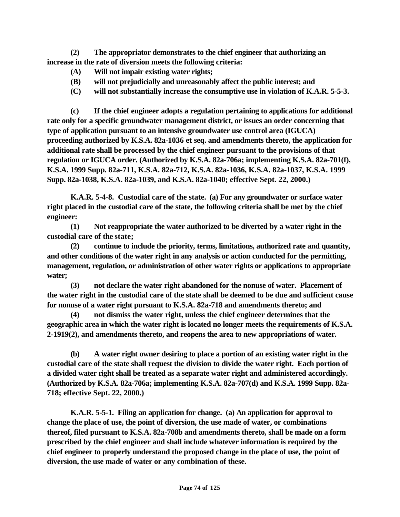**(2) The appropriator demonstrates to the chief engineer that authorizing an increase in the rate of diversion meets the following criteria:**

- **(A) Will not impair existing water rights;**
- **(B) will not prejudicially and unreasonably affect the public interest; and**
- **(C) will not substantially increase the consumptive use in violation of K.A.R. 5-5-3.**

**(c) If the chief engineer adopts a regulation pertaining to applications for additional rate only for a specific groundwater management district, or issues an order concerning that type of application pursuant to an intensive groundwater use control area (IGUCA) proceeding authorized by K.S.A. 82a-1036 et seq. and amendments thereto, the application for additional rate shall be processed by the chief engineer pursuant to the provisions of that regulation or IGUCA order. (Authorized by K.S.A. 82a-706a; implementing K.S.A. 82a-701(f), K.S.A. 1999 Supp. 82a-711, K.S.A. 82a-712, K.S.A. 82a-1036, K.S.A. 82a-1037, K.S.A. 1999 Supp. 82a-1038, K.S.A. 82a-1039, and K.S.A. 82a-1040; effective Sept. 22, 2000.)**

**K.A.R. 5-4-8. Custodial care of the state. (a) For any groundwater or surface water right placed in the custodial care of the state, the following criteria shall be met by the chief engineer:**

**(1) Not reappropriate the water authorized to be diverted by a water right in the custodial care of the state;**

**(2) continue to include the priority, terms, limitations, authorized rate and quantity, and other conditions of the water right in any analysis or action conducted for the permitting, management, regulation, or administration of other water rights or applications to appropriate water;**

**(3) not declare the water right abandoned for the nonuse of water. Placement of the water right in the custodial care of the state shall be deemed to be due and sufficient cause for nonuse of a water right pursuant to K.S.A. 82a-718 and amendments thereto; and**

**(4) not dismiss the water right, unless the chief engineer determines that the geographic area in which the water right is located no longer meets the requirements of K.S.A. 2-1919(2), and amendments thereto, and reopens the area to new appropriations of water.**

**(b) A water right owner desiring to place a portion of an existing water right in the custodial care of the state shall request the division to divide the water right. Each portion of a divided water right shall be treated as a separate water right and administered accordingly. (Authorized by K.S.A. 82a-706a; implementing K.S.A. 82a-707(d) and K.S.A. 1999 Supp. 82a-718; effective Sept. 22, 2000.)**

**K.A.R. 5-5-1. Filing an application for change. (a) An application for approval to change the place of use, the point of diversion, the use made of water, or combinations thereof, filed pursuant to K.S.A. 82a-708b and amendments thereto, shall be made on a form prescribed by the chief engineer and shall include whatever information is required by the chief engineer to properly understand the proposed change in the place of use, the point of diversion, the use made of water or any combination of these.**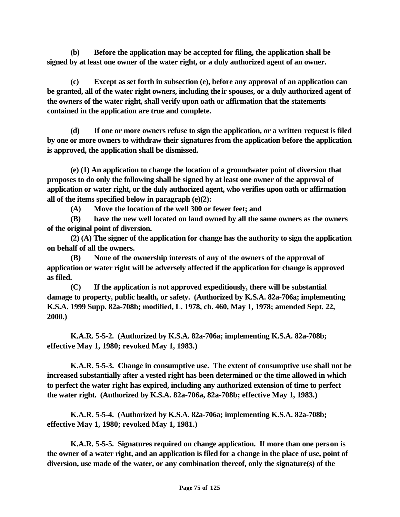**(b) Before the application may be accepted for filing, the application shall be signed by at least one owner of the water right, or a duly authorized agent of an owner.**

**(c) Except as set forth in subsection (e), before any approval of an application can be granted, all of the water right owners, including their spouses, or a duly authorized agent of the owners of the water right, shall verify upon oath or affirmation that the statements contained in the application are true and complete.**

**(d) If one or more owners refuse to sign the application, or a written request is filed by one or more owners to withdraw their signatures from the application before the application is approved, the application shall be dismissed.**

**(e) (1) An application to change the location of a groundwater point of diversion that proposes to do only the following shall be signed by at least one owner of the approval of application or water right, or the duly authorized agent, who verifies upon oath or affirmation all of the items specified below in paragraph (e)(2):**

**(A) Move the location of the well 300 or fewer feet; and** 

**(B) have the new well located on land owned by all the same owners as the owners of the original point of diversion.**

**(2) (A) The signer of the application for change has the authority to sign the application on behalf of all the owners.**

**(B) None of the ownership interests of any of the owners of the approval of application or water right will be adversely affected if the application for change is approved as filed.**

**(C) If the application is not approved expeditiously, there will be substantial damage to property, public health, or safety. (Authorized by K.S.A. 82a-706a; implementing K.S.A. 1999 Supp. 82a-708b; modified, L. 1978, ch. 460, May 1, 1978; amended Sept. 22, 2000.)** 

**K.A.R. 5-5-2. (Authorized by K.S.A. 82a-706a; implementing K.S.A. 82a-708b; effective May 1, 1980; revoked May 1, 1983.)** 

**K.A.R. 5-5-3. Change in consumptive use. The extent of consumptive use shall not be increased substantially after a vested right has been determined or the time allowed in which to perfect the water right has expired, including any authorized extension of time to perfect the water right. (Authorized by K.S.A. 82a-706a, 82a-708b; effective May 1, 1983.)** 

**K.A.R. 5-5-4. (Authorized by K.S.A. 82a-706a; implementing K.S.A. 82a-708b; effective May 1, 1980; revoked May 1, 1981.)** 

**K.A.R. 5-5-5. Signatures required on change application. If more than one person is the owner of a water right, and an application is filed for a change in the place of use, point of diversion, use made of the water, or any combination thereof, only the signature(s) of the**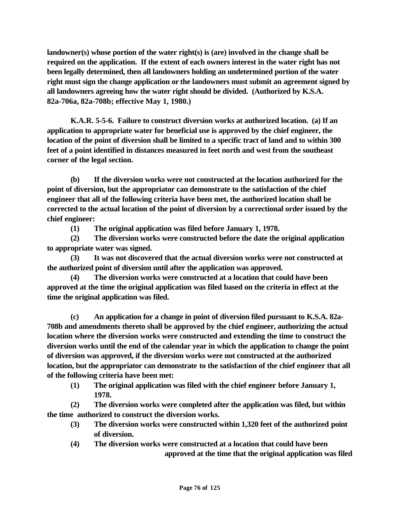landowner(s) whose portion of the water right(s) is (are) involved in the change shall be **required on the application. If the extent of each owners interest in the water right has not been legally determined, then all landowners holding an undetermined portion of the water right must sign the change application or the landowners must submit an agreement signed by all landowners agreeing how the water right should be divided. (Authorized by K.S.A. 82a-706a, 82a-708b; effective May 1, 1980.)** 

**K.A.R. 5-5-6. Failure to construct diversion works at authorized location. (a) If an application to appropriate water for beneficial use is approved by the chief engineer, the location of the point of diversion shall be limited to a specific tract of land and to within 300 feet of a point identified in distances measured in feet north and west from the southeast corner of the legal section.** 

**(b) If the diversion works were not constructed at the location authorized for the point of diversion, but the appropriator can demonstrate to the satisfaction of the chief engineer that all of the following criteria have been met, the authorized location shall be corrected to the actual location of the point of diversion by a correctional order issued by the chief engineer:**

**(1) The original application was filed before January 1, 1978.**

**(2) The diversion works were constructed before the date the original application to appropriate water was signed.**

**(3) It was not discovered that the actual diversion works were not constructed at the authorized point of diversion until after the application was approved.**

**(4) The diversion works were constructed at a location that could have been approved at the time the original application was filed based on the criteria in effect at the time the original application was filed.**

**(c) An application for a change in point of diversion filed pursuant to K.S.A. 82a-708b and amendments thereto shall be approved by the chief engineer, authorizing the actual location where the diversion works were constructed and extending the time to construct the diversion works until the end of the calendar year in which the application to change the point of diversion was approved, if the diversion works were not constructed at the authorized location, but the appropriator can demonstrate to the satisfaction of the chief engineer that all of the following criteria have been met:**

**(1) The original application was filed with the chief engineer before January 1, 1978.**

**(2) The diversion works were completed after the application was filed, but within the time authorized to construct the diversion works.**

- **(3) The diversion works were constructed within 1,320 feet of the authorized point of diversion.**
- **(4) The diversion works were constructed at a location that could have been approved at the time that the original application was filed**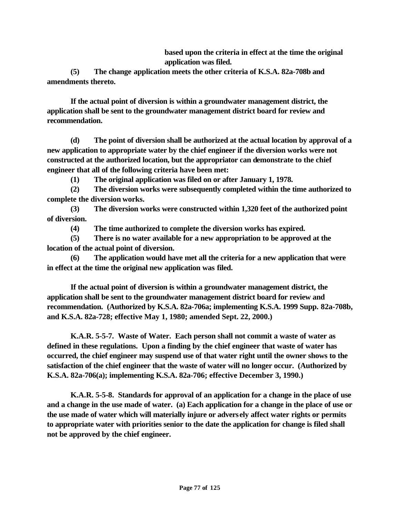**based upon the criteria in effect at the time the original application was filed.**

**(5) The change application meets the other criteria of K.S.A. 82a-708b and amendments thereto.**

**If the actual point of diversion is within a groundwater management district, the application shall be sent to the groundwater management district board for review and recommendation.**

**(d) The point of diversion shall be authorized at the actual location by approval of a new application to appropriate water by the chief engineer if the diversion works were not constructed at the authorized location, but the appropriator can demonstrate to the chief engineer that all of the following criteria have been met:**

**(1) The original application was filed on or after January 1, 1978.**

**(2) The diversion works were subsequently completed within the time authorized to complete the diversion works.**

**(3) The diversion works were constructed within 1,320 feet of the authorized point of diversion.**

**(4) The time authorized to complete the diversion works has expired.**

**(5) There is no water available for a new appropriation to be approved at the location of the actual point of diversion.**

**(6) The application would have met all the criteria for a new application that were in effect at the time the original new application was filed.**

**If the actual point of diversion is within a groundwater management district, the application shall be sent to the groundwater management district board for review and recommendation. (Authorized by K.S.A. 82a-706a; implementing K.S.A. 1999 Supp. 82a-708b, and K.S.A. 82a-728; effective May 1, 1980; amended Sept. 22, 2000.)**

**K.A.R. 5-5-7. Waste of Water. Each person shall not commit a waste of water as defined in these regulations. Upon a finding by the chief engineer that waste of water has occurred, the chief engineer may suspend use of that water right until the owner shows to the satisfaction of the chief engineer that the waste of water will no longer occur. (Authorized by K.S.A. 82a-706(a); implementing K.S.A. 82a-706; effective December 3, 1990.)**

**K.A.R. 5-5-8. Standards for approval of an application for a change in the place of use and a change in the use made of water. (a) Each application for a change in the place of use or the use made of water which will materially injure or adversely affect water rights or permits to appropriate water with priorities senior to the date the application for change is filed shall not be approved by the chief engineer.**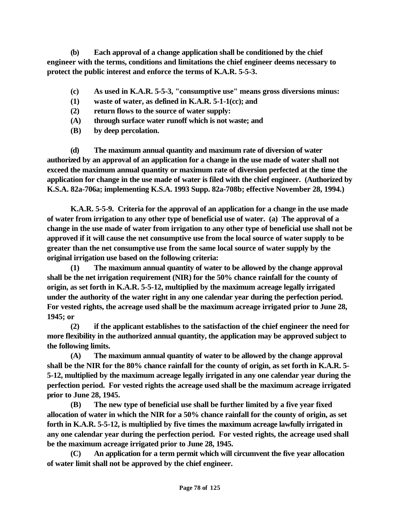**(b) Each approval of a change application shall be conditioned by the chief engineer with the terms, conditions and limitations the chief engineer deems necessary to protect the public interest and enforce the terms of K.A.R. 5-5-3.** 

- **(c) As used in K.A.R. 5-5-3, "consumptive use" means gross diversions minus:**
- **(1) waste of water, as defined in K.A.R. 5-1-1(cc); and**
- **(2) return flows to the source of water supply:**
- **(A) through surface water runoff which is not waste; and**
- **(B) by deep percolation.**

**(d) The maximum annual quantity and maximum rate of diversion of water authorized by an approval of an application for a change in the use made of water shall not exceed the maximum annual quantity or maximum rate of diversion perfected at the time the application for change in the use made of water is filed with the chief engineer. (Authorized by K.S.A. 82a-706a; implementing K.S.A. 1993 Supp. 82a-708b; effective November 28, 1994.)**

**K.A.R. 5-5-9. Criteria for the approval of an application for a change in the use made of water from irrigation to any other type of beneficial use of water. (a) The approval of a change in the use made of water from irrigation to any other type of beneficial use shall not be approved if it will cause the net consumptive use from the local source of water supply to be greater than the net consumptive use from the same local source of water supply by the original irrigation use based on the following criteria:**

**(1) The maximum annual quantity of water to be allowed by the change approval shall be the net irrigation requirement (NIR) for the 50% chance rainfall for the county of origin, as set forth in K.A.R. 5-5-12, multiplied by the maximum acreage legally irrigated under the authority of the water right in any one calendar year during the perfection period. For vested rights, the acreage used shall be the maximum acreage irrigated prior to June 28, 1945; or**

**(2) if the applicant establishes to the satisfaction of the chief engineer the need for more flexibility in the authorized annual quantity, the application may be approved subject to the following limits.**

**(A) The maximum annual quantity of water to be allowed by the change approval shall be the NIR for the 80% chance rainfall for the county of origin, as set forth in K.A.R. 5- 5-12, multiplied by the maximum acreage legally irrigated in any one calendar year during the perfection period. For vested rights the acreage used shall be the maximum acreage irrigated prior to June 28, 1945.** 

**(B) The new type of beneficial use shall be further limited by a five year fixed allocation of water in which the NIR for a 50% chance rainfall for the county of origin, as set forth in K.A.R. 5-5-12, is multiplied by five times the maximum acreage lawfully irrigated in any one calendar year during the perfection period. For vested rights, the acreage used shall be the maximum acreage irrigated prior to June 28, 1945.**

**(C) An application for a term permit which will circumvent the five year allocation of water limit shall not be approved by the chief engineer.**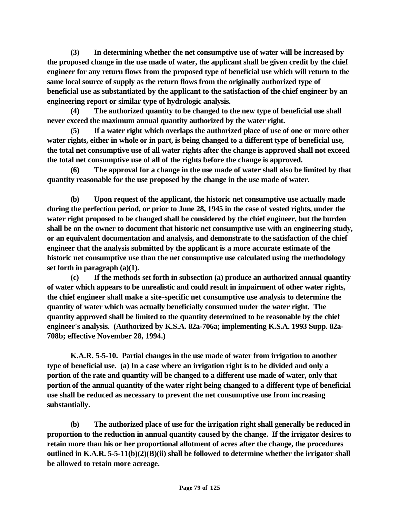**(3) In determining whether the net consumptive use of water will be increased by the proposed change in the use made of water, the applicant shall be given credit by the chief engineer for any return flows from the proposed type of beneficial use which will return to the same local source of supply as the return flows from the originally authorized type of beneficial use as substantiated by the applicant to the satisfaction of the chief engineer by an engineering report or similar type of hydrologic analysis.** 

**(4) The authorized quantity to be changed to the new type of beneficial use shall never exceed the maximum annual quantity authorized by the water right.**

**(5) If a water right which overlaps the authorized place of use of one or more other water rights, either in whole or in part, is being changed to a different type of beneficial use, the total net consumptive use of all water rights after the change is approved shall not exceed the total net consumptive use of all of the rights before the change is approved.**

**(6) The approval for a change in the use made of water shall also be limited by that quantity reasonable for the use proposed by the change in the use made of water.**

**(b) Upon request of the applicant, the historic net consumptive use actually made during the perfection period, or prior to June 28, 1945 in the case of vested rights, under the water right proposed to be changed shall be considered by the chief engineer, but the burden shall be on the owner to document that historic net consumptive use with an engineering study, or an equivalent documentation and analysis, and demonstrate to the satisfaction of the chief engineer that the analysis submitted by the applicant is a more accurate estimate of the historic net consumptive use than the net consumptive use calculated using the methodology set forth in paragraph (a)(1).**

**(c) If the methods set forth in subsection (a) produce an authorized annual quantity of water which appears to be unrealistic and could result in impairment of other water rights, the chief engineer shall make a site-specific net consumptive use analysis to determine the quantity of water which was actually beneficially consumed under the water right. The quantity approved shall be limited to the quantity determined to be reasonable by the chief engineer's analysis. (Authorized by K.S.A. 82a-706a; implementing K.S.A. 1993 Supp. 82a-708b; effective November 28, 1994.)**

**K.A.R. 5-5-10. Partial changes in the use made of water from irrigation to another type of beneficial use. (a) In a case where an irrigation right is to be divided and only a portion of the rate and quantity will be changed to a different use made of water, only that portion of the annual quantity of the water right being changed to a different type of beneficial use shall be reduced as necessary to prevent the net consumptive use from increasing substantially.** 

**(b) The authorized place of use for the irrigation right shall generally be reduced in proportion to the reduction in annual quantity caused by the change. If the irrigator desires to retain more than his or her proportional allotment of acres after the change, the procedures outlined in K.A.R. 5-5-11(b)(2)(B)(ii) shall be followed to determine whether the irrigator shall be allowed to retain more acreage.**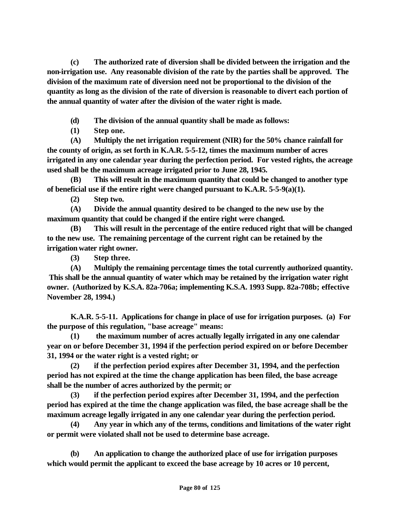**(c) The authorized rate of diversion shall be divided between the irrigation and the non-irrigation use. Any reasonable division of the rate by the parties shall be approved. The division of the maximum rate of diversion need not be proportional to the division of the quantity as long as the division of the rate of diversion is reasonable to divert each portion of the annual quantity of water after the division of the water right is made.**

- **(d) The division of the annual quantity shall be made as follows:**
- **(1) Step one.**

**(A) Multiply the net irrigation requirement (NIR) for the 50% chance rainfall for the county of origin, as set forth in K.A.R. 5-5-12, times the maximum number of acres irrigated in any one calendar year during the perfection period. For vested rights, the acreage used shall be the maximum acreage irrigated prior to June 28, 1945.** 

**(B) This will result in the maximum quantity that could be changed to another type of beneficial use if the entire right were changed pursuant to K.A.R. 5-5-9(a)(1).** 

**(2) Step two.**

**(A) Divide the annual quantity desired to be changed to the new use by the maximum quantity that could be changed if the entire right were changed.** 

**(B) This will result in the percentage of the entire reduced right that will be changed to the new use. The remaining percentage of the current right can be retained by the irrigation water right owner.** 

**(3) Step three.**

**(A) Multiply the remaining percentage times the total currently authorized quantity. This shall be the annual quantity of water which may be retained by the irrigation water right owner. (Authorized by K.S.A. 82a-706a; implementing K.S.A. 1993 Supp. 82a-708b; effective November 28, 1994.)**

**K.A.R. 5-5-11. Applications for change in place of use for irrigation purposes. (a) For the purpose of this regulation, "base acreage" means:** 

**(1) the maximum number of acres actually legally irrigated in any one calendar year on or before December 31, 1994 if the perfection period expired on or before December 31, 1994 or the water right is a vested right; or**

**(2) if the perfection period expires after December 31, 1994, and the perfection period has not expired at the time the change application has been filed, the base acreage shall be the number of acres authorized by the permit; or**

**(3) if the perfection period expires after December 31, 1994, and the perfection period has expired at the time the change application was filed, the base acreage shall be the maximum acreage legally irrigated in any one calendar year during the perfection period.**

**(4) Any year in which any of the terms, conditions and limitations of the water right or permit were violated shall not be used to determine base acreage.**

**(b) An application to change the authorized place of use for irrigation purposes which would permit the applicant to exceed the base acreage by 10 acres or 10 percent,**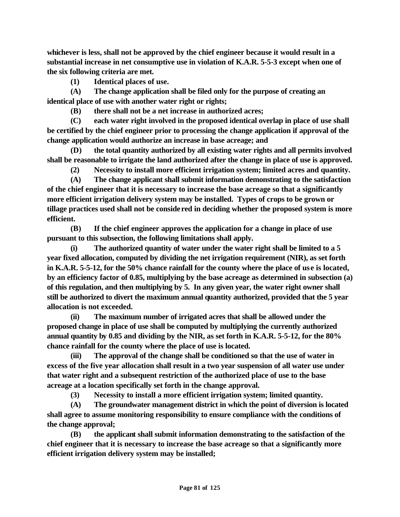**whichever is less, shall not be approved by the chief engineer because it would result in a substantial increase in net consumptive use in violation of K.A.R. 5-5-3 except when one of the six following criteria are met.**

**(1) Identical places of use.**

**(A) The change application shall be filed only for the purpose of creating an identical place of use with another water right or rights;**

**(B) there shall not be a net increase in authorized acres;** 

**(C) each water right involved in the proposed identical overlap in place of use shall be certified by the chief engineer prior to processing the change application if approval of the change application would authorize an increase in base acreage; and**

**(D) the total quantity authorized by all existing water rights and all permits involved shall be reasonable to irrigate the land authorized after the change in place of use is approved.**

**(2) Necessity to install more efficient irrigation system; limited acres and quantity.**

**(A) The change applicant shall submit information demonstrating to the satisfaction of the chief engineer that it is necessary to increase the base acreage so that a significantly more efficient irrigation delivery system may be installed. Types of crops to be grown or tillage practices used shall not be conside red in deciding whether the proposed system is more efficient.** 

**(B) If the chief engineer approves the application for a change in place of use pursuant to this subsection, the following limitations shall apply.**

**(i) The authorized quantity of water under the water right shall be limited to a 5 year fixed allocation, computed by dividing the net irrigation requirement (NIR), as set forth in K.A.R. 5-5-12, for the 50% chance rainfall for the county where the place of use is located, by an efficiency factor of 0.85, multiplying by the base acreage as determined in subsection (a) of this regulation, and then multiplying by 5. In any given year, the water right owner shall still be authorized to divert the maximum annual quantity authorized, provided that the 5 year allocation is not exceeded.** 

**(ii) The maximum number of irrigated acres that shall be allowed under the proposed change in place of use shall be computed by multiplying the currently authorized annual quantity by 0.85 and dividing by the NIR, as set forth in K.A.R. 5-5-12, for the 80% chance rainfall for the county where the place of use is located.**

**(iii) The approval of the change shall be conditioned so that the use of water in excess of the five year allocation shall result in a two year suspension of all water use under that water right and a subsequent restriction of the authorized place of use to the base acreage at a location specifically set forth in the change approval.**

**(3) Necessity to install a more efficient irrigation system; limited quantity.**

**(A) The groundwater management district in which the point of diversion is located shall agree to assume monitoring responsibility to ensure compliance with the conditions of the change approval;**

**(B) the applicant shall submit information demonstrating to the satisfaction of the chief engineer that it is necessary to increase the base acreage so that a significantly more efficient irrigation delivery system may be installed;**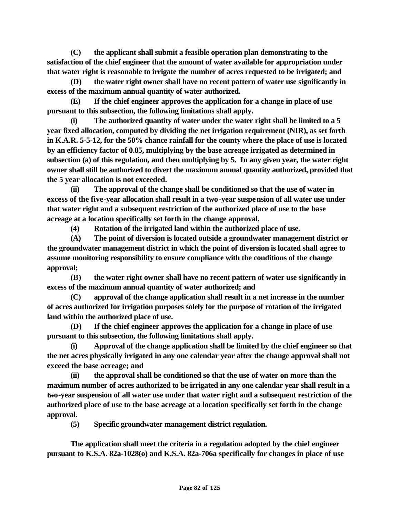**(C) the applicant shall submit a feasible operation plan demonstrating to the satisfaction of the chief engineer that the amount of water available for appropriation under that water right is reasonable to irrigate the number of acres requested to be irrigated; and**

**(D) the water right owner shall have no recent pattern of water use significantly in excess of the maximum annual quantity of water authorized.**

**(E) If the chief engineer approves the application for a change in place of use pursuant to this subsection, the following limitations shall apply.**

**(i) The authorized quantity of water under the water right shall be limited to a 5 year fixed allocation, computed by dividing the net irrigation requirement (NIR), as set forth in K.A.R. 5-5-12, for the 50% chance rainfall for the county where the place of use is located by an efficiency factor of 0.85, multiplying by the base acreage irrigated as determined in subsection (a) of this regulation, and then multiplying by 5. In any given year, the water right owner shall still be authorized to divert the maximum annual quantity authorized, provided that the 5 year allocation is not exceeded.**

**(ii) The approval of the change shall be conditioned so that the use of water in excess of the five-year allocation shall result in a two-year suspension of all water use under that water right and a subsequent restriction of the authorized place of use to the base acreage at a location specifically set forth in the change approval.**

**(4) Rotation of the irrigated land within the authorized place of use.**

**(A) The point of diversion is located outside a groundwater management district or the groundwater management district in which the point of diversion is located shall agree to assume monitoring responsibility to ensure compliance with the conditions of the change approval;**

**(B) the water right owner shall have no recent pattern of water use significantly in excess of the maximum annual quantity of water authorized; and**

**(C) approval of the change application shall result in a net increase in the number of acres authorized for irrigation purposes solely for the purpose of rotation of the irrigated land within the authorized place of use.**

**(D) If the chief engineer approves the application for a change in place of use pursuant to this subsection, the following limitations shall apply.**

**(i) Approval of the change application shall be limited by the chief engineer so that the net acres physically irrigated in any one calendar year after the change approval shall not exceed the base acreage; and**

**(ii) the approval shall be conditioned so that the use of water on more than the maximum number of acres authorized to be irrigated in any one calendar year shall result in a two-year suspension of all water use under that water right and a subsequent restriction of the authorized place of use to the base acreage at a location specifically set forth in the change approval.**

**(5) Specific groundwater management district regulation.** 

**The application shall meet the criteria in a regulation adopted by the chief engineer pursuant to K.S.A. 82a-1028(o) and K.S.A. 82a-706a specifically for changes in place of use**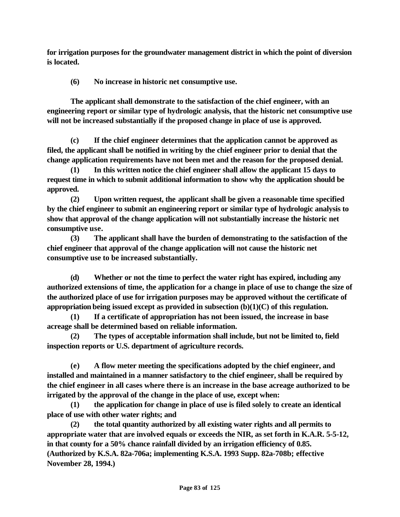**for irrigation purposes for the groundwater management district in which the point of diversion is located.**

**(6) No increase in historic net consumptive use.** 

**The applicant shall demonstrate to the satisfaction of the chief engineer, with an engineering report or similar type of hydrologic analysis, that the historic net consumptive use will not be increased substantially if the proposed change in place of use is approved.**

**(c) If the chief engineer determines that the application cannot be approved as filed, the applicant shall be notified in writing by the chief engineer prior to denial that the change application requirements have not been met and the reason for the proposed denial.** 

**(1) In this written notice the chief engineer shall allow the applicant 15 days to request time in which to submit additional information to show why the application should be approved.**

**(2) Upon written request, the applicant shall be given a reasonable time specified by the chief engineer to submit an engineering report or similar type of hydrologic analysis to show that approval of the change application will not substantially increase the historic net consumptive use.**

**(3) The applicant shall have the burden of demonstrating to the satisfaction of the chief engineer that approval of the change application will not cause the historic net consumptive use to be increased substantially.**

**(d) Whether or not the time to perfect the water right has expired, including any authorized extensions of time, the application for a change in place of use to change the size of the authorized place of use for irrigation purposes may be approved without the certificate of appropriation being issued except as provided in subsection (b)(1)(C) of this regulation.**

**(1) If a certificate of appropriation has not been issued, the increase in base acreage shall be determined based on reliable information.** 

**(2) The types of acceptable information shall include, but not be limited to, field inspection reports or U.S. department of agriculture records.**

**(e) A flow meter meeting the specifications adopted by the chief engineer, and installed and maintained in a manner satisfactory to the chief engineer, shall be required by the chief engineer in all cases where there is an increase in the base acreage authorized to be irrigated by the approval of the change in the place of use, except when:**

**(1) the application for change in place of use is filed solely to create an identical place of use with other water rights; and** 

**(2) the total quantity authorized by all existing water rights and all permits to appropriate water that are involved equals or exceeds the NIR, as set forth in K.A.R. 5-5-12, in that county for a 50% chance rainfall divided by an irrigation efficiency of 0.85. (Authorized by K.S.A. 82a-706a; implementing K.S.A. 1993 Supp. 82a-708b; effective November 28, 1994.)**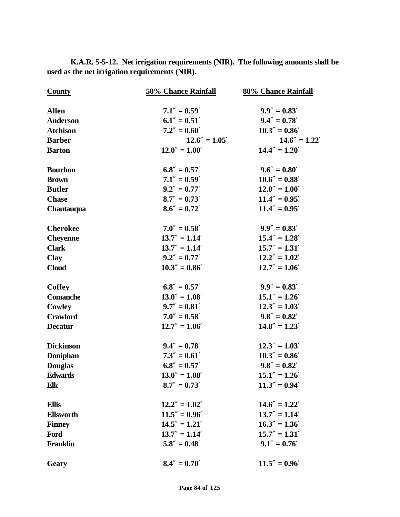| <b>County</b>    | 50% Chance Rainfall | 80% Chance Rainfall |
|------------------|---------------------|---------------------|
| <b>Allen</b>     | $7.1'' = 0.59'$     | $9.9'' = 0.83'$     |
| <b>Anderson</b>  | $6.1'' = 0.51'$     | $9.4'' = 0.78'$     |
| <b>Atchison</b>  | $7.2'' = 0.60'$     | $10.3'' = 0.86'$    |
| <b>Barber</b>    | $12.6'' = 1.05'$    | $14.6'' = 1.22'$    |
| <b>Barton</b>    | $12.0'' = 1.00'$    | $14.4'' = 1.20'$    |
| <b>Bourbon</b>   | $6.8'' = 0.57'$     | $9.6'' = 0.80'$     |
| <b>Brown</b>     | $7.1'' = 0.59'$     | $10.6'' = 0.88'$    |
| <b>Butler</b>    | $9.2'' = 0.77'$     | $12.0'' = 1.00'$    |
| <b>Chase</b>     | $8.7'' = 0.73'$     | $11.4'' = 0.95'$    |
| Chautauqua       | $8.6'' = 0.72'$     | $11.4'' = 0.95'$    |
| <b>Cherokee</b>  | $7.0'' = 0.58'$     | $9.9'' = 0.83'$     |
| <b>Cheyenne</b>  | $13.7'' = 1.14'$    | $15.4'' = 1.28'$    |
| <b>Clark</b>     | $13.7'' = 1.14'$    | $15.7'' = 1.31'$    |
| <b>Clay</b>      | $9.2'' = 0.77'$     | $12.2'' = 1.02'$    |
| <b>Cloud</b>     | $10.3'' = 0.86'$    | $12.7'' = 1.06'$    |
| <b>Coffey</b>    | $6.8'' = 0.57'$     | $9.9'' = 0.83'$     |
| <b>Comanche</b>  | $13.0'' = 1.08'$    | $15.1'' = 1.26'$    |
| Cowley           | $9.7'' = 0.81'$     | $12.3'' = 1.03'$    |
| <b>Crawford</b>  | $7.0'' = 0.58'$     | $9.8'' = 0.82'$     |
| <b>Decatur</b>   | $12.7'' = 1.06'$    | $14.8'' = 1.23'$    |
| <b>Dickinson</b> | $9.4'' = 0.78'$     | $12.3'' = 1.03'$    |
| Doniphan         | $7.3'' = 0.61'$     | $10.3'' = 0.86'$    |
| <b>Douglas</b>   | $6.8'' = 0.57'$     | $9.8'' = 0.82'$     |
| <b>Edwards</b>   | $13.0'' = 1.08'$    | $15.1'' = 1.26'$    |
| Elk              | $8.7'' = 0.73'$     | $11.3'' = 0.94'$    |
| <b>Ellis</b>     | $12.2'' = 1.02'$    | $14.6'' = 1.22'$    |
| <b>Ellsworth</b> | $11.5'' = 0.96'$    | $13.7'' = 1.14'$    |
| <b>Finney</b>    | $14.5'' = 1.21'$    | $16.3'' = 1.36'$    |
| Ford             | $13.7'' = 1.14'$    | $15.7'' = 1.31'$    |
| <b>Franklin</b>  | $5.8'' = 0.48'$     | $9.1'' = 0.76'$     |
| <b>Geary</b>     | $8.4'' = 0.70'$     | $11.5'' = 0.96'$    |

**K.A.R. 5-5-12. Net irrigation requirements (NIR). The following amounts shall be used as the net irrigation requirements (NIR).**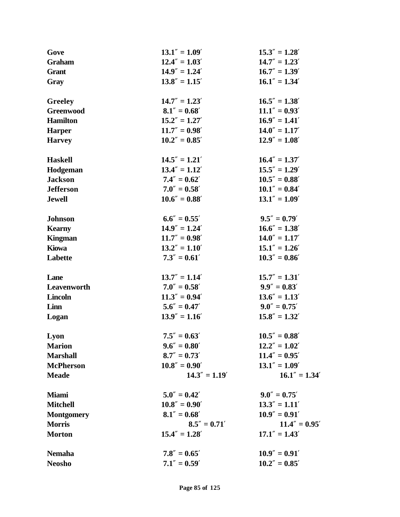| Gove              | $13.1'' = 1.09'$ | $15.3'' = 1.28'$ |
|-------------------|------------------|------------------|
| <b>Graham</b>     | $12.4'' = 1.03'$ | $14.7'' = 1.23'$ |
| <b>Grant</b>      | $14.9'' = 1.24'$ | $16.7'' = 1.39'$ |
| Gray              | $13.8'' = 1.15'$ | $16.1'' = 1.34'$ |
| Greeley           | $14.7'' = 1.23'$ | $16.5'' = 1.38'$ |
| <b>Greenwood</b>  | $8.1'' = 0.68'$  | $11.1'' = 0.93'$ |
| <b>Hamilton</b>   | $15.2'' = 1.27'$ | $16.9'' = 1.41'$ |
| <b>Harper</b>     | $11.7'' = 0.98'$ | $14.0'' = 1.17'$ |
| <b>Harvey</b>     | $10.2'' = 0.85'$ | $12.9'' = 1.08'$ |
| <b>Haskell</b>    | $14.5'' = 1.21'$ | $16.4'' = 1.37'$ |
| Hodgeman          | $13.4'' = 1.12'$ | $15.5'' = 1.29'$ |
| <b>Jackson</b>    | $7.4'' = 0.62'$  | $10.5'' = 0.88'$ |
| <b>Jefferson</b>  | $7.0'' = 0.58'$  | $10.1'' = 0.84'$ |
| <b>Jewell</b>     | $10.6'' = 0.88'$ | $13.1'' = 1.09'$ |
| <b>Johnson</b>    | $6.6'' = 0.55'$  | $9.5'' = 0.79'$  |
| <b>Kearny</b>     | $14.9'' = 1.24'$ | $16.6'' = 1.38'$ |
| <b>Kingman</b>    | $11.7'' = 0.98'$ | $14.0'' = 1.17'$ |
| <b>Kiowa</b>      | $13.2'' = 1.10'$ | $15.1'' = 1.26'$ |
| Labette           | $7.3'' = 0.61'$  | $10.3'' = 0.86'$ |
| Lane              | $13.7'' = 1.14'$ | $15.7'' = 1.31'$ |
| Leavenworth       | $7.0'' = 0.58'$  | $9.9'' = 0.83'$  |
| <b>Lincoln</b>    | $11.3'' = 0.94'$ | $13.6'' = 1.13'$ |
| Linn              | $5.6'' = 0.47'$  | $9.0'' = 0.75'$  |
| Logan             | $13.9'' = 1.16'$ | $15.8'' = 1.32'$ |
| Lyon              | $7.5'' = 0.63'$  | $10.5'' = 0.88'$ |
| <b>Marion</b>     | $9.6'' = 0.80'$  | $12.2'' = 1.02'$ |
| <b>Marshall</b>   | $8.7'' = 0.73'$  | $11.4'' = 0.95'$ |
| <b>McPherson</b>  | $10.8'' = 0.90'$ | $13.1'' = 1.09'$ |
| <b>Meade</b>      | $14.3'' = 1.19'$ | $16.1'' = 1.34'$ |
| <b>Miami</b>      | $5.0'' = 0.42'$  | $9.0'' = 0.75'$  |
| <b>Mitchell</b>   | $10.8'' = 0.90'$ | $13.3'' = 1.11'$ |
| <b>Montgomery</b> | $8.1'' = 0.68'$  | $10.9'' = 0.91'$ |
| <b>Morris</b>     | $8.5'' = 0.71'$  | $11.4'' = 0.95'$ |
| <b>Morton</b>     | $15.4'' = 1.28'$ | $17.1'' = 1.43'$ |
| <b>Nemaha</b>     | $7.8'' = 0.65'$  | $10.9'' = 0.91'$ |
| <b>Neosho</b>     | $7.1'' = 0.59'$  | $10.2'' = 0.85'$ |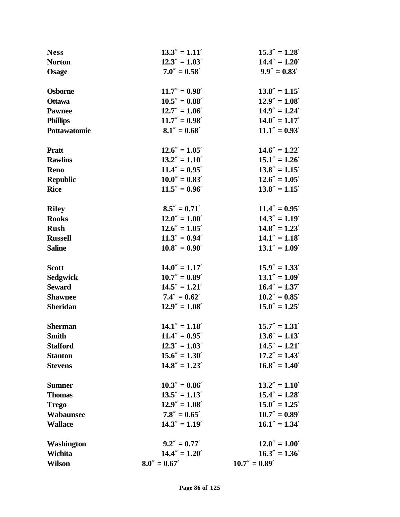| <b>Ness</b>         | $13.3'' = 1.11'$ | $15.3'' = 1.28'$ |
|---------------------|------------------|------------------|
| <b>Norton</b>       | $12.3'' = 1.03'$ | $14.4'' = 1.20'$ |
| Osage               | $7.0'' = 0.58'$  | $9.9'' = 0.83'$  |
|                     |                  |                  |
| <b>Osborne</b>      | $11.7'' = 0.98'$ | $13.8'' = 1.15'$ |
| <b>Ottawa</b>       | $10.5'' = 0.88'$ | $12.9'' = 1.08'$ |
| <b>Pawnee</b>       | $12.7'' = 1.06'$ | $14.9'' = 1.24'$ |
| <b>Phillips</b>     | $11.7'' = 0.98'$ | $14.0'' = 1.17'$ |
| <b>Pottawatomie</b> | $8.1'' = 0.68'$  | $11.1'' = 0.93'$ |
| <b>Pratt</b>        | $12.6'' = 1.05'$ | $14.6'' = 1.22'$ |
| <b>Rawlins</b>      | $13.2'' = 1.10'$ | $15.1'' = 1.26'$ |
| <b>Reno</b>         | $11.4'' = 0.95'$ | $13.8'' = 1.15'$ |
| <b>Republic</b>     | $10.0'' = 0.83'$ | $12.6'' = 1.05'$ |
| <b>Rice</b>         | $11.5'' = 0.96'$ | $13.8'' = 1.15'$ |
|                     |                  |                  |
| <b>Riley</b>        | $8.5'' = 0.71'$  | $11.4'' = 0.95'$ |
| <b>Rooks</b>        | $12.0'' = 1.00'$ | $14.3'' = 1.19'$ |
| <b>Rush</b>         | $12.6'' = 1.05'$ | $14.8'' = 1.23'$ |
| <b>Russell</b>      | $11.3'' = 0.94'$ | $14.1" = 1.18'$  |
| <b>Saline</b>       | $10.8'' = 0.90'$ | $13.1'' = 1.09'$ |
|                     |                  |                  |
| <b>Scott</b>        | $14.0'' = 1.17'$ | $15.9'' = 1.33'$ |
| <b>Sedgwick</b>     | $10.7'' = 0.89'$ | $13.1'' = 1.09'$ |
| <b>Seward</b>       | $14.5'' = 1.21'$ | $16.4'' = 1.37'$ |
| <b>Shawnee</b>      | $7.4'' = 0.62'$  | $10.2'' = 0.85'$ |
| <b>Sheridan</b>     | $12.9'' = 1.08'$ | $15.0'' = 1.25'$ |
| <b>Sherman</b>      | $14.1'' = 1.18'$ | $15.7'' = 1.31'$ |
| <b>Smith</b>        | $11.4'' = 0.95'$ | $13.6'' = 1.13'$ |
| <b>Stafford</b>     | $12.3'' = 1.03'$ | $14.5'' = 1.21'$ |
| <b>Stanton</b>      | $15.6'' = 1.30'$ | $17.2'' = 1.43'$ |
| <b>Stevens</b>      | $14.8'' = 1.23'$ | $16.8'' = 1.40'$ |
|                     |                  |                  |
| <b>Sumner</b>       | $10.3'' = 0.86'$ | $13.2'' = 1.10'$ |
| <b>Thomas</b>       | $13.5'' = 1.13'$ | $15.4'' = 1.28'$ |
| <b>Trego</b>        | $12.9'' = 1.08'$ | $15.0'' = 1.25'$ |
| Wabaunsee           | $7.8'' = 0.65'$  | $10.7'' = 0.89'$ |
| <b>Wallace</b>      | $14.3'' = 1.19'$ | $16.1" = 1.34'$  |
| <b>Washington</b>   | $9.2'' = 0.77'$  | $12.0'' = 1.00'$ |
| Wichita             | $14.4'' = 1.20'$ | $16.3'' = 1.36'$ |
| <b>Wilson</b>       | $8.0'' = 0.67'$  | $10.7'' = 0.89'$ |
|                     |                  |                  |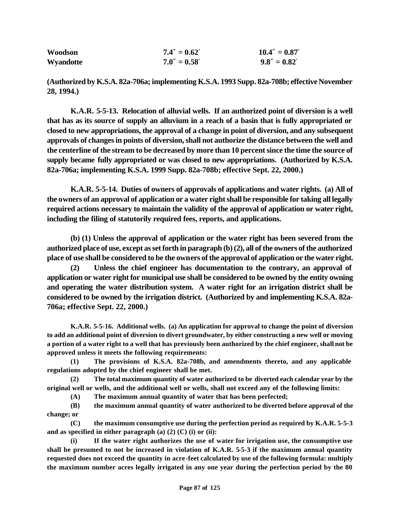| Woodson   | $7.4'' = 0.62'$ | $10.4'' = 0.87'$ |
|-----------|-----------------|------------------|
| Wyandotte | $7.0'' = 0.58'$ | $9.8'' = 0.82'$  |

**(Authorized by K.S.A. 82a-706a; implementing K.S.A. 1993 Supp. 82a-708b; effective November 28, 1994.)**

**K.A.R. 5-5-13. Relocation of alluvial wells. If an authorized point of diversion is a well that has as its source of supply an alluvium in a reach of a basin that is fully appropriated or closed to new appropriations, the approval of a change in point of diversion, and any subsequent approvals of changes in points of diversion, shall not authorize the distance between the well and the centerline of the stream to be decreased by more than 10 percent since the time the source of supply became fully appropriated or was closed to new appropriations. (Authorized by K.S.A. 82a-706a; implementing K.S.A. 1999 Supp. 82a-708b; effective Sept. 22, 2000.)**

**K.A.R. 5-5-14. Duties of owners of approvals of applications and water rights. (a) All of the owners of an approval of application or a water right shall be responsible for taking all legally required actions necessary to maintain the validity of the approval of application or water right, including the filing of statutorily required fees, reports, and applications.**

**(b) (1) Unless the approval of application or the water right has been severed from the authorized place of use, except as set forth in paragraph (b) (2), all of the owners of the authorized place of use shall be considered to be the owners of the approval of application or the water right.**

**(2) Unless the chief engineer has documentation to the contrary, an approval of application or water right for municipal use shall be considered to be owned by the entity owning and operating the water distribution system. A water right for an irrigation district shall be considered to be owned by the irrigation district. (Authorized by and implementing K.S.A. 82a-706a; effective Sept. 22, 2000.)**

**K.A.R. 5-5-16. Additional wells. (a) An application for approval to change the point of diversion to add an additional point of diversion to divert groundwater, by either constructing a new well or moving a portion of a water right to a well that has previously been authorized by the chief engineer, shall not be approved unless it meets the following requirements:**

**(1) The provisions of K.S.A. 82a-708b, and amendments thereto, and any applicable regulations adopted by the chief engineer shall be met.**

**(2) The total maximum quantity of water authorized to be diverted each calendar year by the original well or wells, and the additional well or wells, shall not exceed any of the following limits:**

**(A) The maximum annual quantity of water that has been perfected;**

**(B) the maximum annual quantity of water authorized to be diverted before approval of the change; or** 

**(C) the maximum consumptive use during the perfection period as required by K.A.R. 5-5-3 and as specified in either paragraph (a) (2) (C) (i) or (ii):**

**(i) If the water right authorizes the use of water for irrigation use, the consumptive use shall be presumed to not be increased in violation of K.A.R. 5-5-3 if the maximum annual quantity requested does not exceed the quantity in acre-feet calculated by use of the following formula: multiply the maximum number acres legally irrigated in any one year during the perfection period by the 80**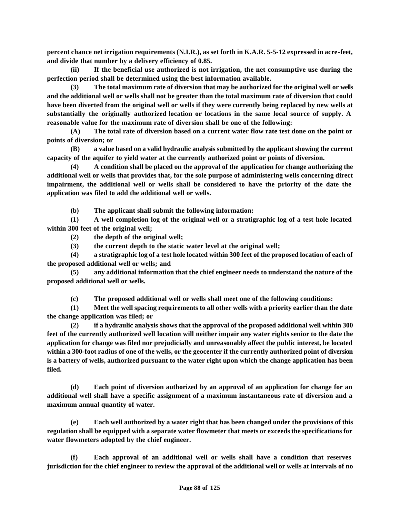**percent chance net irrigation requirements (N.I.R.), as set forth in K.A.R. 5-5-12 expressed in acre-feet, and divide that number by a delivery efficiency of 0.85.** 

**(ii) If the beneficial use authorized is not irrigation, the net consumptive use during the perfection period shall be determined using the best information available.** 

**(3) The total maximum rate of diversion that may be authorized for the original well or wells and the additional well or wells shall not be greater than the total maximum rate of diversion that could have been diverted from the original well or wells if they were currently being replaced by new wells at substantially the originally authorized location or locations in the same local source of supply. A reasonable value for the maximum rate of diversion shall be one of the following:** 

**(A) The total rate of diversion based on a current water flow rate test done on the point or points of diversion; or**

**(B) a value based on a valid hydraulic analysis submitted by the applicant showing the current capacity of the aquifer to yield water at the currently authorized point or points of diversion.** 

**(4) A condition shall be placed on the approval of the application for change authorizing the additional well or wells that provides that, for the sole purpose of administering wells concerning direct impairment, the additional well or wells shall be considered to have the priority of the date the application was filed to add the additional well or wells.**

**(b) The applicant shall submit the following information:** 

**(1) A well completion log of the original well or a stratigraphic log of a test hole located within 300 feet of the original well;** 

**(2) the depth of the original well;** 

**(3) the current depth to the static water level at the original well;** 

**(4) a stratigraphic log of a test hole located within 300 feet of the proposed location of each of the proposed additional well or wells; and**

**(5) any additional information that the chief engineer needs to understand the nature of the proposed additional well or wells.**

**(c) The proposed additional well or wells shall meet one of the following conditions:** 

**(1) Meet the well spacing requirements to all other wells with a priority earlier than the date the change application was filed; or**

**(2) if a hydraulic analysis shows that the approval of the proposed additional well within 300 feet of the currently authorized well location will neither impair any water rights senior to the date the application for change was filed nor prejudicially and unreasonably affect the public interest, be located within a 300-foot radius of one of the wells, or the geocenter if the currently authorized point of diversion is a battery of wells, authorized pursuant to the water right upon which the change application has been filed.**

**(d) Each point of diversion authorized by an approval of an application for change for an additional well shall have a specific assignment of a maximum instantaneous rate of diversion and a maximum annual quantity of water.**

**(e) Each well authorized by a water right that has been changed under the provisions of this regulation shall be equipped with a separate water flowmeter that meets or exceeds the specifications for water flowmeters adopted by the chief engineer.**

**(f) Each approval of an additional well or wells shall have a condition that reserves jurisdiction for the chief engineer to review the approval of the additional well or wells at intervals of no**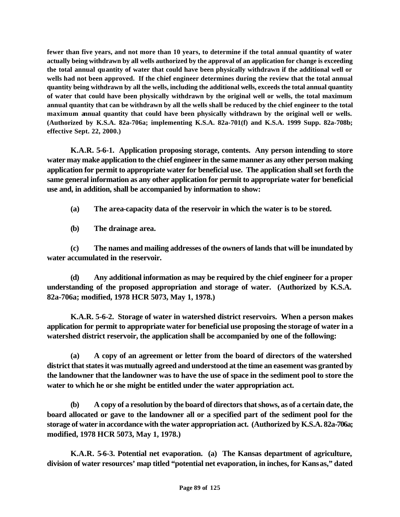**fewer than five years, and not more than 10 years, to determine if the total annual quantity of water actually being withdrawn by all wells authorized by the approval of an application for change is exceeding the total annual quantity of water that could have been physically withdrawn if the additional well or wells had not been approved. If the chief engineer determines during the review that the total annual quantity being withdrawn by all the wells, including the additional wells, exceeds the total annual quantity of water that could have been physically withdrawn by the original well or wells, the total maximum annual quantity that can be withdrawn by all the wells shall be reduced by the chief engineer to the total maximum annual quantity that could have been physically withdrawn by the original well or wells. (Authorized by K.S.A. 82a-706a; implementing K.S.A. 82a-701(f) and K.S.A. 1999 Supp. 82a-708b; effective Sept. 22, 2000.)**

**K.A.R. 5-6-1. Application proposing storage, contents. Any person intending to store water may make application to the chief engineer in the same manner as any other person making application for permit to appropriate water for beneficial use. The application shall set forth the same general information as any other application for permit to appropriate water for beneficial use and, in addition, shall be accompanied by information to show:** 

- **(a) The area-capacity data of the reservoir in which the water is to be stored.**
- **(b) The drainage area.**

**(c) The names and mailing addresses of the owners of lands that will be inundated by water accumulated in the reservoir.** 

**(d) Any additional information as may be required by the chief engineer for a proper understanding of the proposed appropriation and storage of water. (Authorized by K.S.A. 82a-706a; modified, 1978 HCR 5073, May 1, 1978.)** 

**K.A.R. 5-6-2. Storage of water in watershed district reservoirs. When a person makes application for permit to appropriate water for beneficial use proposing the storage of water in a watershed district reservoir, the application shall be accompanied by one of the following:** 

**(a) A copy of an agreement or letter from the board of directors of the watershed district that states it was mutually agreed and understood at the time an easement was granted by the landowner that the landowner was to have the use of space in the sediment pool to store the water to which he or she might be entitled under the water appropriation act.** 

**(b) A copy of a resolution by the board of directors that shows, as of a certain date, the board allocated or gave to the landowner all or a specified part of the sediment pool for the storage of water in accordance with the water appropriation act. (Authorized by K.S.A. 82a-706a; modified, 1978 HCR 5073, May 1, 1978.)** 

**K.A.R. 5-6-3. Potential net evaporation. (a) The Kansas department of agriculture, division of water resources' map titled "potential net evaporation, in inches, for Kansas," dated**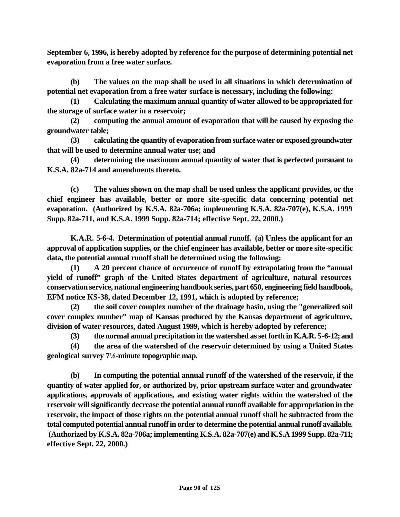**September 6, 1996, is hereby adopted by reference for the purpose of determining potential net evaporation from a free water surface.** 

**(b) The values on the map shall be used in all situations in which determination of potential net evaporation from a free water surface is necessary, including the following:** 

**(1) Calculating the maximum annual quantity of water allowed to be appropriated for the storage of surface water in a reservoir;**

**(2) computing the annual amount of evaporation that will be caused by exposing the groundwater table;**

**(3) calculating the quantity of evaporation from surface water or exposed groundwater that will be used to determine annual water use; and** 

**(4) determining the maximum annual quantity of water that is perfected pursuant to K.S.A. 82a-714 and amendments thereto.** 

**(c) The values shown on the map shall be used unless the applicant provides, or the chief engineer has available, better or more site-specific data concerning potential net evaporation. (Authorized by K.S.A. 82a-706a; implementing K.S.A. 82a-707(e), K.S.A. 1999 Supp. 82a-711, and K.S.A. 1999 Supp. 82a-714; effective Sept. 22, 2000.)** 

**K.A.R. 5-6-4. Determination of potential annual runoff. (a) Unless the applicant for an approval of application supplies, or the chief engineer has available, better or more site-specific data, the potential annual runoff shall be determined using the following:** 

**(1) A 20 percent chance of occurrence of runoff by extrapolating from the "annual yield of runoff" graph of the United States department of agriculture, natural resources conservation service, national engineering handbook series, part 650, engineering field handbook, EFM notice KS-38, dated December 12, 1991, which is adopted by reference;**

**(2) the soil cover complex number of the drainage basin, using the "generalized soil cover complex number" map of Kansas produced by the Kansas department of agriculture, division of water resources, dated August 1999, which is hereby adopted by reference;**

**(3) the normal annual precipitation in the watershed as set forth in K.A.R. 5-6-12; and**

**(4) the area of the watershed of the reservoir determined by using a United States geological survey 7½-minute topographic map.**

**(b) In computing the potential annual runoff of the watershed of the reservoir, if the quantity of water applied for, or authorized by, prior upstream surface water and groundwater applications, approvals of applications, and existing water rights within the watershed of the reservoir will significantly decrease the potential annual runoff available for appropriation in the reservoir, the impact of those rights on the potential annual runoff shall be subtracted from the total computed potential annual runoff in order to determine the potential annual runoff available. (Authorized by K.S.A. 82a-706a; implementing K.S.A. 82a-707(e) and K.S.A 1999 Supp. 82a-711; effective Sept. 22, 2000.)**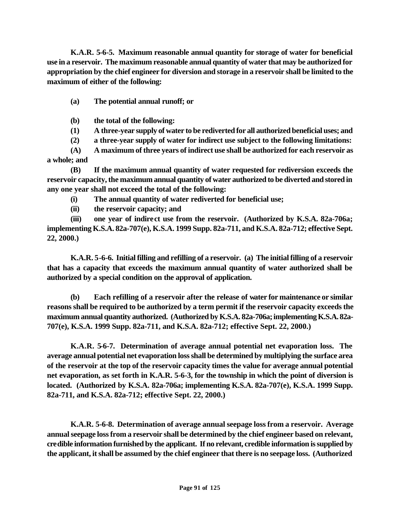**K.A.R. 5-6-5. Maximum reasonable annual quantity for storage of water for beneficial use in a reservoir. The maximum reasonable annual quantity of water that may be authorized for appropriation by the chief engineer for diversion and storage in a reservoir shall be limited to the maximum of either of the following:**

- **(a) The potential annual runoff; or**
- **(b) the total of the following:**
- **(1) A three-year supply of water to be rediverted for all authorized beneficial uses; and**
- **(2) a three-year supply of water for indirect use subject to the following limitations:**

**(A) A maximum of three years of indirect use shall be authorized for each reservoir as a whole; and**

**(B) If the maximum annual quantity of water requested for rediversion exceeds the reservoir capacity, the maximum annual quantity of water authorized to be diverted and stored in any one year shall not exceed the total of the following:** 

**(i) The annual quantity of water rediverted for beneficial use;**

**(ii) the reservoir capacity; and**

**(iii) one year of indirect use from the reservoir. (Authorized by K.S.A. 82a-706a; implementing K.S.A. 82a-707(e), K.S.A. 1999 Supp. 82a-711, and K.S.A. 82a-712; effective Sept. 22, 2000.)**

**K.A.R. 5-6-6. Initial filling and refilling of a reservoir. (a) The initial filling of a reservoir that has a capacity that exceeds the maximum annual quantity of water authorized shall be authorized by a special condition on the approval of application.**

**(b) Each refilling of a reservoir after the release of water for maintenance or similar reasons shall be required to be authorized by a term permit if the reservoir capacity exceeds the maximum annual quantity authorized. (Authorized by K.S.A. 82a-706a; implementing K.S.A. 82a-707(e), K.S.A. 1999 Supp. 82a-711, and K.S.A. 82a-712; effective Sept. 22, 2000.)**

**K.A.R. 5-6-7. Determination of average annual potential net evaporation loss. The average annual potential net evaporation loss shall be determined by multiplying the surface area of the reservoir at the top of the reservoir capacity times the value for average annual potential net evaporation, as set forth in K.A.R. 5-6-3, for the township in which the point of diversion is located. (Authorized by K.S.A. 82a-706a; implementing K.S.A. 82a-707(e), K.S.A. 1999 Supp. 82a-711, and K.S.A. 82a-712; effective Sept. 22, 2000.)**

**K.A.R. 5-6-8. Determination of average annual seepage loss from a reservoir. Average annual seepage loss from a reservoir shall be determined by the chief engineer based on relevant, credible information furnished by the applicant. If no relevant, credible information is supplied by the applicant, it shall be assumed by the chief engineer that there is no seepage loss. (Authorized**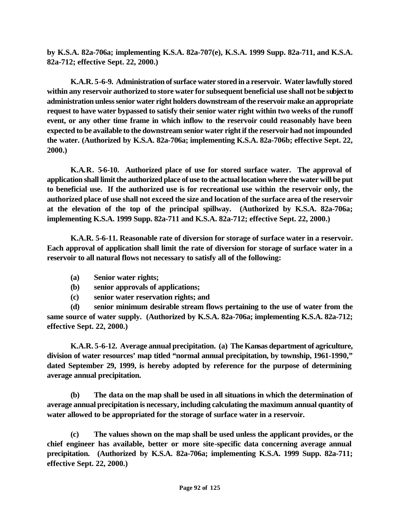**by K.S.A. 82a-706a; implementing K.S.A. 82a-707(e), K.S.A. 1999 Supp. 82a-711, and K.S.A. 82a-712; effective Sept. 22, 2000.)**

**K.A.R. 5-6-9. Administration of surface water stored in a reservoir. Water lawfully stored within any reservoir authorized to store water for subsequent beneficial use shall not be subject to administration unless senior water right holders downstream of the reservoir make an appropriate request to have water bypassed to satisfy their senior water right within two weeks of the runoff event, or any other time frame in which inflow to the reservoir could reasonably have been expected to be available to the downstream senior water right if the reservoir had not impounded the water. (Authorized by K.S.A. 82a-706a; implementing K.S.A. 82a-706b; effective Sept. 22, 2000.)** 

**K.A.R. 5-6-10. Authorized place of use for stored surface water. The approval of application shall limit the authorized place of use to the actual location where the water will be put to beneficial use. If the authorized use is for recreational use within the reservoir only, the authorized place of use shall not exceed the size and location of the surface area of the reservoir at the elevation of the top of the principal spillway. (Authorized by K.S.A. 82a-706a; implementing K.S.A. 1999 Supp. 82a-711 and K.S.A. 82a-712; effective Sept. 22, 2000.)**

**K.A.R. 5-6-11. Reasonable rate of diversion for storage of surface water in a reservoir. Each approval of application shall limit the rate of diversion for storage of surface water in a reservoir to all natural flows not necessary to satisfy all of the following:** 

- **(a) Senior water rights;**
- **(b) senior approvals of applications;**
- **(c) senior water reservation rights; and**

**(d) senior minimum desirable stream flows pertaining to the use of water from the same source of water supply. (Authorized by K.S.A. 82a-706a; implementing K.S.A. 82a-712; effective Sept. 22, 2000.)**

**K.A.R. 5-6-12. Average annual precipitation. (a) The Kansas department of agriculture, division of water resources' map titled "normal annual precipitation, by township, 1961-1990," dated September 29, 1999, is hereby adopted by reference for the purpose of determining average annual precipitation.**

**(b) The data on the map shall be used in all situations in which the determination of average annual precipitation is necessary, including calculating the maximum annual quantity of water allowed to be appropriated for the storage of surface water in a reservoir.**

**(c) The values shown on the map shall be used unless the applicant provides, or the chief engineer has available, better or more site-specific data concerning average annual precipitation. (Authorized by K.S.A. 82a-706a; implementing K.S.A. 1999 Supp. 82a-711; effective Sept. 22, 2000.)**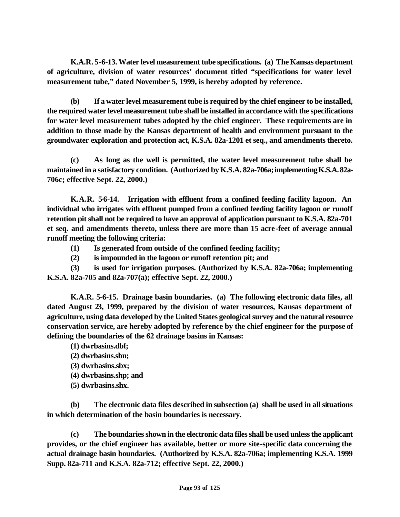**K.A.R. 5-6-13. Water level measurement tube specifications. (a) The Kansas department of agriculture, division of water resources' document titled "specifications for water level measurement tube," dated November 5, 1999, is hereby adopted by reference.**

**(b) If a water level measurement tube is required by the chief engineer to be installed, the required water level measurement tube shall be installed in accordance with the specifications for water level measurement tubes adopted by the chief engineer. These requirements are in addition to those made by the Kansas department of health and environment pursuant to the groundwater exploration and protection act, K.S.A. 82a-1201 et seq., and amendments thereto.**

**(c) As long as the well is permitted, the water level measurement tube shall be maintained in a satisfactory condition. (Authorized by K.S.A. 82a-706a; implementing K.S.A. 82a-706c; effective Sept. 22, 2000.)**

**K.A.R. 5-6-14. Irrigation with effluent from a confined feeding facility lagoon. An individual who irrigates with effluent pumped from a confined feeding facility lagoon or runoff retention pit shall not be required to have an approval of application pursuant to K.S.A. 82a-701 et seq. and amendments thereto, unless there are more than 15 acre-feet of average annual runoff meeting the following criteria:** 

- **(1) Is generated from outside of the confined feeding facility;**
- **(2) is impounded in the lagoon or runoff retention pit; and**

**(3) is used for irrigation purposes. (Authorized by K.S.A. 82a-706a; implementing K.S.A. 82a-705 and 82a-707(a); effective Sept. 22, 2000.)**

**K.A.R. 5-6-15. Drainage basin boundaries. (a) The following electronic data files, all dated August 23, 1999, prepared by the division of water resources, Kansas department of agriculture, using data developed by the United States geological survey and the natural resource conservation service, are hereby adopted by reference by the chief engineer for the purpose of defining the boundaries of the 62 drainage basins in Kansas:**

- **(1) dwrbasins.dbf;**
- **(2) dwrbasins.sbn;**
- **(3) dwrbasins.sbx;**
- **(4) dwrbasins.shp; and**
- **(5) dwrbasins.shx.**

**(b) The electronic data files described in subsection (a) shall be used in all situations in which determination of the basin boundaries is necessary.**

**(c) The boundaries shown in the electronic data files shall be used unless the applicant provides, or the chief engineer has available, better or more site-specific data concerning the actual drainage basin boundaries. (Authorized by K.S.A. 82a-706a; implementing K.S.A. 1999 Supp. 82a-711 and K.S.A. 82a-712; effective Sept. 22, 2000.)**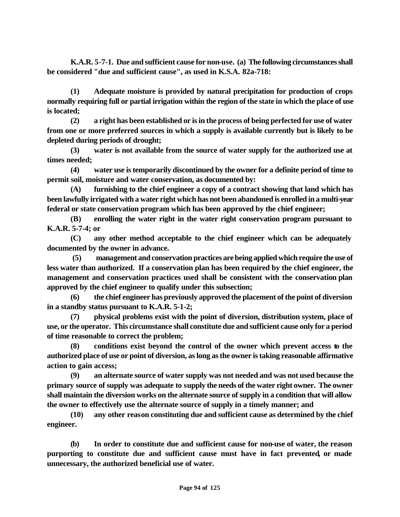**K.A.R. 5-7-1. Due and sufficient cause for non-use. (a) The following circumstances shall be considered "due and sufficient cause", as used in K.S.A. 82a-718:**

**(1) Adequate moisture is provided by natural precipitation for production of crops normally requiring full or partial irrigation within the region of the state in which the place of use is located;**

**(2) a right has been established or is in the process of being perfected for use of water from one or more preferred sources in which a supply is available currently but is likely to be depleted during periods of drought;**

**(3) water is not available from the source of water supply for the authorized use at times needed;**

**(4) water use is temporarily discontinued by the owner for a definite period of time to permit soil, moisture and water conservation, as documented by:** 

**(A) furnishing to the chief engineer a copy of a contract showing that land which has been lawfully irrigated with a water right which has not been abandoned is enrolled in a multi-year federal or state conservation program which has been approved by the chief engineer;**

**(B) enrolling the water right in the water right conservation program pursuant to K.A.R. 5-7-4; or**

**(C) any other method acceptable to the chief engineer which can be adequately documented by the owner in advance.**

 **(5) management and conservation practices are being applied which require the use of less water than authorized. If a conservation plan has been required by the chief engineer, the management and conservation practices used shall be consistent with the conservation plan approved by the chief engineer to qualify under this subsection;**

**(6) the chief engineer has previously approved the placement of the point of diversion in a standby status pursuant to K.A.R. 5-1-2;**

**(7) physical problems exist with the point of diversion, distribution system, place of use, or the operator. This circumstance shall constitute due and sufficient cause only for a period of time reasonable to correct the problem;**

**(8) conditions exist beyond the control of the owner which prevent access to the authorized place of use or point of diversion, as long as the owner is taking reasonable affirmative action to gain access;**

**(9) an alternate source of water supply was not needed and was not used because the primary source of supply was adequate to supply the needs of the water right owner. The owner shall maintain the diversion works on the alternate source of supply in a condition that will allow the owner to effectively use the alternate source of supply in a timely manner; and**

**(10) any other reason constituting due and sufficient cause as determined by the chief engineer.**

**(b) In order to constitute due and sufficient cause for non-use of water, the reason purporting to constitute due and sufficient cause must have in fact prevented, or made unnecessary, the authorized beneficial use of water.**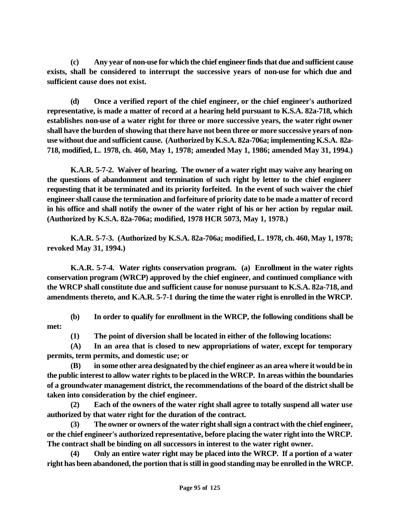**(c) Any year of non-use for which the chief engineer finds that due and sufficient cause exists, shall be considered to interrupt the successive years of non-use for which due and sufficient cause does not exist.**

**(d) Once a verified report of the chief engineer, or the chief engineer's authorized representative, is made a matter of record at a hearing held pursuant to K.S.A. 82a-718, which establishes non-use of a water right for three or more successive years, the water right owner shall have the burden of showing that there have not been three or more successive years of nonuse without due and sufficient cause. (Authorized by K.S.A. 82a-706a; implementing K.S.A. 82a-718, modified, L. 1978, ch. 460, May 1, 1978; amended May 1, 1986; amended May 31, 1994.)** 

**K.A.R. 5-7-2. Waiver of hearing. The owner of a water right may waive any hearing on the questions of abandonment and termination of such right by letter to the chief engineer requesting that it be terminated and its priority forfeited. In the event of such waiver the chief engineer shall cause the termination and forfeiture of priority date to be made a matter of record in his office and shall notify the owner of the water right of his or her action by regular mail. (Authorized by K.S.A. 82a-706a; modified, 1978 HCR 5073, May 1, 1978.)** 

**K.A.R. 5-7-3. (Authorized by K.S.A. 82a-706a; modified, L. 1978, ch. 460, May 1, 1978; revoked May 31, 1994.)** 

**K.A.R. 5-7-4. Water rights conservation program. (a) Enrollment in the water rights conservation program (WRCP) approved by the chief engineer, and continued compliance with the WRCP shall constitute due and sufficient cause for nonuse pursuant to K.S.A. 82a-718, and amendments thereto, and K.A.R. 5-7-1 during the time the water right is enrolled in the WRCP.**

**(b) In order to qualify for enrollment in the WRCP, the following conditions shall be met:**

**(1) The point of diversion shall be located in either of the following locations:**

**(A) In an area that is closed to new appropriations of water, except for temporary permits, term permits, and domestic use; or**

**(B) in some other area designated by the chief engineer as an area where it would be in the public interest to allow water rights to be placed in the WRCP. In areas within the boundaries of a groundwater management district, the recommendations of the board of the district shall be taken into consideration by the chief engineer.**

**(2) Each of the owners of the water right shall agree to totally suspend all water use authorized by that water right for the duration of the contract.**

**(3) The owner or owners of the water right shall sign a contract with the chief engineer, or the chief engineer's authorized representative, before placing the water right into the WRCP. The contract shall be binding on all successors in interest to the water right owner.**

**(4) Only an entire water right may be placed into the WRCP. If a portion of a water right has been abandoned, the portion that is still in good standing may be enrolled in the WRCP.**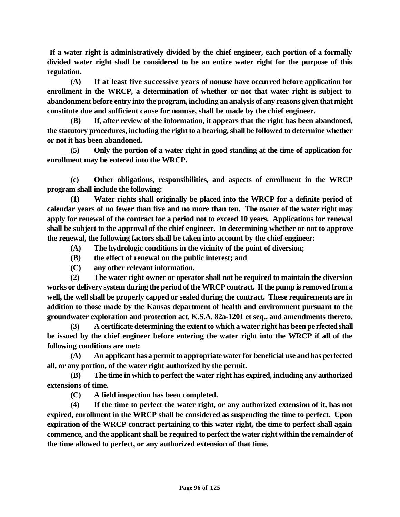**If a water right is administratively divided by the chief engineer, each portion of a formally divided water right shall be considered to be an entire water right for the purpose of this regulation.**

**(A) If at least five successive years of nonuse have occurred before application for enrollment in the WRCP, a determination of whether or not that water right is subject to abandonment before entry into the program, including an analysis of any reasons given that might constitute due and sufficient cause for nonuse, shall be made by the chief engineer.** 

**(B) If, after review of the information, it appears that the right has been abandoned, the statutory procedures, including the right to a hearing, shall be followed to determine whether or not it has been abandoned.** 

**(5) Only the portion of a water right in good standing at the time of application for enrollment may be entered into the WRCP.**

**(c) Other obligations, responsibilities, and aspects of enrollment in the WRCP program shall include the following:**

**(1) Water rights shall originally be placed into the WRCP for a definite period of calendar years of no fewer than five and no more than ten. The owner of the water right may apply for renewal of the contract for a period not to exceed 10 years. Applications for renewal shall be subject to the approval of the chief engineer. In determining whether or not to approve the renewal, the following factors shall be taken into account by the chief engineer:**

- **(A) The hydrologic conditions in the vicinity of the point of diversion;**
- **(B) the effect of renewal on the public interest; and**
- **(C) any other relevant information.**

**(2) The water right owner or operator shall not be required to maintain the diversion works or delivery system during the period of the WRCP contract. If the pump is removed from a well, the well shall be properly capped or sealed during the contract. These requirements are in addition to those made by the Kansas department of health and environment pursuant to the groundwater exploration and protection act, K.S.A. 82a-1201 et seq., and amendments thereto.**

**(3) A certificate determining the extent to which a water right has been perfected shall be issued by the chief engineer before entering the water right into the WRCP if all of the following conditions are met:**

**(A) An applicant has a permit to appropriate water for beneficial use and has perfected all, or any portion, of the water right authorized by the permit.**

**(B) The time in which to perfect the water right has expired, including any authorized extensions of time.**

**(C) A field inspection has been completed.**

**(4) If the time to perfect the water right, or any authorized extension of it, has not expired, enrollment in the WRCP shall be considered as suspending the time to perfect. Upon expiration of the WRCP contract pertaining to this water right, the time to perfect shall again commence, and the applicant shall be required to perfect the water right within the remainder of the time allowed to perfect, or any authorized extension of that time.**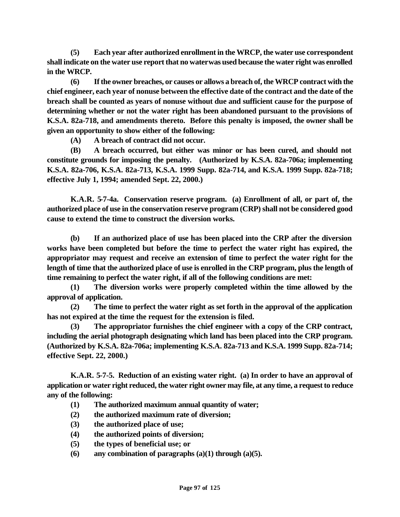**(5) Each year after authorized enrollment in the WRCP, the water use correspondent shall indicate on the water use report that no water was used because the water right was enrolled in the WRCP.**

**(6) If the owner breaches, or causes or allows a breach of, the WRCP contract with the chief engineer, each year of nonuse between the effective date of the contract and the date of the breach shall be counted as years of nonuse without due and sufficient cause for the purpose of determining whether or not the water right has been abandoned pursuant to the provisions of K.S.A. 82a-718, and amendments thereto. Before this penalty is imposed, the owner shall be given an opportunity to show either of the following:**

**(A) A breach of contract did not occur.**

**(B) A breach occurred, but either was minor or has been cured, and should not constitute grounds for imposing the penalty. (Authorized by K.S.A. 82a-706a; implementing K.S.A. 82a-706, K.S.A. 82a-713, K.S.A. 1999 Supp. 82a-714, and K.S.A. 1999 Supp. 82a-718; effective July 1, 1994; amended Sept. 22, 2000.)**

**K.A.R. 5-7-4a. Conservation reserve program. (a) Enrollment of all, or part of, the authorized place of use in the conservation reserve program (CRP) shall not be considered good cause to extend the time to construct the diversion works.**

**(b) If an authorized place of use has been placed into the CRP after the diversion works have been completed but before the time to perfect the water right has expired, the appropriator may request and receive an extension of time to perfect the water right for the length of time that the authorized place of use is enrolled in the CRP program, plus the length of time remaining to perfect the water right, if all of the following conditions are met:**

**(1) The diversion works were properly completed within the time allowed by the approval of application.**

**(2) The time to perfect the water right as set forth in the approval of the application has not expired at the time the request for the extension is filed.**

**(3) The appropriator furnishes the chief engineer with a copy of the CRP contract, including the aerial photograph designating which land has been placed into the CRP program. (Authorized by K.S.A. 82a-706a; implementing K.S.A. 82a-713 and K.S.A. 1999 Supp. 82a-714; effective Sept. 22, 2000.)**

**K.A.R. 5-7-5. Reduction of an existing water right. (a) In order to have an approval of application or water right reduced, the water right owner may file, at any time, a request to reduce any of the following:** 

- **(1) The authorized maximum annual quantity of water;**
- **(2) the authorized maximum rate of diversion;**
- **(3) the authorized place of use;**
- **(4) the authorized points of diversion;**
- **(5) the types of beneficial use; or**
- **(6) any combination of paragraphs (a)(1) through (a)(5).**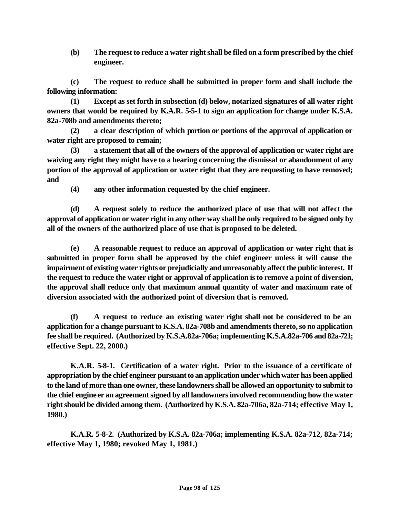**(b) The request to reduce a water right shall be filed on a form prescribed by the chief engineer.**

**(c) The request to reduce shall be submitted in proper form and shall include the following information:**

**(1) Except as set forth in subsection (d) below, notarized signatures of all water right owners that would be required by K.A.R. 5-5-1 to sign an application for change under K.S.A. 82a-708b and amendments thereto;**

**(2) a clear description of which portion or portions of the approval of application or water right are proposed to remain;**

**(3) a statement that all of the owners of the approval of application or water right are waiving any right they might have to a hearing concerning the dismissal or abandonment of any portion of the approval of application or water right that they are requesting to have removed; and**

**(4) any other information requested by the chief engineer.**

**(d) A request solely to reduce the authorized place of use that will not affect the approval of application or water right in any other way shall be only required to be signed only by all of the owners of the authorized place of use that is proposed to be deleted.**

**(e) A reasonable request to reduce an approval of application or water right that is submitted in proper form shall be approved by the chief engineer unless it will cause the impairment of existing water rights or prejudicially and unreasonably affect the public interest. If the request to reduce the water right or approval of application is to remove a point of diversion, the approval shall reduce only that maximum annual quantity of water and maximum rate of diversion associated with the authorized point of diversion that is removed.**

**(f) A request to reduce an existing water right shall not be considered to be an application for a change pursuant to K.S.A. 82a-708b and amendments thereto, so no application fee shall be required. (Authorized by K.S.A.82a-706a; implementing K.S.A.82a-706 and 82a-721; effective Sept. 22, 2000.)**

**K.A.R. 5-8-1. Certification of a water right. Prior to the issuance of a certificate of appropriation by the chief engineer pursuant to an application under which water has been applied to the land of more than one owner, these landowners shall be allowed an opportunity to submit to**  the chief engine er an agreement signed by all landowners involved recommending how the water **right should be divided among them. (Authorized by K.S.A. 82a-706a, 82a-714; effective May 1, 1980.)** 

**K.A.R. 5-8-2. (Authorized by K.S.A. 82a-706a; implementing K.S.A. 82a-712, 82a-714; effective May 1, 1980; revoked May 1, 1981.)**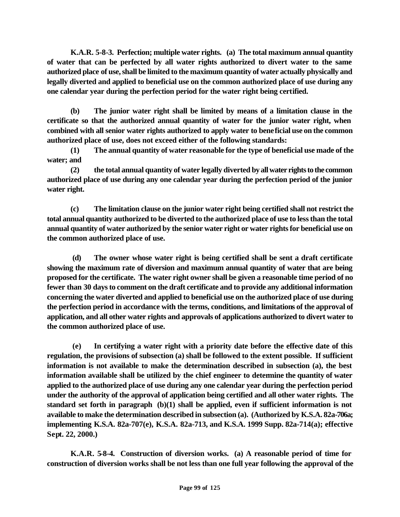**K.A.R. 5-8-3. Perfection; multiple water rights. (a) The total maximum annual quantity of water that can be perfected by all water rights authorized to divert water to the same authorized place of use, shall be limited to the maximum quantity of water actually physically and legally diverted and applied to beneficial use on the common authorized place of use during any one calendar year during the perfection period for the water right being certified.**

**(b) The junior water right shall be limited by means of a limitation clause in the certificate so that the authorized annual quantity of water for the junior water right, when combined with all senior water rights authorized to apply water to beneficial use on the common authorized place of use, does not exceed either of the following standards:**

**(1) The annual quantity of water reasonable for the type of beneficial use made of the water; and**

**(2) the total annual quantity of water legally diverted by all water rights to the common authorized place of use during any one calendar year during the perfection period of the junior water right.** 

**(c) The limitation clause on the junior water right being certified shall not restrict the total annual quantity authorized to be diverted to the authorized place of use to less than the total annual quantity of water authorized by the senior water right or water rights for beneficial use on the common authorized place of use.**

 **(d) The owner whose water right is being certified shall be sent a draft certificate showing the maximum rate of diversion and maximum annual quantity of water that are being proposed for the certificate. The water right owner shall be given a reasonable time period of no fewer than 30 days to comment on the draft certificate and to provide any additional information concerning the water diverted and applied to beneficial use on the authorized place of use during the perfection period in accordance with the terms, conditions, and limitations of the approval of application, and all other water rights and approvals of applications authorized to divert water to the common authorized place of use.**

 **(e) In certifying a water right with a priority date before the effective date of this regulation, the provisions of subsection (a) shall be followed to the extent possible. If sufficient information is not available to make the determination described in subsection (a), the best information available shall be utilized by the chief engineer to determine the quantity of water applied to the authorized place of use during any one calendar year during the perfection period under the authority of the approval of application being certified and all other water rights. The standard set forth in paragraph (b)(1) shall be applied, even if sufficient information is not available to make the determination described in subsection (a). (Authorized by K.S.A. 82a-706a; implementing K.S.A. 82a-707(e), K.S.A. 82a-713, and K.S.A. 1999 Supp. 82a-714(a); effective Sept. 22, 2000.)**

**K.A.R. 5-8-4. Construction of diversion works. (a) A reasonable period of time for construction of diversion works shall be not less than one full year following the approval of the**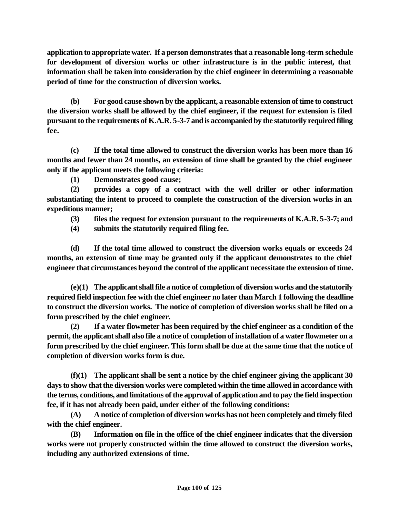**application to appropriate water. If a person demonstrates that a reasonable long-term schedule for development of diversion works or other infrastructure is in the public interest, that information shall be taken into consideration by the chief engineer in determining a reasonable period of time for the construction of diversion works.** 

**(b) For good cause shown by the applicant, a reasonable extension of time to construct the diversion works shall be allowed by the chief engineer, if the request for extension is filed pursuant to the requirements of K.A.R. 5-3-7 and is accompanied by the statutorily required filing fee.** 

**(c) If the total time allowed to construct the diversion works has been more than 16 months and fewer than 24 months, an extension of time shall be granted by the chief engineer only if the applicant meets the following criteria:**

**(1) Demonstrates good cause;**

**(2) provides a copy of a contract with the well driller or other information substantiating the intent to proceed to complete the construction of the diversion works in an expeditious manner;**

**(3) files the request for extension pursuant to the requirements of K.A.R. 5-3-7; and**

**(4) submits the statutorily required filing fee.**

**(d) If the total time allowed to construct the diversion works equals or exceeds 24 months, an extension of time may be granted only if the applicant demonstrates to the chief engineer that circumstances beyond the control of the applicant necessitate the extension of time.**

**(e)(1) The applicant shall file a notice of completion of diversion works and the statutorily required field inspection fee with the chief engineer no later than March 1 following the deadline to construct the diversion works. The notice of completion of diversion works shall be filed on a form prescribed by the chief engineer.** 

**(2) If a water flowmeter has been required by the chief engineer as a condition of the permit, the applicant shall also file a notice of completion of installation of a water flowmeter on a form prescribed by the chief engineer. This form shall be due at the same time that the notice of completion of diversion works form is due.**

**(f)(1) The applicant shall be sent a notice by the chief engineer giving the applicant 30 days to show that the diversion works were completed within the time allowed in accordance with the terms, conditions, and limitations of the approval of application and to pay the field inspection fee, if it has not already been paid, under either of the following conditions:** 

**(A) A notice of completion of diversion works has not been completely and timely filed with the chief engineer.**

**(B) Information on file in the office of the chief engineer indicates that the diversion works were not properly constructed within the time allowed to construct the diversion works, including any authorized extensions of time.**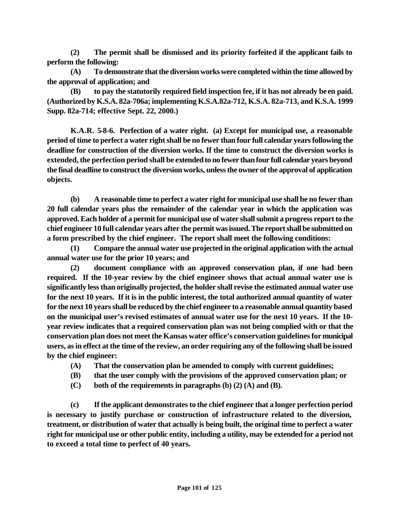**(2) The permit shall be dismissed and its priority forfeited if the applicant fails to perform the following:** 

**(A) To demonstrate that the diversion works were completed within the time allowed by the approval of application; and**

**(B) to pay the statutorily required field inspection fee, if it has not already been paid. (Authorized by K.S.A. 82a-706a; implementing K.S.A.82a-712, K.S.A. 82a-713, and K.S.A. 1999 Supp. 82a-714; effective Sept. 22, 2000.)**

**K.A.R. 5-8-6. Perfection of a water right. (a) Except for municipal use, a reasonable period of time to perfect a water right shall be no fewer than four full calendar years following the deadline for construction of the diversion works. If the time to construct the diversion works is extended, the perfection period shall be extended to no fewer than four full calendar years beyond the final deadline to construct the diversion works, unless the owner of the approval of application objects.** 

**(b) A reasonable time to perfect a water right for municipal use shall be no fewer than 20 full calendar years plus the remainder of the calendar year in which the application was approved. Each holder of a permit for municipal use of water shall submit a progress report to the chief engineer 10 full calendar years after the permit was issued. The report shall be submitted on a form prescribed by the chief engineer. The report shall meet the following conditions:** 

**(1) Compare the annual water use projected in the original application with the actual annual water use for the prior 10 years; and**

**(2) document compliance with an approved conservation plan, if one had been required. If the 10-year review by the chief engineer shows that actual annual water use is significantly less than originally projected, the holder shall revise the estimated annual water use for the next 10 years. If it is in the public interest, the total authorized annual quantity of water for the next 10 years shall be reduced by the chief engineer to a reasonable annual quantity based on the municipal user's revised estimates of annual water use for the next 10 years. If the 10 year review indicates that a required conservation plan was not being complied with or that the conservation plan does not meet the Kansas water office's conservation guidelines for municipal users, as in effect at the time of the review, an order requiring any of the following shall be issued by the chief engineer:**

- **(A) That the conservation plan be amended to comply with current guidelines;**
- **(B) that the user comply with the provisions of the approved conservation plan; or**
- **(C) both of the requirements in paragraphs (b) (2) (A) and (B).**

**(c) If the applicant demonstrates to the chief engineer that a longer perfection period is necessary to justify purchase or construction of infrastructure related to the diversion, treatment, or distribution of water that actually is being built, the original time to perfect a water right for municipal use or other public entity, including a utility, may be extended for a period not to exceed a total time to perfect of 40 years.**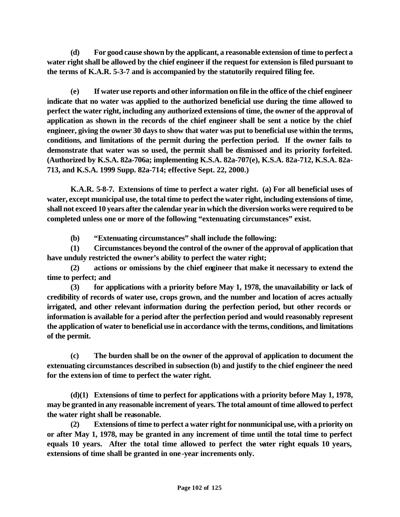**(d) For good cause shown by the applicant, a reasonable extension of time to perfect a water right shall be allowed by the chief engineer if the request for extension is filed pursuant to the terms of K.A.R. 5-3-7 and is accompanied by the statutorily required filing fee.**

**(e) If water use reports and other information on file in the office of the chief engineer indicate that no water was applied to the authorized beneficial use during the time allowed to perfect the water right, including any authorized extensions of time, the owner of the approval of application as shown in the records of the chief engineer shall be sent a notice by the chief engineer, giving the owner 30 days to show that water was put to beneficial use within the terms, conditions, and limitations of the permit during the perfection period. If the owner fails to demonstrate that water was so used, the permit shall be dismissed and its priority forfeited. (Authorized by K.S.A. 82a-706a; implementing K.S.A. 82a-707(e), K.S.A. 82a-712, K.S.A. 82a-713, and K.S.A. 1999 Supp. 82a-714; effective Sept. 22, 2000.)** 

**K.A.R. 5-8-7. Extensions of time to perfect a water right. (a) For all beneficial uses of water, except municipal use, the total time to perfect the water right, including extensions of time, shall not exceed 10 years after the calendar year in which the diversion works were required to be completed unless one or more of the following "extenuating circumstances" exist.** 

**(b) "Extenuating circumstances" shall include the following:** 

**(1) Circumstances beyond the control of the owner of the approval of application that have unduly restricted the owner's ability to perfect the water right;**

**(2) actions or omissions by the chief engineer that make it necessary to extend the time to perfect; and**

**(3) for applications with a priority before May 1, 1978, the unavailability or lack of credibility of records of water use, crops grown, and the number and location of acres actually irrigated, and other relevant information during the perfection period, but other records or information is available for a period after the perfection period and would reasonably represent the application of water to beneficial use in accordance with the terms, conditions, and limitations of the permit.** 

**(c) The burden shall be on the owner of the approval of application to document the extenuating circumstances described in subsection (b) and justify to the chief engineer the need for the extension of time to perfect the water right.**

**(d)(1) Extensions of time to perfect for applications with a priority before May 1, 1978, may be granted in any reasonable increment of years. The total amount of time allowed to perfect the water right shall be reasonable.** 

**(2) Extensions of time to perfect a water right for nonmunicipal use, with a priority on or after May 1, 1978, may be granted in any increment of time until the total time to perfect equals 10 years. After the total time allowed to perfect the water right equals 10 years, extensions of time shall be granted in one -year increments only.**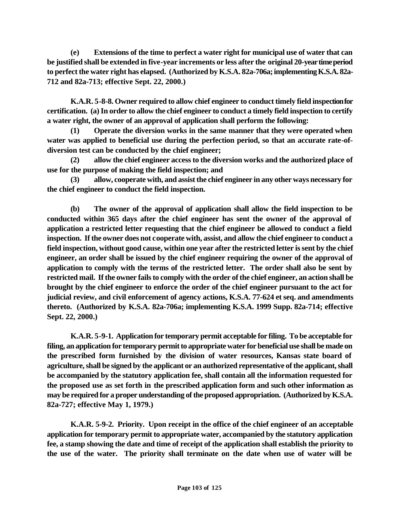**(e) Extensions of the time to perfect a water right for municipal use of water that can be justified shall be extended in five-year increments or less after the original 20-year time period to perfect the water right has elapsed. (Authorized by K.S.A. 82a-706a; implementing K.S.A. 82a-712 and 82a-713; effective Sept. 22, 2000.)** 

**K.A.R. 5-8-8. Owner required to allow chief engineer to conduct timely field inspection for certification. (a) In order to allow the chief engineer to conduct a timely field inspection to certify a water right, the owner of an approval of application shall perform the following:** 

**(1) Operate the diversion works in the same manner that they were operated when water was applied to beneficial use during the perfection period, so that an accurate rate-ofdiversion test can be conducted by the chief engineer;**

**(2) allow the chief engineer access to the diversion works and the authorized place of use for the purpose of making the field inspection; and** 

**(3) allow, cooperate with, and assist the chief engineer in any other ways necessary for the chief engineer to conduct the field inspection.**

**(b) The owner of the approval of application shall allow the field inspection to be conducted within 365 days after the chief engineer has sent the owner of the approval of application a restricted letter requesting that the chief engineer be allowed to conduct a field inspection. If the owner does not cooperate with, assist, and allow the chief engineer to conduct a field inspection, without good cause, within one year after the restricted letter is sent by the chief engineer, an order shall be issued by the chief engineer requiring the owner of the approval of application to comply with the terms of the restricted letter. The order shall also be sent by restricted mail. If the owner fails to comply with the order of the chief engineer, an action shall be brought by the chief engineer to enforce the order of the chief engineer pursuant to the act for judicial review, and civil enforcement of agency actions, K.S.A. 77-624 et seq. and amendments thereto. (Authorized by K.S.A. 82a-706a; implementing K.S.A. 1999 Supp. 82a-714; effective Sept. 22, 2000.)**

**K.A.R. 5-9-1. Application for temporary permit acceptable for filing. To be acceptable for filing, an application for temporary permit to appropriate water for beneficial use shall be made on the prescribed form furnished by the division of water resources, Kansas state board of agriculture, shall be signed by the applicant or an authorized representative of the applicant, shall be accompanied by the statutory application fee, shall contain all the information requested for the proposed use as set forth in the prescribed application form and such other information as may be required for a proper understanding of the proposed appropriation. (Authorized by K.S.A. 82a-727; effective May 1, 1979.)** 

**K.A.R. 5-9-2. Priority. Upon receipt in the office of the chief engineer of an acceptable application for temporary permit to appropriate water, accompanied by the statutory application fee, a stamp showing the date and time of receipt of the application shall establish the priority to the use of the water. The priority shall terminate on the date when use of water will be**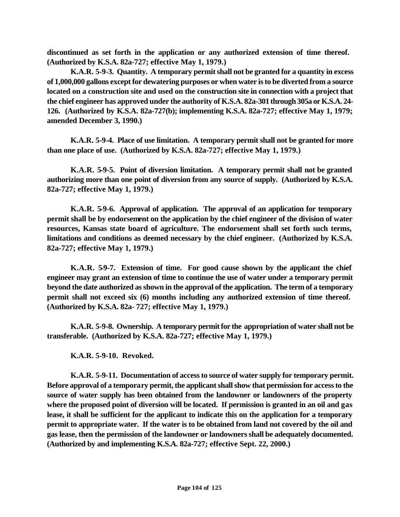**discontinued as set forth in the application or any authorized extension of time thereof. (Authorized by K.S.A. 82a-727; effective May 1, 1979.)** 

**K.A.R. 5-9-3. Quantity. A temporary permit shall not be granted for a quantity in excess of 1,000,000 gallons except for dewatering purposes or when water is to be diverted from a source located on a construction site and used on the construction site in connection with a project that the chief engineer has approved under the authority of K.S.A. 82a-301 through 305a or K.S.A. 24- 126. (Authorized by K.S.A. 82a-727(b); implementing K.S.A. 82a-727; effective May 1, 1979; amended December 3, 1990.)** 

**K.A.R. 5-9-4. Place of use limitation. A temporary permit shall not be granted for more than one place of use. (Authorized by K.S.A. 82a-727; effective May 1, 1979.)** 

**K.A.R. 5-9-5. Point of diversion limitation. A temporary permit shall not be granted authorizing more than one point of diversion from any source of supply. (Authorized by K.S.A. 82a-727; effective May 1, 1979.)** 

**K.A.R. 5-9-6. Approval of application. The approval of an application for temporary permit shall be by endorsement on the application by the chief engineer of the division of water resources, Kansas state board of agriculture. The endorsement shall set forth such terms, limitations and conditions as deemed necessary by the chief engineer. (Authorized by K.S.A. 82a-727; effective May 1, 1979.)** 

**K.A.R. 5-9-7. Extension of time. For good cause shown by the applicant the chief engineer may grant an extension of time to continue the use of water under a temporary permit beyond the date authorized as shown in the approval of the application. The term of a temporary permit shall not exceed six (6) months including any authorized extension of time thereof. (Authorized by K.S.A. 82a- 727; effective May 1, 1979.)** 

**K.A.R. 5-9-8. Ownership. A temporary permit for the appropriation of water shall not be transferable. (Authorized by K.S.A. 82a-727; effective May 1, 1979.)** 

**K.A.R. 5-9-10. Revoked.** 

**K.A.R. 5-9-11. Documentation of access to source of water supply for temporary permit. Before approval of a temporary permit, the applicant shall show that permission for access to the source of water supply has been obtained from the landowner or landowners of the property where the proposed point of diversion will be located. If permission is granted in an oil and gas lease, it shall be sufficient for the applicant to indicate this on the application for a temporary permit to appropriate water. If the water is to be obtained from land not covered by the oil and gas lease, then the permission of the landowner or landowners shall be adequately documented. (Authorized by and implementing K.S.A. 82a-727; effective Sept. 22, 2000.)**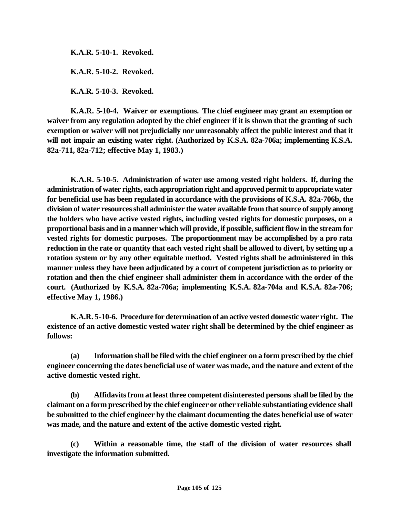**K.A.R. 5-10-1. Revoked.** 

**K.A.R. 5-10-2. Revoked.** 

**K.A.R. 5-10-3. Revoked.** 

**K.A.R. 5-10-4. Waiver or exemptions. The chief engineer may grant an exemption or waiver from any regulation adopted by the chief engineer if it is shown that the granting of such exemption or waiver will not prejudicially nor unreasonably affect the public interest and that it will not impair an existing water right. (Authorized by K.S.A. 82a-706a; implementing K.S.A. 82a-711, 82a-712; effective May 1, 1983.)** 

**K.A.R. 5-10-5. Administration of water use among vested right holders. If, during the administration of water rights, each appropriation right and approved permit to appropriate water for beneficial use has been regulated in accordance with the provisions of K.S.A. 82a-706b, the division of water resources shall administer the water available from that source of supply among the holders who have active vested rights, including vested rights for domestic purposes, on a proportional basis and in a manner which will provide, if possible, sufficient flow in the stream for vested rights for domestic purposes. The proportionment may be accomplished by a pro rata reduction in the rate or quantity that each vested right shall be allowed to divert, by setting up a rotation system or by any other equitable method. Vested rights shall be administered in this manner unless they have been adjudicated by a court of competent jurisdiction as to priority or rotation and then the chief engineer shall administer them in accordance with the order of the court. (Authorized by K.S.A. 82a-706a; implementing K.S.A. 82a-704a and K.S.A. 82a-706; effective May 1, 1986.)**

**K.A.R. 5-10-6. Procedure for determination of an active vested domestic water right. The existence of an active domestic vested water right shall be determined by the chief engineer as follows:**

**(a) Information shall be filed with the chief engineer on a form prescribed by the chief engineer concerning the dates beneficial use of water was made, and the nature and extent of the active domestic vested right.** 

**(b) Affidavits from at least three competent disinterested persons shall be filed by the claimant on a form prescribed by the chief engineer or other reliable substantiating evidence shall be submitted to the chief engineer by the claimant documenting the dates beneficial use of water was made, and the nature and extent of the active domestic vested right.** 

**(c) Within a reasonable time, the staff of the division of water resources shall investigate the information submitted.**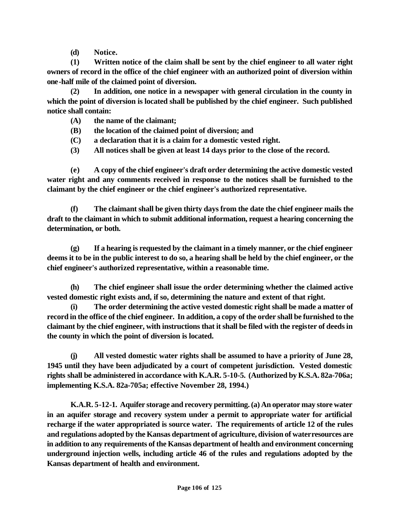**(d) Notice.** 

**(1) Written notice of the claim shall be sent by the chief engineer to all water right owners of record in the office of the chief engineer with an authorized point of diversion within one-half mile of the claimed point of diversion.**

**(2) In addition, one notice in a newspaper with general circulation in the county in which the point of diversion is located shall be published by the chief engineer. Such published notice shall contain:**

- **(A) the name of the claimant;**
- **(B) the location of the claimed point of diversion; and**
- **(C) a declaration that it is a claim for a domestic vested right.**
- **(3) All notices shall be given at least 14 days prior to the close of the record.**

**(e) A copy of the chief engineer's draft order determining the active domestic vested water right and any comments received in response to the notices shall be furnished to the claimant by the chief engineer or the chief engineer's authorized representative.**

**(f) The claimant shall be given thirty days from the date the chief engineer mails the draft to the claimant in which to submit additional information, request a hearing concerning the determination, or both.**

**(g) If a hearing is requested by the claimant in a timely manner, or the chief engineer deems it to be in the public interest to do so, a hearing shall be held by the chief engineer, or the chief engineer's authorized representative, within a reasonable time.**

**(h) The chief engineer shall issue the order determining whether the claimed active vested domestic right exists and, if so, determining the nature and extent of that right.**

**(i) The order determining the active vested domestic right shall be made a matter of record in the office of the chief engineer. In addition, a copy of the order shall be furnished to the claimant by the chief engineer, with instructions that it shall be filed with the register of deeds in the county in which the point of diversion is located.**

**(j) All vested domestic water rights shall be assumed to have a priority of June 28, 1945 until they have been adjudicated by a court of competent jurisdiction. Vested domestic rights shall be administered in accordance with K.A.R. 5-10-5. (Authorized by K.S.A. 82a-706a; implementing K.S.A. 82a-705a; effective November 28, 1994.)**

**K.A.R. 5-12-1. Aquifer storage and recovery permitting. (a) An operator may store water in an aquifer storage and recovery system under a permit to appropriate water for artificial recharge if the water appropriated is source water. The requirements of article 12 of the rules and regulations adopted by the Kansas department of agriculture, division of water resources are in addition to any requirements of the Kansas department of health and environment concerning underground injection wells, including article 46 of the rules and regulations adopted by the Kansas department of health and environment.**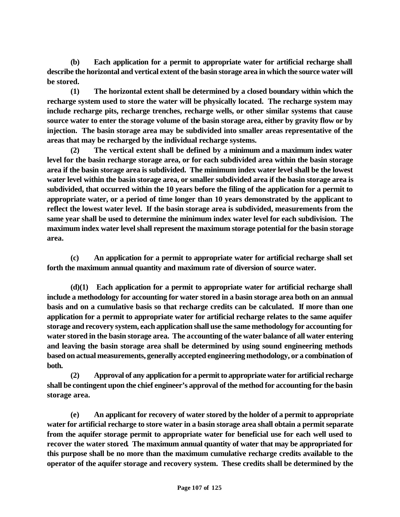**(b) Each application for a permit to appropriate water for artificial recharge shall describe the horizontal and vertical extent of the basin storage area in which the source water will be stored.** 

**(1) The horizontal extent shall be determined by a closed boundary within which the recharge system used to store the water will be physically located. The recharge system may include recharge pits, recharge trenches, recharge wells, or other similar systems that cause source water to enter the storage volume of the basin storage area, either by gravity flow or by injection. The basin storage area may be subdivided into smaller areas representative of the areas that may be recharged by the individual recharge systems.** 

**(2) The vertical extent shall be defined by a minimum and a maximum index water level for the basin recharge storage area, or for each subdivided area within the basin storage area if the basin storage area is subdivided. The minimum index water level shall be the lowest water level within the basin storage area, or smaller subdivided area if the basin storage area is subdivided, that occurred within the 10 years before the filing of the application for a permit to appropriate water, or a period of time longer than 10 years demonstrated by the applicant to reflect the lowest water level. If the basin storage area is subdivided, measurements from the same year shall be used to determine the minimum index water level for each subdivision. The maximum index water level shall represent the maximum storage potential for the basin storage area.**

**(c) An application for a permit to appropriate water for artificial recharge shall set forth the maximum annual quantity and maximum rate of diversion of source water.**

**(d)(1) Each application for a permit to appropriate water for artificial recharge shall include a methodology for accounting for water stored in a basin storage area both on an annual basis and on a cumulative basis so that recharge credits can be calculated. If more than one application for a permit to appropriate water for artificial recharge relates to the same aquifer storage and recovery system, each application shall use the same methodology for accounting for water stored in the basin storage area. The accounting of the water balance of all water entering and leaving the basin storage area shall be determined by using sound engineering methods based on actual measurements, generally accepted engineering methodology, or a combination of both.**

**(2) Approval of any application for a permit to appropriate water for artificial recharge shall be contingent upon the chief engineer's approval of the method for accounting for the basin storage area.**

**(e) An applicant for recovery of water stored by the holder of a permit to appropriate water for artificial recharge to store water in a basin storage area shall obtain a permit separate from the aquifer storage permit to appropriate water for beneficial use for each well used to recover the water stored. The maximum annual quantity of water that may be appropriated for this purpose shall be no more than the maximum cumulative recharge credits available to the operator of the aquifer storage and recovery system. These credits shall be determined by the**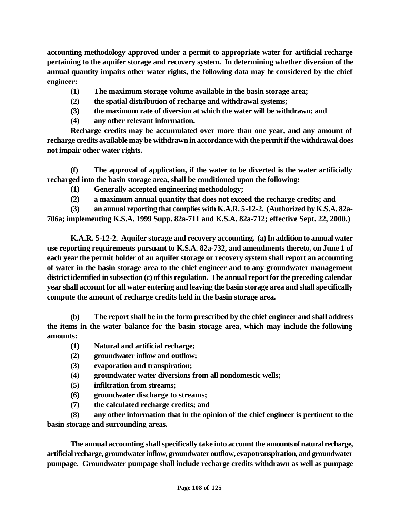**accounting methodology approved under a permit to appropriate water for artificial recharge pertaining to the aquifer storage and recovery system. In determining whether diversion of the annual quantity impairs other water rights, the following data may be considered by the chief engineer:**

- **(1) The maximum storage volume available in the basin storage area;**
- **(2) the spatial distribution of recharge and withdrawal systems;**
- **(3) the maximum rate of diversion at which the water will be withdrawn; and**
- **(4) any other relevant information.**

**Recharge credits may be accumulated over more than one year, and any amount of recharge credits available may be withdrawn in accordance with the permit if the withdrawal does not impair other water rights.**

**(f) The approval of application, if the water to be diverted is the water artificially recharged into the basin storage area, shall be conditioned upon the following:**

- **(1) Generally accepted engineering methodology;**
- **(2) a maximum annual quantity that does not exceed the recharge credits; and**

**(3) an annual reporting that complies with K.A.R. 5-12-2. (Authorized by K.S.A. 82a-706a; implementing K.S.A. 1999 Supp. 82a-711 and K.S.A. 82a-712; effective Sept. 22, 2000.)**

**K.A.R. 5-12-2. Aquifer storage and recovery accounting. (a) In addition to annual water use reporting requirements pursuant to K.S.A. 82a-732, and amendments thereto, on June 1 of each year the permit holder of an aquifer storage or recovery system shall report an accounting of water in the basin storage area to the chief engineer and to any groundwater management district identified in subsection (c) of this regulation. The annual report for the preceding calendar year shall account for all water entering and leaving the basin storage area and shall specifically compute the amount of recharge credits held in the basin storage area.** 

**(b) The report shall be in the form prescribed by the chief engineer and shall address the items in the water balance for the basin storage area, which may include the following amounts:**

- **(1) Natural and artificial recharge;**
- **(2) groundwater inflow and outflow;**
- **(3) evaporation and transpiration;**
- **(4) groundwater water diversions from all nondomestic wells;**
- **(5) infiltration from streams;**
- **(6) groundwater discharge to streams;**
- **(7) the calculated recharge credits; and**

**(8) any other information that in the opinion of the chief engineer is pertinent to the basin storage and surrounding areas.**

**The annual accounting shall specifically take into account the amounts of natural recharge, artificial recharge, groundwater inflow, groundwater outflow, evapotranspiration, and groundwater pumpage. Groundwater pumpage shall include recharge credits withdrawn as well as pumpage**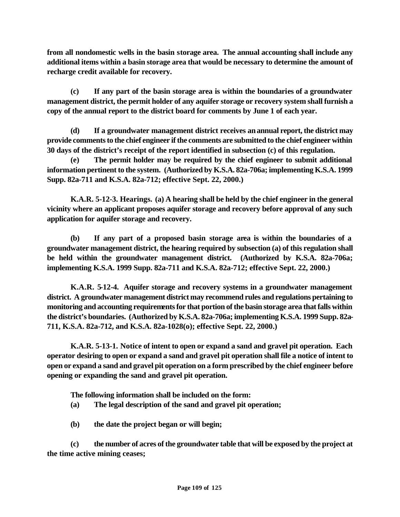**from all nondomestic wells in the basin storage area. The annual accounting shall include any additional items within a basin storage area that would be necessary to determine the amount of recharge credit available for recovery.**

**(c) If any part of the basin storage area is within the boundaries of a groundwater management district, the permit holder of any aquifer storage or recovery system shall furnish a copy of the annual report to the district board for comments by June 1 of each year.**

**(d) If a groundwater management district receives an annual report, the district may provide comments to the chief engineer if the comments are submitted to the chief engineer within 30 days of the district's receipt of the report identified in subsection (c) of this regulation.**

**(e) The permit holder may be required by the chief engineer to submit additional information pertinent to the system. (Authorized by K.S.A. 82a-706a; implementing K.S.A. 1999 Supp. 82a-711 and K.S.A. 82a-712; effective Sept. 22, 2000.)**

**K.A.R. 5-12-3. Hearings. (a) A hearing shall be held by the chief engineer in the general vicinity where an applicant proposes aquifer storage and recovery before approval of any such application for aquifer storage and recovery.** 

**(b) If any part of a proposed basin storage area is within the boundaries of a groundwater management district, the hearing required by subsection (a) of this regulation shall be held within the groundwater management district. (Authorized by K.S.A. 82a-706a; implementing K.S.A. 1999 Supp. 82a-711 and K.S.A. 82a-712; effective Sept. 22, 2000.)**

**K.A.R. 5-12-4. Aquifer storage and recovery systems in a groundwater management district. A groundwater management district may recommend rules and regulations pertaining to monitoring and accounting requirements for that portion of the basin storage area that falls within the district's boundaries. (Authorized by K.S.A. 82a-706a; implementing K.S.A. 1999 Supp. 82a-711, K.S.A. 82a-712, and K.S.A. 82a-1028(o); effective Sept. 22, 2000.)**

**K.A.R. 5-13-1. Notice of intent to open or expand a sand and gravel pit operation. Each operator desiring to open or expand a sand and gravel pit operation shall file a notice of intent to open or expand a sand and gravel pit operation on a form prescribed by the chief engineer before opening or expanding the sand and gravel pit operation.** 

**The following information shall be included on the form:** 

- **(a) The legal description of the sand and gravel pit operation;**
- **(b) the date the project began or will begin;**

**(c) the number of acres of the groundwater table that will be exposed by the project at the time active mining ceases;**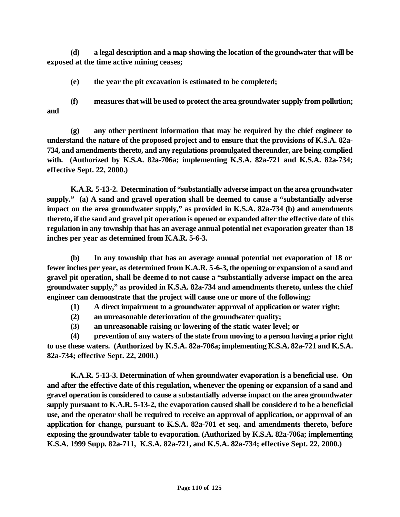**(d) a legal description and a map showing the location of the groundwater that will be exposed at the time active mining ceases;**

**(e) the year the pit excavation is estimated to be completed;**

**(f) measures that will be used to protect the area groundwater supply from pollution; and**

**(g) any other pertinent information that may be required by the chief engineer to understand the nature of the proposed project and to ensure that the provisions of K.S.A. 82a-734, and amendments thereto, and any regulations promulgated thereunder, are being complied with. (Authorized by K.S.A. 82a-706a; implementing K.S.A. 82a-721 and K.S.A. 82a-734; effective Sept. 22, 2000.)**

**K.A.R. 5-13-2. Determination of "substantially adverse impact on the area groundwater supply." (a) A sand and gravel operation shall be deemed to cause a "substantially adverse impact on the area groundwater supply," as provided in K.S.A. 82a-734 (b) and amendments thereto, if the sand and gravel pit operation is opened or expanded after the effective date of this regulation in any township that has an average annual potential net evaporation greater than 18 inches per year as determined from K.A.R. 5-6-3.** 

**(b) In any township that has an average annual potential net evaporation of 18 or fewer inches per year, as determined from K.A.R. 5-6-3, the opening or expansion of a sand and gravel pit operation, shall be deemed to not cause a "substantially adverse impact on the area groundwater supply," as provided in K.S.A. 82a-734 and amendments thereto, unless the chief engineer can demonstrate that the project will cause one or more of the following:** 

**(1) A direct impairment to a groundwater approval of application or water right;**

- **(2) an unreasonable deterioration of the groundwater quality;**
- **(3) an unreasonable raising or lowering of the static water level; or**

**(4) prevention of any waters of the state from moving to a person having a prior right to use these waters. (Authorized by K.S.A. 82a-706a; implementing K.S.A. 82a-721 and K.S.A. 82a-734; effective Sept. 22, 2000.)** 

**K.A.R. 5-13-3. Determination of when groundwater evaporation is a beneficial use. On and after the effective date of this regulation, whenever the opening or expansion of a sand and gravel operation is considered to cause a substantially adverse impact on the area groundwater supply pursuant to K.A.R. 5-13-2, the evaporation caused shall be considered to be a beneficial use, and the operator shall be required to receive an approval of application, or approval of an application for change, pursuant to K.S.A. 82a-701 et seq. and amendments thereto, before exposing the groundwater table to evaporation. (Authorized by K.S.A. 82a-706a; implementing K.S.A. 1999 Supp. 82a-711, K.S.A. 82a-721, and K.S.A. 82a-734; effective Sept. 22, 2000.)**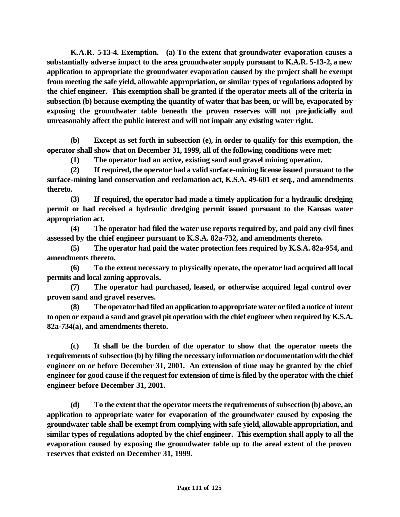**K.A.R. 5-13-4. Exemption. (a) To the extent that groundwater evaporation causes a substantially adverse impact to the area groundwater supply pursuant to K.A.R. 5-13-2, a new application to appropriate the groundwater evaporation caused by the project shall be exempt from meeting the safe yield, allowable appropriation, or similar types of regulations adopted by the chief engineer. This exemption shall be granted if the operator meets all of the criteria in subsection (b) because exempting the quantity of water that has been, or will be, evaporated by exposing the groundwater table beneath the proven reserves will not prejudicially and unreasonably affect the public interest and will not impair any existing water right.** 

**(b) Except as set forth in subsection (e), in order to qualify for this exemption, the operator shall show that on December 31, 1999, all of the following conditions were met:**

**(1) The operator had an active, existing sand and gravel mining operation.**

**(2) If required, the operator had a valid surface-mining license issued pursuant to the surface-mining land conservation and reclamation act, K.S.A. 49-601 et seq., and amendments thereto.**

**(3) If required, the operator had made a timely application for a hydraulic dredging permit or had received a hydraulic dredging permit issued pursuant to the Kansas water appropriation act.**

**(4) The operator had filed the water use reports required by, and paid any civil fines assessed by the chief engineer pursuant to K.S.A. 82a-732, and amendments thereto.**

**(5) The operator had paid the water protection fees required by K.S.A. 82a-954, and amendments thereto.**

**(6) To the extent necessary to physically operate, the operator had acquired all local permits and local zoning approvals.**

**(7) The operator had purchased, leased, or otherwise acquired legal control over proven sand and gravel reserves.**

**(8) The operator had filed an application to appropriate water or filed a notice of intent to open or expand a sand and gravel pit operation with the chief engineer when required by K.S.A. 82a-734(a), and amendments thereto.**

**(c) It shall be the burden of the operator to show that the operator meets the requirements of subsection (b) by filing the necessary information or documentation with the chief engineer on or before December 31, 2001. An extension of time may be granted by the chief engineer for good cause if the request for extension of time is filed by the operator with the chief engineer before December 31, 2001.** 

**(d) To the extent that the operator meets the requirements of subsection (b) above, an application to appropriate water for evaporation of the groundwater caused by exposing the groundwater table shall be exempt from complying with safe yield, allowable appropriation, and similar types of regulations adopted by the chief engineer. This exemption shall apply to all the evaporation caused by exposing the groundwater table up to the areal extent of the proven reserves that existed on December 31, 1999.**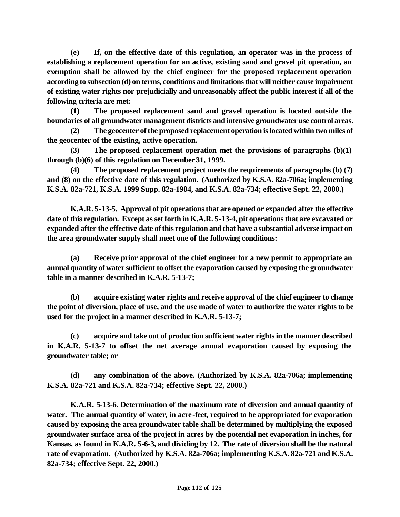**(e) If, on the effective date of this regulation, an operator was in the process of establishing a replacement operation for an active, existing sand and gravel pit operation, an exemption shall be allowed by the chief engineer for the proposed replacement operation according to subsection (d) on terms, conditions and limitations that will neither cause impairment of existing water rights nor prejudicially and unreasonably affect the public interest if all of the following criteria are met:**

**(1) The proposed replacement sand and gravel operation is located outside the boundaries of all groundwater management districts and intensive groundwater use control areas.**

**(2) The geocenter of the proposed replacement operation is located within two miles of the geocenter of the existing, active operation.**

**(3) The proposed replacement operation met the provisions of paragraphs (b)(1) through (b)(6) of this regulation on December 31, 1999.** 

**(4) The proposed replacement project meets the requirements of paragraphs (b) (7) and (8) on the effective date of this regulation. (Authorized by K.S.A. 82a-706a; implementing K.S.A. 82a-721, K.S.A. 1999 Supp. 82a-1904, and K.S.A. 82a-734; effective Sept. 22, 2000.)**

**K.A.R. 5-13-5. Approval of pit operations that are opened or expanded after the effective date of this regulation. Except as set forth in K.A.R. 5-13-4, pit operations that are excavated or expanded after the effective date of this regulation and that have a substantial adverse impact on the area groundwater supply shall meet one of the following conditions:** 

**(a) Receive prior approval of the chief engineer for a new permit to appropriate an annual quantity of water sufficient to offset the evaporation caused by exposing the groundwater table in a manner described in K.A.R. 5-13-7;**

**(b) acquire existing water rights and receive approval of the chief engineer to change the point of diversion, place of use, and the use made of water to authorize the water rights to be used for the project in a manner described in K.A.R. 5-13-7;**

**(c) acquire and take out of production sufficient water rights in the manner described in K.A.R. 5-13-7 to offset the net average annual evaporation caused by exposing the groundwater table; or**

**(d) any combination of the above. (Authorized by K.S.A. 82a-706a; implementing K.S.A. 82a-721 and K.S.A. 82a-734; effective Sept. 22, 2000.)**

**K.A.R. 5-13-6. Determination of the maximum rate of diversion and annual quantity of water. The annual quantity of water, in acre-feet, required to be appropriated for evaporation caused by exposing the area groundwater table shall be determined by multiplying the exposed groundwater surface area of the project in acres by the potential net evaporation in inches, for Kansas, as found in K.A.R. 5-6-3, and dividing by 12. The rate of diversion shall be the natural rate of evaporation. (Authorized by K.S.A. 82a-706a; implementing K.S.A. 82a-721 and K.S.A. 82a-734; effective Sept. 22, 2000.)**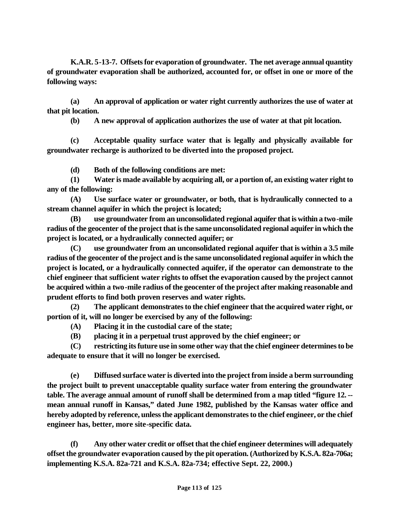**K.A.R. 5-13-7. Offsets for evaporation of groundwater. The net average annual quantity of groundwater evaporation shall be authorized, accounted for, or offset in one or more of the following ways:**

**(a) An approval of application or water right currently authorizes the use of water at that pit location.**

**(b) A new approval of application authorizes the use of water at that pit location.**

**(c) Acceptable quality surface water that is legally and physically available for groundwater recharge is authorized to be diverted into the proposed project.**

**(d) Both of the following conditions are met:** 

**(1) Water is made available by acquiring all, or a portion of, an existing water right to any of the following:** 

**(A) Use surface water or groundwater, or both, that is hydraulically connected to a stream channel aquifer in which the project is located;** 

**(B) use groundwater from an unconsolidated regional aquifer that is within a two-mile radius of the geocenter of the project that is the same unconsolidated regional aquifer in which the project is located, or a hydraulically connected aquifer; or** 

**(C) use groundwater from an unconsolidated regional aquifer that is within a 3.5 mile radius of the geocenter of the project and is the same unconsolidated regional aquifer in which the project is located, or a hydraulically connected aquifer, if the operator can demonstrate to the chief engineer that sufficient water rights to offset the evaporation caused by the project cannot be acquired within a two-mile radius of the geocenter of the project after making reasonable and prudent efforts to find both proven reserves and water rights.** 

**(2) The applicant demonstrates to the chief engineer that the acquired water right, or portion of it, will no longer be exercised by any of the following:** 

**(A) Placing it in the custodial care of the state;** 

**(B) placing it in a perpetual trust approved by the chief engineer; or** 

**(C) restricting its future use in some other way that the chief engineer determines to be adequate to ensure that it will no longer be exercised.**

**(e) Diffused surface water is diverted into the project from inside a berm surrounding the project built to prevent unacceptable quality surface water from entering the groundwater table. The average annual amount of runoff shall be determined from a map titled "figure 12. - mean annual runoff in Kansas," dated June 1982, published by the Kansas water office and hereby adopted by reference, unless the applicant demonstrates to the chief engineer, or the chief engineer has, better, more site-specific data.**

**(f) Any other water credit or offset that the chief engineer determines will adequately offset the groundwater evaporation caused by the pit operation. (Authorized by K.S.A. 82a-706a; implementing K.S.A. 82a-721 and K.S.A. 82a-734; effective Sept. 22, 2000.)**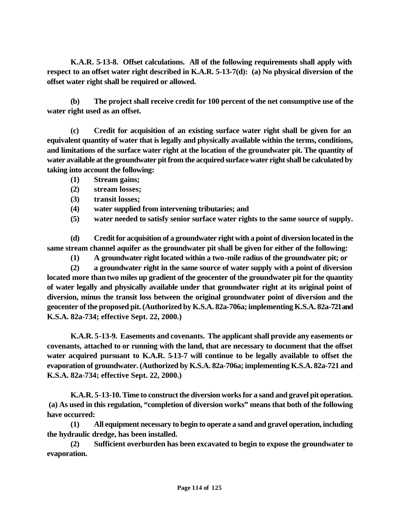**K.A.R. 5-13-8. Offset calculations. All of the following requirements shall apply with respect to an offset water right described in K.A.R. 5-13-7(d): (a) No physical diversion of the offset water right shall be required or allowed.**

**(b) The project shall receive credit for 100 percent of the net consumptive use of the water right used as an offset.** 

**(c) Credit for acquisition of an existing surface water right shall be given for an equivalent quantity of water that is legally and physically available within the terms, conditions, and limitations of the surface water right at the location of the groundwater pit. The quantity of water available at the groundwater pit from the acquired surface water right shall be calculated by taking into account the following:** 

- **(1) Stream gains;**
- **(2) stream losses;**
- **(3) transit losses;**
- **(4) water supplied from intervening tributaries; and**
- **(5) water needed to satisfy senior surface water rights to the same source of supply.**

**(d) Credit for acquisition of a groundwater right with a point of diversion located in the same stream channel aquifer as the groundwater pit shall be given for either of the following:** 

**(1) A groundwater right located within a two-mile radius of the groundwater pit; or** 

**(2) a groundwater right in the same source of water supply with a point of diversion located more than two miles up gradient of the geocenter of the groundwater pit for the quantity of water legally and physically available under that groundwater right at its original point of diversion, minus the transit loss between the original groundwater point of diversion and the geocenter of the proposed pit. (Authorized by K.S.A. 82a-706a; implementing K.S.A. 82a-721 and K.S.A. 82a-734; effective Sept. 22, 2000.)**

**K.A.R. 5-13-9. Easements and covenants. The applicant shall provide any easements or covenants, attached to or running with the land, that are necessary to document that the offset water acquired pursuant to K.A.R. 5-13-7 will continue to be legally available to offset the evaporation of groundwater. (Authorized by K.S.A. 82a-706a; implementing K.S.A. 82a-721 and K.S.A. 82a-734; effective Sept. 22, 2000.)**

**K.A.R. 5-13-10. Time to construct the diversion works for a sand and gravel pit operation. (a) As used in this regulation, "completion of diversion works" means that both of the following have occurred:**

**(1) All equipment necessary to begin to operate a sand and gravel operation, including the hydraulic dredge, has been installed.**

**(2) Sufficient overburden has been excavated to begin to expose the groundwater to evaporation.**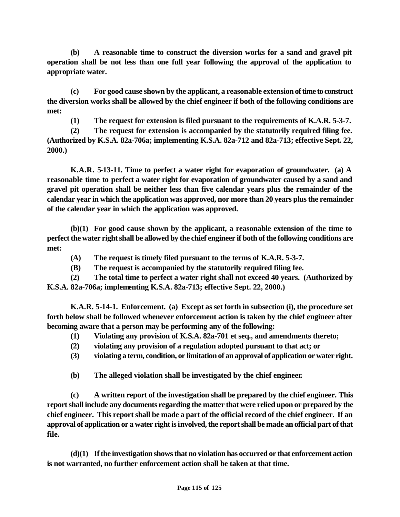**(b) A reasonable time to construct the diversion works for a sand and gravel pit operation shall be not less than one full year following the approval of the application to appropriate water.** 

**(c) For good cause shown by the applicant, a reasonable extension of time to construct the diversion works shall be allowed by the chief engineer if both of the following conditions are met:** 

**(1) The request for extension is filed pursuant to the requirements of K.A.R. 5-3-7.**

**(2) The request for extension is accompanied by the statutorily required filing fee. (Authorized by K.S.A. 82a-706a; implementing K.S.A. 82a-712 and 82a-713; effective Sept. 22, 2000.)**

**K.A.R. 5-13-11. Time to perfect a water right for evaporation of groundwater. (a) A reasonable time to perfect a water right for evaporation of groundwater caused by a sand and gravel pit operation shall be neither less than five calendar years plus the remainder of the calendar year in which the application was approved, nor more than 20 years plus the remainder of the calendar year in which the application was approved.** 

**(b)(1) For good cause shown by the applicant, a reasonable extension of the time to perfect the water right shall be allowed by the chief engineer if both of the following conditions are met:**

- **(A) The request is timely filed pursuant to the terms of K.A.R. 5-3-7.**
- **(B) The request is accompanied by the statutorily required filing fee.**
- **(2) The total time to perfect a water right shall not exceed 40 years. (Authorized by K.S.A. 82a-706a; implementing K.S.A. 82a-713; effective Sept. 22, 2000.)**

**K.A.R. 5-14-1. Enforcement. (a) Except as set forth in subsection (i), the procedure set forth below shall be followed whenever enforcement action is taken by the chief engineer after becoming aware that a person may be performing any of the following:** 

- **(1) Violating any provision of K.S.A. 82a-701 et seq., and amendments thereto;**
- **(2) violating any provision of a regulation adopted pursuant to that act; or**
- **(3) violating a term, condition, or limitation of an approval of application or water right.**
- **(b) The alleged violation shall be investigated by the chief engineer***.*

**(c) A written report of the investigation shall be prepared by the chief engineer. This report shall include any documents regarding the matter that were relied upon or prepared by the chief engineer. This report shall be made a part of the official record of the chief engineer. If an approval of application or a water right is involved, the report shall be made an official part of that file.**

**(d)(1) If the investigation shows that no violation has occurred or that enforcement action is not warranted, no further enforcement action shall be taken at that time.**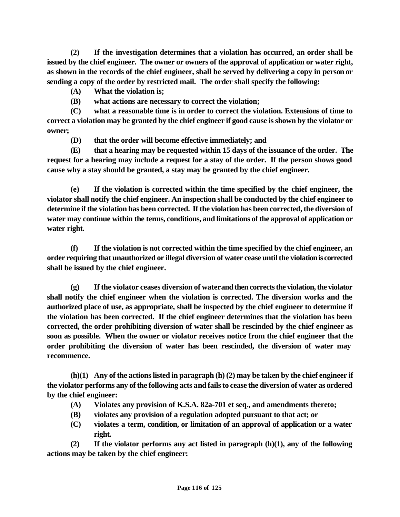**(2) If the investigation determines that a violation has occurred, an order shall be issued by the chief engineer. The owner or owners of the approval of application or water right, as shown in the records of the chief engineer, shall be served by delivering a copy in person or sending a copy of the order by restricted mail. The order shall specify the following:** 

- **(A) What the violation is;**
- **(B) what actions are necessary to correct the violation;**

**(C) what a reasonable time is in order to correct the violation. Extensions of time to correct a violation may be granted by the chief engineer if good cause is shown by the violator or owner;** 

**(D) that the order will become effective immediately; and**

**(E) that a hearing may be requested within 15 days of the issuance of the order. The request for a hearing may include a request for a stay of the order. If the person shows good cause why a stay should be granted, a stay may be granted by the chief engineer.** 

**(e) If the violation is corrected within the time specified by the chief engineer, the violator shall notify the chief engineer. An inspection shall be conducted by the chief engineer to determine if the violation has been corrected. If the violation has been corrected, the diversion of water may continue within the terms, conditions, and limitations of the approval of application or water right.**

**(f) If the violation is not corrected within the time specified by the chief engineer, an order requiring that unauthorized or illegal diversion of water cease until the violation is corrected shall be issued by the chief engineer.**

**(g) If the violator ceases diversion of water and then corrects the violation, the violator shall notify the chief engineer when the violation is corrected. The diversion works and the authorized place of use, as appropriate, shall be inspected by the chief engineer to determine if the violation has been corrected. If the chief engineer determines that the violation has been corrected, the order prohibiting diversion of water shall be rescinded by the chief engineer as soon as possible. When the owner or violator receives notice from the chief engineer that the order prohibiting the diversion of water has been rescinded, the diversion of water may recommence.** 

**(h)(1) Any of the actions listed in paragraph (h) (2) may be taken by the chief engineer if the violator performs any of the following acts and fails to cease the diversion of water as ordered by the chief engineer:** 

- **(A) Violates any provision of K.S.A. 82a-701 et seq., and amendments thereto;**
- **(B) violates any provision of a regulation adopted pursuant to that act; or**
- **(C) violates a term, condition, or limitation of an approval of application or a water right.**

**(2) If the violator performs any act listed in paragraph (h)(1), any of the following actions may be taken by the chief engineer:**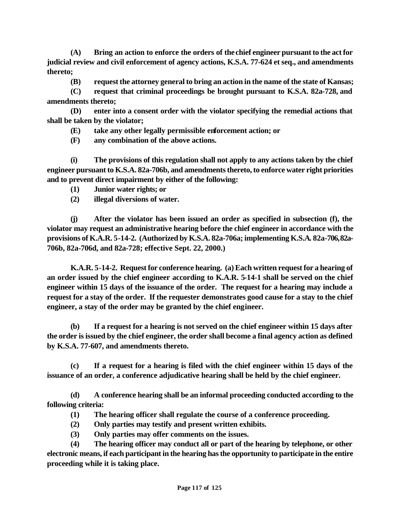**(A) Bring an action to enforce the orders of the chief engineer pursuant to the act for judicial review and civil enforcement of agency actions, K.S.A. 77-624 et seq., and amendments thereto;** 

**(B) request the attorney general to bring an action in the name of the state of Kansas;**

**(C) request that criminal proceedings be brought pursuant to K.S.A. 82a-728, and amendments thereto;**

**(D) enter into a consent order with the violator specifying the remedial actions that shall be taken by the violator;**

**(E) take any other legally permissible enforcement action; or**

**(F) any combination of the above actions.**

**(i) The provisions of this regulation shall not apply to any actions taken by the chief engineer pursuant to K.S.A. 82a-706b, and amendments thereto, to enforce water right priorities and to prevent direct impairment by either of the following:** 

**(1) Junior water rights; or** 

**(2) illegal diversions of water.** 

**(j) After the violator has been issued an order as specified in subsection (f), the violator may request an administrative hearing before the chief engineer in accordance with the provisions of K.A.R. 5-14-2. (Authorized by K.S.A. 82a-706a; implementing K.S.A. 82a-706, 82a-706b, 82a-706d, and 82a-728; effective Sept. 22, 2000.)**

**K.A.R. 5-14-2. Request for conference hearing. (a) Each written request for a hearing of an order issued by the chief engineer according to K.A.R. 5-14-1 shall be served on the chief engineer within 15 days of the issuance of the order. The request for a hearing may include a request for a stay of the order. If the requester demonstrates good cause for a stay to the chief engineer, a stay of the order may be granted by the chief engineer.** 

**(b) If a request for a hearing is not served on the chief engineer within 15 days after the order is issued by the chief engineer, the order shall become a final agency action as defined by K.S.A. 77-607, and amendments thereto.** 

**(c) If a request for a hearing is filed with the chief engineer within 15 days of the issuance of an order, a conference adjudicative hearing shall be held by the chief engineer.** 

**(d) A conference hearing shall be an informal proceeding conducted according to the following criteria:** 

- **(1) The hearing officer shall regulate the course of a conference proceeding.**
- **(2) Only parties may testify and present written exhibits.**
- **(3) Only parties may offer comments on the issues.**

**(4) The hearing officer may conduct all or part of the hearing by telephone, or other electronic means, if each participant in the hearing has the opportunity to participate in the entire proceeding while it is taking place.**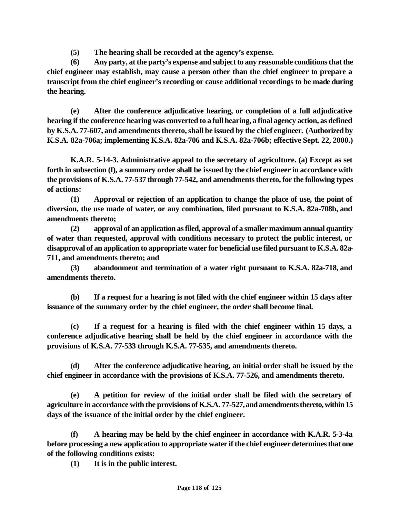**(5) The hearing shall be recorded at the agency's expense.**

**(6) Any party, at the party's expense and subject to any reasonable conditions that the chief engineer may establish, may cause a person other than the chief engineer to prepare a transcript from the chief engineer's recording or cause additional recordings to be made during the hearing.**

**(e) After the conference adjudicative hearing, or completion of a full adjudicative hearing if the conference hearing was converted to a full hearing, a final agency action, as defined by K.S.A. 77-607, and amendments thereto, shall be issued by the chief engineer. (Authorized by K.S.A. 82a-706a; implementing K.S.A. 82a-706 and K.S.A. 82a-706b; effective Sept. 22, 2000.)** 

**K.A.R. 5-14-3. Administrative appeal to the secretary of agriculture. (a) Except as set forth in subsection (f), a summary order shall be issued by the chief engineer in accordance with the provisions of K.S.A. 77-537 through 77-542, and amendments thereto, for the following types of actions:**

**(1) Approval or rejection of an application to change the place of use, the point of diversion, the use made of water, or any combination, filed pursuant to K.S.A. 82a-708b, and amendments thereto;**

**(2) approval of an application as filed, approval of a smaller maximum annual quantity of water than requested, approval with conditions necessary to protect the public interest, or disapproval of an application to appropriate water for beneficial use filed pursuant to K.S.A. 82a-711, and amendments thereto; and**

**(3) abandonment and termination of a water right pursuant to K.S.A. 82a-718, and amendments thereto.**

**(b) If a request for a hearing is not filed with the chief engineer within 15 days after issuance of the summary order by the chief engineer, the order shall become final.**

**(c) If a request for a hearing is filed with the chief engineer within 15 days, a conference adjudicative hearing shall be held by the chief engineer in accordance with the provisions of K.S.A. 77-533 through K.S.A. 77-535, and amendments thereto.**

**(d) After the conference adjudicative hearing, an initial order shall be issued by the chief engineer in accordance with the provisions of K.S.A. 77-526, and amendments thereto.**

**(e) A petition for review of the initial order shall be filed with the secretary of agriculture in accordance with the provisions of K.S.A. 77-527, and amendments thereto, within 15 days of the issuance of the initial order by the chief engineer.** 

**(f) A hearing may be held by the chief engineer in accordance with K.A.R. 5-3-4a before processing a new application to appropriate water if the chief engineer determines that one of the following conditions exists:** 

**(1) It is in the public interest.**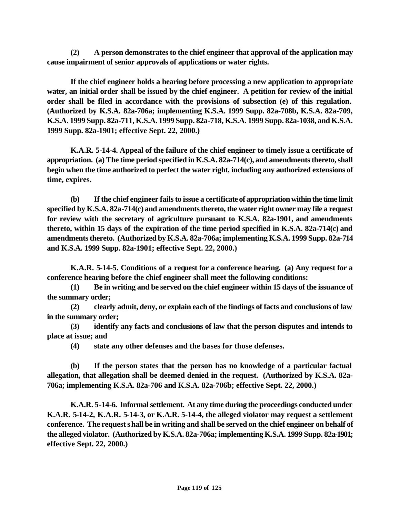**(2) A person demonstrates to the chief engineer that approval of the application may cause impairment of senior approvals of applications or water rights.** 

**If the chief engineer holds a hearing before processing a new application to appropriate water, an initial order shall be issued by the chief engineer. A petition for review of the initial order shall be filed in accordance with the provisions of subsection (e) of this regulation. (Authorized by K.S.A. 82a-706a; implementing K.S.A. 1999 Supp. 82a-708b, K.S.A. 82a-709, K.S.A. 1999 Supp. 82a-711, K.S.A. 1999 Supp. 82a-718, K.S.A. 1999 Supp. 82a-1038, and K.S.A. 1999 Supp. 82a-1901; effective Sept. 22, 2000.)** 

**K.A.R. 5-14-4. Appeal of the failure of the chief engineer to timely issue a certificate of appropriation. (a) The time period specified in K.S.A. 82a-714(c), and amendments thereto, shall begin when the time authorized to perfect the water right, including any authorized extensions of time, expires.**

**(b) If the chief engineer fails to issue a certificate of appropriation within the time limit specified by K.S.A. 82a-714(c) and amendments thereto, the water right owner may file a request for review with the secretary of agriculture pursuant to K.S.A. 82a-1901, and amendments thereto, within 15 days of the expiration of the time period specified in K.S.A. 82a-714(c) and amendments thereto. (Authorized by K.S.A. 82a-706a; implementing K.S.A. 1999 Supp. 82a-714 and K.S.A. 1999 Supp. 82a-1901; effective Sept. 22, 2000.)** 

**K.A.R. 5-14-5. Conditions of a request for a conference hearing. (a) Any request for a conference hearing before the chief engineer shall meet the following conditions:** 

**(1) Be in writing and be served on the chief engineer within 15 days of the issuance of the summary order;**

**(2) clearly admit, deny, or explain each of the findings of facts and conclusions of law in the summary order;**

**(3) identify any facts and conclusions of law that the person disputes and intends to place at issue; and**

**(4) state any other defenses and the bases for those defenses.**

**(b) If the person states that the person has no knowledge of a particular factual allegation, that allegation shall be deemed denied in the request. (Authorized by K.S.A. 82a-706a; implementing K.S.A. 82a-706 and K.S.A. 82a-706b; effective Sept. 22, 2000.)**

**K.A.R. 5-14-6. Informal settlement. At any time during the proceedings conducted under K.A.R. 5-14-2, K.A.R. 5-14-3, or K.A.R. 5-14-4, the alleged violator may request a settlement conference. The request shall be in writing and shall be served on the chief engineer on behalf of the alleged violator. (Authorized by K.S.A. 82a-706a; implementing K.S.A. 1999 Supp. 82a-1901; effective Sept. 22, 2000.)**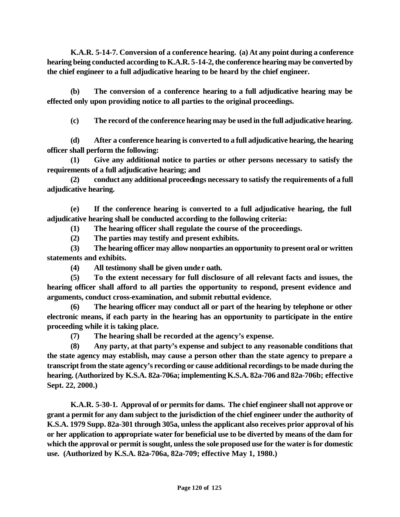**K.A.R. 5-14-7. Conversion of a conference hearing. (a) At any point during a conference hearing being conducted according to K.A.R. 5-14-2, the conference hearing may be converted by the chief engineer to a full adjudicative hearing to be heard by the chief engineer.**

**(b) The conversion of a conference hearing to a full adjudicative hearing may be effected only upon providing notice to all parties to the original proceedings.**

**(c) The record of the conference hearing may be used in the full adjudicative hearing.**

**(d) After a conference hearing is converted to a full adjudicative hearing, the hearing officer shall perform the following:** 

**(1) Give any additional notice to parties or other persons necessary to satisfy the requirements of a full adjudicative hearing; and**

**(2) conduct any additional proceedings necessary to satisfy the requirements of a full adjudicative hearing.**

**(e) If the conference hearing is converted to a full adjudicative hearing, the full adjudicative hearing shall be conducted according to the following criteria:**

**(1) The hearing officer shall regulate the course of the proceedings.**

**(2) The parties may testify and present exhibits.** 

**(3) The hearing officer may allow nonparties an opportunity to present oral or written statements and exhibits.**

**(4) All testimony shall be given under oath.**

**(5) To the extent necessary for full disclosure of all relevant facts and issues, the hearing officer shall afford to all parties the opportunity to respond, present evidence and arguments, conduct cross-examination, and submit rebuttal evidence.**

**(6) The hearing officer may conduct all or part of the hearing by telephone or other electronic means, if each party in the hearing has an opportunity to participate in the entire proceeding while it is taking place.** 

**(7) The hearing shall be recorded at the agency's expense.**

**(8) Any party, at that party's expense and subject to any reasonable conditions that the state agency may establish, may cause a person other than the state agency to prepare a transcript from the state agency's recording or cause additional recordings to be made during the hearing. (Authorized by K.S.A. 82a-706a; implementing K.S.A. 82a-706 and 82a-706b; effective Sept. 22, 2000.)**

**K.A.R. 5-30-1. Approval of or permits for dams. The chief engineer shall not approve or grant a permit for any dam subject to the jurisdiction of the chief engineer under the authority of K.S.A. 1979 Supp. 82a-301 through 305a, unless the applicant also receives prior approval of his or her application to appropriate water for beneficial use to be diverted by means of the dam for which the approval or permit is sought, unless the sole proposed use for the water is for domestic use. (Authorized by K.S.A. 82a-706a, 82a-709; effective May 1, 1980.)**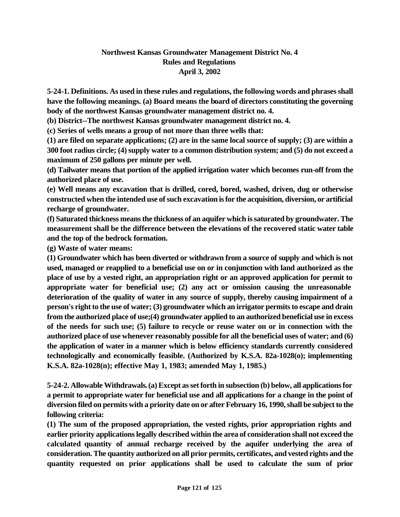## **Northwest Kansas Groundwater Management District No. 4 Rules and Regulations April 3, 2002**

**5-24-1. Definitions. As used in these rules and regulations, the following words and phrases shall have the following meanings. (a) Board means the board of directors constituting the governing body of the northwest Kansas groundwater management district no. 4.** 

**(b) District--The northwest Kansas groundwater management district no. 4.** 

**(c) Series of wells means a group of not more than three wells that:** 

**(1) are filed on separate applications; (2) are in the same local source of supply; (3) are within a 300 foot radius circle; (4) supply water to a common distribution system; and (5) do not exceed a maximum of 250 gallons per minute per well.** 

**(d) Tailwater means that portion of the applied irrigation water which becomes run-off from the authorized place of use.** 

**(e) Well means any excavation that is drilled, cored, bored, washed, driven, dug or otherwise constructed when the intended use of such excavation is for the acquisition, diversion, or artificial recharge of groundwater.** 

**(f) Saturated thickness means the thickness of an aquifer which is saturated by groundwater. The measurement shall be the difference between the elevations of the recovered static water table and the top of the bedrock formation.** 

**(g) Waste of water means:** 

**(1) Groundwater which has been diverted or withdrawn from a source of supply and which is not used, managed or reapplied to a beneficial use on or in conjunction with land authorized as the place of use by a vested right, an appropriation right or an approved application for permit to appropriate water for beneficial use; (2) any act or omission causing the unreasonable deterioration of the quality of water in any source of supply, thereby causing impairment of a person's right to the use of water; (3) groundwater which an irrigator permits to escape and drain from the authorized place of use;(4) groundwater applied to an authorized beneficial use in excess of the needs for such use; (5) failure to recycle or reuse water on or in connection with the authorized place of use whenever reasonably possible for all the beneficial uses of water; and (6) the application of water in a manner which is below efficiency standards currently considered technologically and economically feasible. (Authorized by K.S.A. 82a-1028(o); implementing K.S.A. 82a-1028(n); effective May 1, 1983; amended May 1, 1985.)** 

**5-24-2. Allowable Withdrawals. (a) Except as set forth in subsection (b) below, all applications for a permit to appropriate water for beneficial use and all applications for a change in the point of diversion filed on permits with a priority date on or after February 16, 1990, shall be subject to the following criteria:**

**(1) The sum of the proposed appropriation, the vested rights, prior appropriation rights and earlier priority applications legally described within the area of consideration shall not exceed the calculated quantity of annual recharge received by the aquifer underlying the area of consideration. The quantity authorized on all prior permits, certificates, and vested rights and the quantity requested on prior applications shall be used to calculate the sum of prior**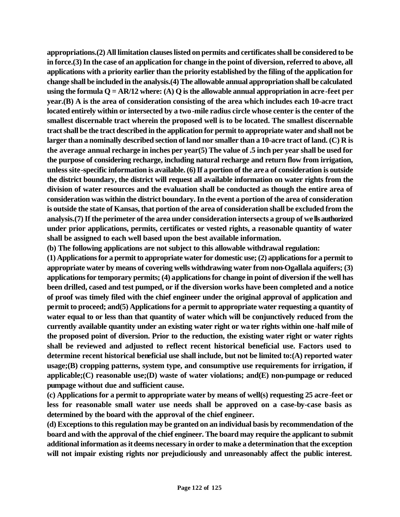**appropriations.(2) All limitation clauses listed on permits and certificates shall be considered to be in force.(3) In the case of an application for change in the point of diversion, referred to above, all applications with a priority earlier than the priority established by the filing of the application for change shall be included in the analysis.(4) The allowable annual appropriation shall be calculated using the formula Q = AR/12 where: (A) Q is the allowable annual appropriation in acre-feet per year.(B) A is the area of consideration consisting of the area which includes each 10-acre tract located entirely within or intersected by a two-mile radius circle whose center is the center of the smallest discernable tract wherein the proposed well is to be located. The smallest discernable tract shall be the tract described in the application for permit to appropriate water and shall not be larger than a nominally described section of land nor smaller than a 10-acre tract of land. (C) R is the average annual recharge in inches per year(5) The value of .5 inch per year shall be used for the purpose of considering recharge, including natural recharge and return flow from irrigation, unless site-specific information is available. (6) If a portion of the area of consideration is outside the district boundary, the district will request all available information on water rights from the division of water resources and the evaluation shall be conducted as though the entire area of consideration was within the district boundary. In the event a portion of the area of consideration is outside the state of Kansas, that portion of the area of consideration shall be excluded from the analysis.(7) If the perimeter of the area under consideration intersects a group of wells authorized under prior applications, permits, certificates or vested rights, a reasonable quantity of water shall be assigned to each well based upon the best available information.**

**(b) The following applications are not subject to this allowable withdrawal regulation:**

**(1) Applications for a permit to appropriate water for domestic use; (2) applications for a permit to appropriate water by means of covering wells withdrawing water from non-Ogallala aquifers; (3) applications for temporary permits; (4) applications for change in point of diversion if the well has been drilled, cased and test pumped, or if the diversion works have been completed and a notice of proof was timely filed with the chief engineer under the original approval of application and permit to proceed; and(5) Applications for a permit to appropriate water requesting a quantity of water equal to or less than that quantity of water which will be conjunctively reduced from the currently available quantity under an existing water right or water rights within one-half mile of the proposed point of diversion. Prior to the reduction, the existing water right or water rights shall be reviewed and adjusted to reflect recent historical beneficial use. Factors used to determine recent historical beneficial use shall include, but not be limited to:(A) reported water usage;(B) cropping patterns, system type, and consumptive use requirements for irrigation, if applicable;(C) reasonable use;(D) waste of water violations; and(E) non-pumpage or reduced pumpage without due and sufficient cause.**

**(c) Applications for a permit to appropriate water by means of well(s) requesting 25 acre-feet or less for reasonable small water use needs shall be approved on a case-by-case basis as determined by the board with the approval of the chief engineer.**

**(d) Exceptions to this regulation may be granted on an individual basis by recommendation of the board and with the approval of the chief engineer. The board may require the applicant to submit additional information as it deems necessary in order to make a determination that the exception will not impair existing rights nor prejudiciously and unreasonably affect the public interest.**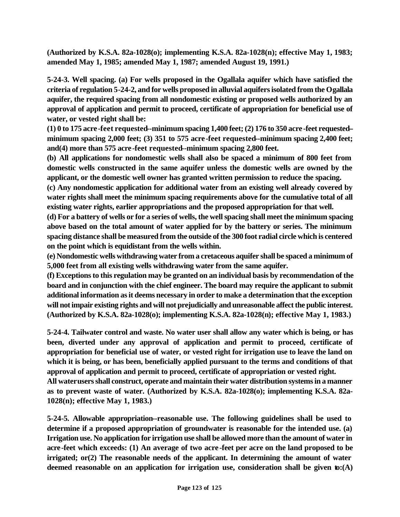**(Authorized by K.S.A. 82a-1028(o); implementing K.S.A. 82a-1028(n); effective May 1, 1983; amended May 1, 1985; amended May 1, 1987; amended August 19, 1991.)**

**5-24-3. Well spacing. (a) For wells proposed in the Ogallala aquifer which have satisfied the criteria of regulation 5-24-2, and for wells proposed in alluvial aquifers isolated from the Ogallala aquifer, the required spacing from all nondomestic existing or proposed wells authorized by an approval of application and permit to proceed, certificate of appropriation for beneficial use of water, or vested right shall be:** 

**(1) 0 to 175 acre-feet requested--minimum spacing 1,400 feet; (2) 176 to 350 acre-feet requested- minimum spacing 2,000 feet; (3) 351 to 575 acre-feet requested--minimum spacing 2,400 feet; and(4) more than 575 acre-feet requested--minimum spacing 2,800 feet.** 

**(b) All applications for nondomestic wells shall also be spaced a minimum of 800 feet from domestic wells constructed in the same aquifer unless the domestic wells are owned by the applicant, or the domestic well owner has granted written permission to reduce the spacing.**

**(c) Any nondomestic application for additional water from an existing well already covered by water rights shall meet the minimum spacing requirements above for the cumulative total of all existing water rights, earlier appropriations and the proposed appropriation for that well.** 

**(d) For a battery of wells or for a series of wells, the well spacing shall meet the minimum spacing above based on the total amount of water applied for by the battery or series. The minimum spacing distance shall be measured from the outside of the 300 foot radial circle which is centered on the point which is equidistant from the wells within.** 

**(e) Nondomestic wells withdrawing water from a cretaceous aquifer shall be spaced a minimum of 5,000 feet from all existing wells withdrawing water from the same aquifer.** 

**(f) Exceptions to this regulation may be granted on an individual basis by recommendation of the board and in conjunction with the chief engineer. The board may require the applicant to submit additional information as it deems necessary in order to make a determination that the exception will not impair existing rights and will not prejudicially and unreasonable affect the public interest. (Authorized by K.S.A. 82a-1028(o); implementing K.S.A. 82a-1028(n); effective May 1, 1983.)** 

**5-24-4. Tailwater control and waste. No water user shall allow any water which is being, or has been, diverted under any approval of application and permit to proceed, certificate of appropriation for beneficial use of water, or vested right for irrigation use to leave the land on which it is being, or has been, beneficially applied pursuant to the terms and conditions of that approval of application and permit to proceed, certificate of appropriation or vested right.** 

**All water users shall construct, operate and maintain their water distribution systems in a manner as to prevent waste of water. (Authorized by K.S.A. 82a-1028(o); implementing K.S.A. 82a-1028(n); effective May 1, 1983.)** 

**5-24-5. Allowable appropriation--reasonable use. The following guidelines shall be used to determine if a proposed appropriation of groundwater is reasonable for the intended use. (a) Irrigation use. No application for irrigation use shall be allowed more than the amount of water in acre-feet which exceeds: (1) An average of two acre -feet per acre on the land proposed to be irrigated; or(2) The reasonable needs of the applicant. In determining the amount of water deemed reasonable on an application for irrigation use, consideration shall be given to:(A)**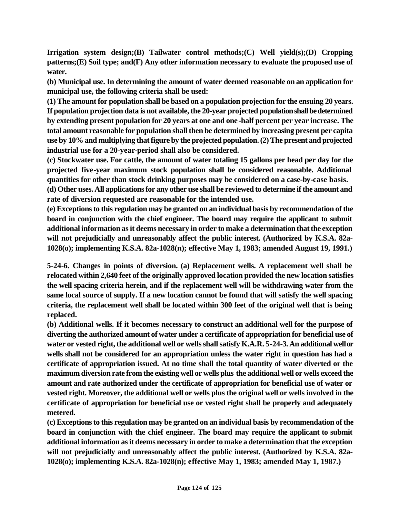**Irrigation system design;(B) Tailwater control methods;(C) Well yield(s);(D) Cropping patterns;(E) Soil type; and(F) Any other information necessary to evaluate the proposed use of water.**

**(b) Municipal use. In determining the amount of water deemed reasonable on an application for municipal use, the following criteria shall be used:** 

**(1) The amount for population shall be based on a population projection for the ensuing 20 years. If population projection data is not available, the 20-year projected population shall be determined by extending present population for 20 years at one and one-half percent per year increase. The total amount reasonable for population shall then be determined by increasing present per capita use by 10% and multiplying that figure by the projected population. (2) The present and projected industrial use for a 20-year-period shall also be considered.** 

**(c) Stockwater use. For cattle, the amount of water totaling 15 gallons per head per day for the projected five-year maximum stock population shall be considered reasonable. Additional quantities for other than stock drinking purposes may be considered on a case-by-case basis.** 

**(d) Other uses. All applications for any other use shall be reviewed to determine if the amount and rate of diversion requested are reasonable for the intended use.** 

**(e) Exceptions to this regulation may be granted on an individual basis by recommendation of the board in conjunction with the chief engineer. The board may require the applicant to submit additional information as it deems necessary in order to make a determination that the exception will not prejudicially and unreasonably affect the public interest. (Authorized by K.S.A. 82a-1028(o); implementing K.S.A. 82a-1028(n); effective May 1, 1983; amended August 19, 1991.)**

**5-24-6. Changes in points of diversion. (a) Replacement wells. A replacement well shall be relocated within 2,640 feet of the originally approved location provided the new location satisfies the well spacing criteria herein, and if the replacement well will be withdrawing water from the same local source of supply. If a new location cannot be found that will satisfy the well spacing criteria, the replacement well shall be located within 300 feet of the original well that is being replaced.** 

**(b) Additional wells. If it becomes necessary to construct an additional well for the purpose of diverting the authorized amount of water under a certificate of appropriation for beneficial use of water or vested right, the additional well or wells shall satisfy K.A.R. 5-24-3. An additional well or wells shall not be considered for an appropriation unless the water right in question has had a certificate of appropriation issued. At no time shall the total quantity of water diverted or the maximum diversion rate from the existing well or wells plus the additional well or wells exceed the amount and rate authorized under the certificate of appropriation for beneficial use of water or vested right. Moreover, the additional well or wells plus the original well or wells involved in the certificate of appropriation for beneficial use or vested right shall be properly and adequately metered.**

**(c) Exceptions to this regulation may be granted on an individual basis by recommendation of the board in conjunction with the chief engineer. The board may require the applicant to submit additional information as it deems necessary in order to make a determination that the exception will not prejudicially and unreasonably affect the public interest. (Authorized by K.S.A. 82a-1028(o); implementing K.S.A. 82a-1028(n); effective May 1, 1983; amended May 1, 1987.)**